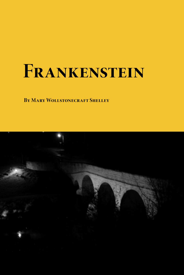# **Frankenstein**

**By Mary Wollstonecraft Shelley**

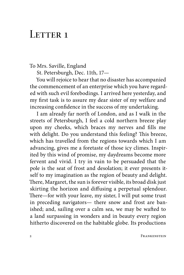### LETTER 1

To Mrs. Saville, England

St. Petersburgh, Dec. 11th, 17—

You will rejoice to hear that no disaster has accompanied the commencement of an enterprise which you have regarded with such evil forebodings. I arrived here yesterday, and my first task is to assure my dear sister of my welfare and increasing confidence in the success of my undertaking.

I am already far north of London, and as I walk in the streets of Petersburgh, I feel a cold northern breeze play upon my cheeks, which braces my nerves and fills me with delight. Do you understand this feeling? This breeze, which has travelled from the regions towards which I am advancing, gives me a foretaste of those icy climes. Inspirited by this wind of promise, my daydreams become more fervent and vivid. I try in vain to be persuaded that the pole is the seat of frost and desolation; it ever presents itself to my imagination as the region of beauty and delight. There, Margaret, the sun is forever visible, its broad disk just skirting the horizon and diffusing a perpetual splendour. There—for with your leave, my sister, I will put some trust in preceding navigators— there snow and frost are banished; and, sailing over a calm sea, we may be wafted to a land surpassing in wonders and in beauty every region hitherto discovered on the habitable globe. Its productions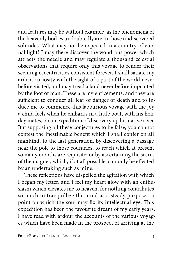and features may be without example, as the phenomena of the heavenly bodies undoubtedly are in those undiscovered solitudes. What may not be expected in a country of eternal light? I may there discover the wondrous power which attracts the needle and may regulate a thousand celestial observations that require only this voyage to render their seeming eccentricities consistent forever. I shall satiate my ardent curiosity with the sight of a part of the world never before visited, and may tread a land never before imprinted by the foot of man. These are my enticements, and they are sufficient to conquer all fear of danger or death and to induce me to commence this labourious voyage with the joy a child feels when he embarks in a little boat, with his holiday mates, on an expedition of discovery up his native river. But supposing all these conjectures to be false, you cannot contest the inestimable benefit which I shall confer on all mankind, to the last generation, by discovering a passage near the pole to those countries, to reach which at present so many months are requisite; or by ascertaining the secret of the magnet, which, if at all possible, can only be effected by an undertaking such as mine.

These reflections have dispelled the agitation with which I began my letter, and I feel my heart glow with an enthusiasm which elevates me to heaven, for nothing contributes so much to tranquillize the mind as a steady purpose—a point on which the soul may fix its intellectual eye. This expedition has been the favourite dream of my early years. I have read with ardour the accounts of the various voyages which have been made in the prospect of arriving at the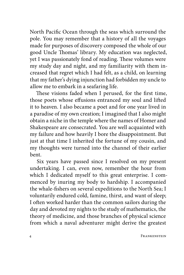North Pacific Ocean through the seas which surround the pole. You may remember that a history of all the voyages made for purposes of discovery composed the whole of our good Uncle Thomas' library. My education was neglected, yet I was passionately fond of reading. These volumes were my study day and night, and my familiarity with them increased that regret which I had felt, as a child, on learning that my father's dying injunction had forbidden my uncle to allow me to embark in a seafaring life.

These visions faded when I perused, for the first time, those poets whose effusions entranced my soul and lifted it to heaven. I also became a poet and for one year lived in a paradise of my own creation; I imagined that I also might obtain a niche in the temple where the names of Homer and Shakespeare are consecrated. You are well acquainted with my failure and how heavily I bore the disappointment. But just at that time I inherited the fortune of my cousin, and my thoughts were turned into the channel of their earlier bent.

Six years have passed since I resolved on my present undertaking. I can, even now, remember the hour from which I dedicated myself to this great enterprise. I commenced by inuring my body to hardship. I accompanied the whale-fishers on several expeditions to the North Sea; I voluntarily endured cold, famine, thirst, and want of sleep; I often worked harder than the common sailors during the day and devoted my nights to the study of mathematics, the theory of medicine, and those branches of physical science from which a naval adventurer might derive the greatest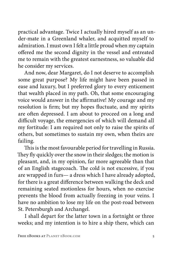practical advantage. Twice I actually hired myself as an under-mate in a Greenland whaler, and acquitted myself to admiration. I must own I felt a little proud when my captain offered me the second dignity in the vessel and entreated me to remain with the greatest earnestness, so valuable did he consider my services.

And now, dear Margaret, do I not deserve to accomplish some great purpose? My life might have been passed in ease and luxury, but I preferred glory to every enticement that wealth placed in my path. Oh, that some encouraging voice would answer in the affirmative! My courage and my resolution is firm; but my hopes fluctuate, and my spirits are often depressed. I am about to proceed on a long and difficult voyage, the emergencies of which will demand all my fortitude: I am required not only to raise the spirits of others, but sometimes to sustain my own, when theirs are failing.

This is the most favourable period for travelling in Russia. They fly quickly over the snow in their sledges; the motion is pleasant, and, in my opinion, far more agreeable than that of an English stagecoach. The cold is not excessive, if you are wrapped in furs— a dress which I have already adopted, for there is a great difference between walking the deck and remaining seated motionless for hours, when no exercise prevents the blood from actually freezing in your veins. I have no ambition to lose my life on the post-road between St. Petersburgh and Archangel.

I shall depart for the latter town in a fortnight or three weeks; and my intention is to hire a ship there, which can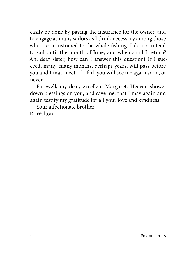easily be done by paying the insurance for the owner, and to engage as many sailors as I think necessary among those who are accustomed to the whale-fishing. I do not intend to sail until the month of June; and when shall I return? Ah, dear sister, how can I answer this question? If I succeed, many, many months, perhaps years, will pass before you and I may meet. If I fail, you will see me again soon, or never.

Farewell, my dear, excellent Margaret. Heaven shower down blessings on you, and save me, that I may again and again testify my gratitude for all your love and kindness.

Your affectionate brother,

R. Walton

Frankenstein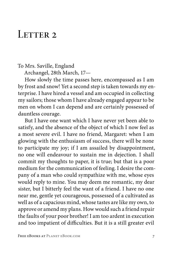#### LETTER 2

#### To Mrs. Saville, England

Archangel, 28th March, 17—

How slowly the time passes here, encompassed as I am by frost and snow! Yet a second step is taken towards my enterprise. I have hired a vessel and am occupied in collecting my sailors; those whom I have already engaged appear to be men on whom I can depend and are certainly possessed of dauntless courage.

But I have one want which I have never yet been able to satisfy, and the absence of the object of which I now feel as a most severe evil. I have no friend, Margaret: when I am glowing with the enthusiasm of success, there will be none to participate my joy; if I am assailed by disappointment, no one will endeavour to sustain me in dejection. I shall commit my thoughts to paper, it is true; but that is a poor medium for the communication of feeling. I desire the company of a man who could sympathize with me, whose eyes would reply to mine. You may deem me romantic, my dear sister, but I bitterly feel the want of a friend. I have no one near me, gentle yet courageous, possessed of a cultivated as well as of a capacious mind, whose tastes are like my own, to approve or amend my plans. How would such a friend repair the faults of your poor brother! I am too ardent in execution and too impatient of difficulties. But it is a still greater evil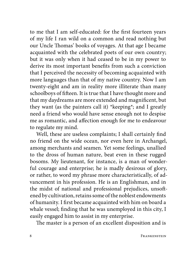to me that I am self-educated: for the first fourteen years of my life I ran wild on a common and read nothing but our Uncle Thomas' books of voyages. At that age I became acquainted with the celebrated poets of our own country; but it was only when it had ceased to be in my power to derive its most important benefits from such a conviction that I perceived the necessity of becoming acquainted with more languages than that of my native country. Now I am twenty-eight and am in reality more illiterate than many schoolboys of fifteen. It is true that I have thought more and that my daydreams are more extended and magnificent, but they want (as the painters call it) \*keeping\*; and I greatly need a friend who would have sense enough not to despise me as romantic, and affection enough for me to endeavour to regulate my mind.

Well, these are useless complaints; I shall certainly find no friend on the wide ocean, nor even here in Archangel, among merchants and seamen. Yet some feelings, unallied to the dross of human nature, beat even in these rugged bosoms. My lieutenant, for instance, is a man of wonderful courage and enterprise; he is madly desirous of glory, or rather, to word my phrase more characteristically, of advancement in his profession. He is an Englishman, and in the midst of national and professional prejudices, unsoftened by cultivation, retains some of the noblest endowments of humanity. I first became acquainted with him on board a whale vessel; finding that he was unemployed in this city, I easily engaged him to assist in my enterprise.

The master is a person of an excellent disposition and is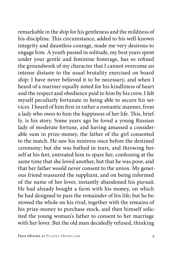remarkable in the ship for his gentleness and the mildness of his discipline. This circumstance, added to his well-known integrity and dauntless courage, made me very desirous to engage him. A youth passed in solitude, my best years spent under your gentle and feminine fosterage, has so refined the groundwork of my character that I cannot overcome an intense distaste to the usual brutality exercised on board ship: I have never believed it to be necessary, and when I heard of a mariner equally noted for his kindliness of heart and the respect and obedience paid to him by his crew, I felt myself peculiarly fortunate in being able to secure his services. I heard of him first in rather a romantic manner, from a lady who owes to him the happiness of her life. This, briefly, is his story. Some years ago he loved a young Russian lady of moderate fortune, and having amassed a considerable sum in prize-money, the father of the girl consented to the match. He saw his mistress once before the destined ceremony; but she was bathed in tears, and throwing herself at his feet, entreated him to spare her, confessing at the same time that she loved another, but that he was poor, and that her father would never consent to the union. My generous friend reassured the suppliant, and on being informed of the name of her lover, instantly abandoned his pursuit. He had already bought a farm with his money, on which he had designed to pass the remainder of his life; but he bestowed the whole on his rival, together with the remains of his prize-money to purchase stock, and then himself solicited the young woman's father to consent to her marriage with her lover. But the old man decidedly refused, thinking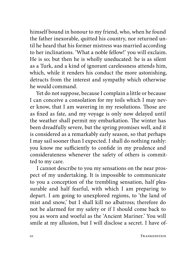himself bound in honour to my friend, who, when he found the father inexorable, quitted his country, nor returned until he heard that his former mistress was married according to her inclinations. 'What a noble fellow!' you will exclaim. He is so; but then he is wholly uneducated: he is as silent as a Turk, and a kind of ignorant carelessness attends him, which, while it renders his conduct the more astonishing, detracts from the interest and sympathy which otherwise he would command.

Yet do not suppose, because I complain a little or because I can conceive a consolation for my toils which I may never know, that I am wavering in my resolutions. Those are as fixed as fate, and my voyage is only now delayed until the weather shall permit my embarkation. The winter has been dreadfully severe, but the spring promises well, and it is considered as a remarkably early season, so that perhaps I may sail sooner than I expected. I shall do nothing rashly: you know me sufficiently to confide in my prudence and considerateness whenever the safety of others is committed to my care.

I cannot describe to you my sensations on the near prospect of my undertaking. It is impossible to communicate to you a conception of the trembling sensation, half pleasurable and half fearful, with which I am preparing to depart. I am going to unexplored regions, to 'the land of mist and snow,' but I shall kill no albatross; therefore do not be alarmed for my safety or if I should come back to you as worn and woeful as the 'Ancient Mariner.' You will smile at my allusion, but I will disclose a secret. I have of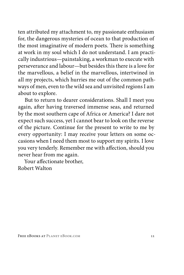ten attributed my attachment to, my passionate enthusiasm for, the dangerous mysteries of ocean to that production of the most imaginative of modern poets. There is something at work in my soul which I do not understand. I am practically industrious—painstaking, a workman to execute with perseverance and labour—but besides this there is a love for the marvellous, a belief in the marvellous, intertwined in all my projects, which hurries me out of the common pathways of men, even to the wild sea and unvisited regions I am about to explore.

But to return to dearer considerations. Shall I meet you again, after having traversed immense seas, and returned by the most southern cape of Africa or America? I dare not expect such success, yet I cannot bear to look on the reverse of the picture. Continue for the present to write to me by every opportunity: I may receive your letters on some occasions when I need them most to support my spirits. I love you very tenderly. Remember me with affection, should you never hear from me again.

Your affectionate brother, Robert Walton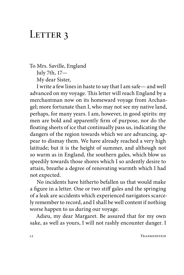### LETTER 3

To Mrs. Saville, England July 7th, 17—

My dear Sister,

I write a few lines in haste to say that I am safe— and well advanced on my voyage. This letter will reach England by a merchantman now on its homeward voyage from Archangel; more fortunate than I, who may not see my native land, perhaps, for many years. I am, however, in good spirits: my men are bold and apparently firm of purpose, nor do the floating sheets of ice that continually pass us, indicating the dangers of the region towards which we are advancing, appear to dismay them. We have already reached a very high latitude; but it is the height of summer, and although not so warm as in England, the southern gales, which blow us speedily towards those shores which I so ardently desire to attain, breathe a degree of renovating warmth which I had not expected.

No incidents have hitherto befallen us that would make a figure in a letter. One or two stiff gales and the springing of a leak are accidents which experienced navigators scarcely remember to record, and I shall be well content if nothing worse happen to us during our voyage.

Adieu, my dear Margaret. Be assured that for my own sake, as well as yours, I will not rashly encounter danger. I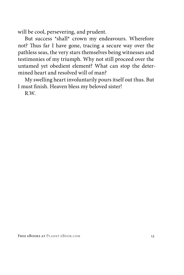will be cool, persevering, and prudent.

But success \*shall\* crown my endeavours. Wherefore not? Thus far I have gone, tracing a secure way over the pathless seas, the very stars themselves being witnesses and testimonies of my triumph. Why not still proceed over the untamed yet obedient element? What can stop the determined heart and resolved will of man?

My swelling heart involuntarily pours itself out thus. But I must finish. Heaven bless my beloved sister!

R.W.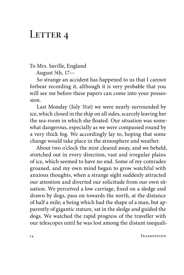# LETTER 4

To Mrs. Saville, England

August 5th, 17—

So strange an accident has happened to us that I cannot forbear recording it, although it is very probable that you will see me before these papers can come into your possession.

Last Monday (July 31st) we were nearly surrounded by ice, which closed in the ship on all sides, scarcely leaving her the sea-room in which she floated. Our situation was somewhat dangerous, especially as we were compassed round by a very thick fog. We accordingly lay to, hoping that some change would take place in the atmosphere and weather.

About two o'clock the mist cleared away, and we beheld, stretched out in every direction, vast and irregular plains of ice, which seemed to have no end. Some of my comrades groaned, and my own mind began to grow watchful with anxious thoughts, when a strange sight suddenly attracted our attention and diverted our solicitude from our own situation. We perceived a low carriage, fixed on a sledge and drawn by dogs, pass on towards the north, at the distance of half a mile; a being which had the shape of a man, but apparently of gigantic stature, sat in the sledge and guided the dogs. We watched the rapid progress of the traveller with our telescopes until he was lost among the distant inequali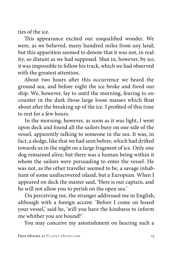ties of the ice.

This appearance excited our unqualified wonder. We were, as we believed, many hundred miles from any land; but this apparition seemed to denote that it was not, in reality, so distant as we had supposed. Shut in, however, by ice, it was impossible to follow his track, which we had observed with the greatest attention.

About two hours after this occurrence we heard the ground sea, and before night the ice broke and freed our ship. We, however, lay to until the morning, fearing to encounter in the dark those large loose masses which float about after the breaking up of the ice. I profited of this time to rest for a few hours.

In the morning, however, as soon as it was light, I went upon deck and found all the sailors busy on one side of the vessel, apparently talking to someone in the sea. It was, in fact, a sledge, like that we had seen before, which had drifted towards us in the night on a large fragment of ice. Only one dog remained alive; but there was a human being within it whom the sailors were persuading to enter the vessel. He was not, as the other traveller seemed to be, a savage inhabitant of some undiscovered island, but a European. When I appeared on deck the master said, 'Here is our captain, and he will not allow you to perish on the open sea.'

On perceiving me, the stranger addressed me in English, although with a foreign accent. 'Before I come on board your vessel,' said he, 'will you have the kindness to inform me whither you are bound?'

You may conceive my astonishment on hearing such a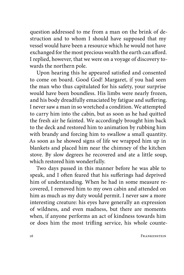question addressed to me from a man on the brink of destruction and to whom I should have supposed that my vessel would have been a resource which he would not have exchanged for the most precious wealth the earth can afford. I replied, however, that we were on a voyage of discovery towards the northern pole.

Upon hearing this he appeared satisfied and consented to come on board. Good God! Margaret, if you had seen the man who thus capitulated for his safety, your surprise would have been boundless. His limbs were nearly frozen, and his body dreadfully emaciated by fatigue and suffering. I never saw a man in so wretched a condition. We attempted to carry him into the cabin, but as soon as he had quitted the fresh air he fainted. We accordingly brought him back to the deck and restored him to animation by rubbing him with brandy and forcing him to swallow a small quantity. As soon as he showed signs of life we wrapped him up in blankets and placed him near the chimney of the kitchen stove. By slow degrees he recovered and ate a little soup, which restored him wonderfully.

Two days passed in this manner before he was able to speak, and I often feared that his sufferings had deprived him of understanding. When he had in some measure recovered, I removed him to my own cabin and attended on him as much as my duty would permit. I never saw a more interesting creature: his eyes have generally an expression of wildness, and even madness, but there are moments when, if anyone performs an act of kindness towards him or does him the most trifling service, his whole counte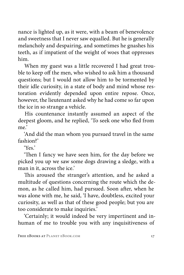nance is lighted up, as it were, with a beam of benevolence and sweetness that I never saw equalled. But he is generally melancholy and despairing, and sometimes he gnashes his teeth, as if impatient of the weight of woes that oppresses him.

When my guest was a little recovered I had great trouble to keep off the men, who wished to ask him a thousand questions; but I would not allow him to be tormented by their idle curiosity, in a state of body and mind whose restoration evidently depended upon entire repose. Once, however, the lieutenant asked why he had come so far upon the ice in so strange a vehicle.

His countenance instantly assumed an aspect of the deepest gloom, and he replied, 'To seek one who fled from me'

'And did the man whom you pursued travel in the same fashion?'

 $'Y_{\rho}$ 

'Then I fancy we have seen him, for the day before we picked you up we saw some dogs drawing a sledge, with a man in it, across the ice.'

This aroused the stranger's attention, and he asked a multitude of questions concerning the route which the demon, as he called him, had pursued. Soon after, when he was alone with me, he said, 'I have, doubtless, excited your curiosity, as well as that of these good people; but you are too considerate to make inquiries.'

'Certainly; it would indeed be very impertinent and inhuman of me to trouble you with any inquisitiveness of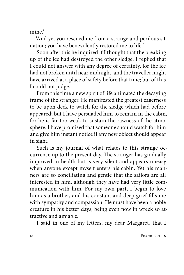mine'

'And yet you rescued me from a strange and perilous situation; you have benevolently restored me to life.'

Soon after this he inquired if I thought that the breaking up of the ice had destroyed the other sledge. I replied that I could not answer with any degree of certainty, for the ice had not broken until near midnight, and the traveller might have arrived at a place of safety before that time; but of this I could not judge.

From this time a new spirit of life animated the decaying frame of the stranger. He manifested the greatest eagerness to be upon deck to watch for the sledge which had before appeared; but I have persuaded him to remain in the cabin, for he is far too weak to sustain the rawness of the atmosphere. I have promised that someone should watch for him and give him instant notice if any new object should appear in sight.

Such is my journal of what relates to this strange occurrence up to the present day. The stranger has gradually improved in health but is very silent and appears uneasy when anyone except myself enters his cabin. Yet his manners are so conciliating and gentle that the sailors are all interested in him, although they have had very little communication with him. For my own part, I begin to love him as a brother, and his constant and deep grief fills me with sympathy and compassion. He must have been a noble creature in his better days, being even now in wreck so attractive and amiable.

I said in one of my letters, my dear Margaret, that I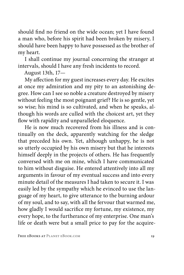should find no friend on the wide ocean; yet I have found a man who, before his spirit had been broken by misery, I should have been happy to have possessed as the brother of my heart.

I shall continue my journal concerning the stranger at intervals, should I have any fresh incidents to record.

August 13th, 17—

My affection for my guest increases every day. He excites at once my admiration and my pity to an astonishing degree. How can I see so noble a creature destroyed by misery without feeling the most poignant grief? He is so gentle, yet so wise; his mind is so cultivated, and when he speaks, although his words are culled with the choicest art, yet they flow with rapidity and unparalleled eloquence.

He is now much recovered from his illness and is continually on the deck, apparently watching for the sledge that preceded his own. Yet, although unhappy, he is not so utterly occupied by his own misery but that he interests himself deeply in the projects of others. He has frequently conversed with me on mine, which I have communicated to him without disguise. He entered attentively into all my arguments in favour of my eventual success and into every minute detail of the measures I had taken to secure it. I was easily led by the sympathy which he evinced to use the language of my heart, to give utterance to the burning ardour of my soul, and to say, with all the fervour that warmed me, how gladly I would sacrifice my fortune, my existence, my every hope, to the furtherance of my enterprise. One man's life or death were but a small price to pay for the acquire-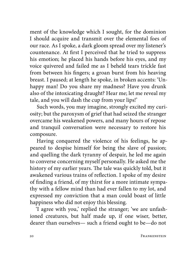ment of the knowledge which I sought, for the dominion I should acquire and transmit over the elemental foes of our race. As I spoke, a dark gloom spread over my listener's countenance. At first I perceived that he tried to suppress his emotion; he placed his hands before his eyes, and my voice quivered and failed me as I beheld tears trickle fast from between his fingers; a groan burst from his heaving breast. I paused; at length he spoke, in broken accents: 'Unhappy man! Do you share my madness? Have you drunk also of the intoxicating draught? Hear me; let me reveal my tale, and you will dash the cup from your lips!'

Such words, you may imagine, strongly excited my curiosity; but the paroxysm of grief that had seized the stranger overcame his weakened powers, and many hours of repose and tranquil conversation were necessary to restore his composure.

Having conquered the violence of his feelings, he appeared to despise himself for being the slave of passion; and quelling the dark tyranny of despair, he led me again to converse concerning myself personally. He asked me the history of my earlier years. The tale was quickly told, but it awakened various trains of reflection. I spoke of my desire of finding a friend, of my thirst for a more intimate sympathy with a fellow mind than had ever fallen to my lot, and expressed my conviction that a man could boast of little happiness who did not enjoy this blessing.

'I agree with you,' replied the stranger; 'we are unfashioned creatures, but half made up, if one wiser, better, dearer than ourselves— such a friend ought to be—do not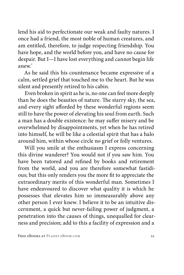lend his aid to perfectionate our weak and faulty natures. I once had a friend, the most noble of human creatures, and am entitled, therefore, to judge respecting friendship. You have hope, and the world before you, and have no cause for despair. But I—I have lost everything and cannot begin life anew.'

As he said this his countenance became expressive of a calm, settled grief that touched me to the heart. But he was silent and presently retired to his cabin.

Even broken in spirit as he is, no one can feel more deeply than he does the beauties of nature. The starry sky, the sea, and every sight afforded by these wonderful regions seem still to have the power of elevating his soul from earth. Such a man has a double existence: he may suffer misery and be overwhelmed by disappointments, yet when he has retired into himself, he will be like a celestial spirit that has a halo around him, within whose circle no grief or folly ventures.

Will you smile at the enthusiasm I express concerning this divine wanderer? You would not if you saw him. You have been tutored and refined by books and retirement from the world, and you are therefore somewhat fastidious; but this only renders you the more fit to appreciate the extraordinary merits of this wonderful man. Sometimes I have endeavoured to discover what quality it is which he possesses that elevates him so immeasurably above any other person I ever knew. I believe it to be an intuitive discernment, a quick but never-failing power of judgment, a penetration into the causes of things, unequalled for clearness and precision; add to this a facility of expression and a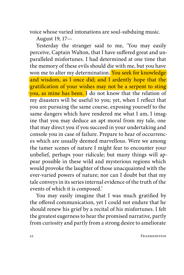voice whose varied intonations are soul-subduing music.

August 19, 17—

Yesterday the stranger said to me, 'You may easily perceive, Captain Walton, that I have suffered great and unparalleled misfortunes. I had determined at one time that the memory of these evils should die with me, but you have won me to alter my determination. You seek for knowledge and wisdom, as I once did; and I ardently hope that the gratification of your wishes may not be a serpent to sting you, as mine has been. I do not know that the relation of my disasters will be useful to you; yet, when I reflect that you are pursuing the same course, exposing yourself to the same dangers which have rendered me what I am, I imagine that you may deduce an apt moral from my tale, one that may direct you if you succeed in your undertaking and console you in case of failure. Prepare to hear of occurrences which are usually deemed marvellous. Were we among the tamer scenes of nature I might fear to encounter your unbelief, perhaps your ridicule; but many things will appear possible in these wild and mysterious regions which would provoke the laughter of those unacquainted with the ever-varied powers of nature; nor can I doubt but that my tale conveys in its series internal evidence of the truth of the events of which it is composed.'

You may easily imagine that I was much gratified by the offered communication, yet I could not endure that he should renew his grief by a recital of his misfortunes. I felt the greatest eagerness to hear the promised narrative, partly from curiosity and partly from a strong desire to ameliorate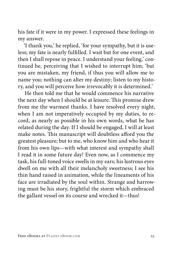his fate if it were in my power. I expressed these feelings in my answer.

'I thank you,' he replied, 'for your sympathy, but it is useless; my fate is nearly fulfilled. I wait but for one event, and then I shall repose in peace. I understand your feeling,' continued he, perceiving that I wished to interrupt him; 'but you are mistaken, my friend, if thus you will allow me to name you; nothing can alter my destiny; listen to my history, and you will perceive how irrevocably it is determined.'

He then told me that he would commence his narrative the next day when I should be at leisure. This promise drew from me the warmest thanks. I have resolved every night, when I am not imperatively occupied by my duties, to record, as nearly as possible in his own words, what he has related during the day. If I should be engaged, I will at least make notes. This manuscript will doubtless afford you the greatest pleasure; but to me, who know him and who hear it from his own lips—with what interest and sympathy shall I read it in some future day! Even now, as I commence my task, his full-toned voice swells in my ears; his lustrous eyes dwell on me with all their melancholy sweetness; I see his thin hand raised in animation, while the lineaments of his face are irradiated by the soul within. Strange and harrowing must be his story, frightful the storm which embraced the gallant vessel on its course and wrecked it—thus!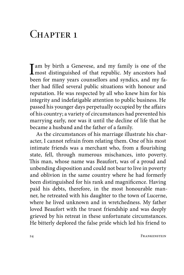# $CHAPTER$  1

 $\prod$ am by birth a Genevese, and my family is one of the most distinguished of that republic. My ancestors had been for many years counsellors and syndics, and my father had filled several public situations with honour and reputation. He was respected by all who knew him for his integrity and indefatigable attention to public business. He passed his younger days perpetually occupied by the affairs of his country; a variety of circumstances had prevented his marrying early, nor was it until the decline of life that he became a husband and the father of a family.

As the circumstances of his marriage illustrate his character, I cannot refrain from relating them. One of his most intimate friends was a merchant who, from a flourishing state, fell, through numerous mischances, into poverty. This man, whose name was Beaufort, was of a proud and unbending disposition and could not bear to live in poverty and oblivion in the same country where he had formerly been distinguished for his rank and magnificence. Having paid his debts, therefore, in the most honourable manner, he retreated with his daughter to the town of Lucerne, where he lived unknown and in wretchedness. My father loved Beaufort with the truest friendship and was deeply grieved by his retreat in these unfortunate circumstances. He bitterly deplored the false pride which led his friend to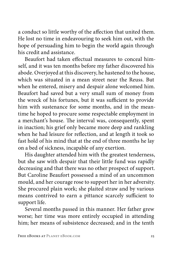a conduct so little worthy of the affection that united them. He lost no time in endeavouring to seek him out, with the hope of persuading him to begin the world again through his credit and assistance.

Beaufort had taken effectual measures to conceal himself, and it was ten months before my father discovered his abode. Overjoyed at this discovery, he hastened to the house, which was situated in a mean street near the Reuss. But when he entered, misery and despair alone welcomed him. Beaufort had saved but a very small sum of money from the wreck of his fortunes, but it was sufficient to provide him with sustenance for some months, and in the meantime he hoped to procure some respectable employment in a merchant's house. The interval was, consequently, spent in inaction; his grief only became more deep and rankling when he had leisure for reflection, and at length it took so fast hold of his mind that at the end of three months he lay on a bed of sickness, incapable of any exertion.

His daughter attended him with the greatest tenderness, but she saw with despair that their little fund was rapidly decreasing and that there was no other prospect of support. But Caroline Beaufort possessed a mind of an uncommon mould, and her courage rose to support her in her adversity. She procured plain work; she plaited straw and by various means contrived to earn a pittance scarcely sufficient to support life.

Several months passed in this manner. Her father grew worse; her time was more entirely occupied in attending him; her means of subsistence decreased; and in the tenth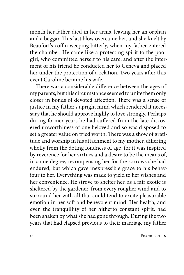month her father died in her arms, leaving her an orphan and a beggar. This last blow overcame her, and she knelt by Beaufort's coffin weeping bitterly, when my father entered the chamber. He came like a protecting spirit to the poor girl, who committed herself to his care; and after the interment of his friend he conducted her to Geneva and placed her under the protection of a relation. Two years after this event Caroline became his wife.

There was a considerable difference between the ages of my parents, but this circumstance seemed to unite them only closer in bonds of devoted affection. There was a sense of justice in my father's upright mind which rendered it necessary that he should approve highly to love strongly. Perhaps during former years he had suffered from the late-discovered unworthiness of one beloved and so was disposed to set a greater value on tried worth. There was a show of gratitude and worship in his attachment to my mother, differing wholly from the doting fondness of age, for it was inspired by reverence for her virtues and a desire to be the means of, in some degree, recompensing her for the sorrows she had endured, but which gave inexpressible grace to his behaviour to her. Everything was made to yield to her wishes and her convenience. He strove to shelter her, as a fair exotic is sheltered by the gardener, from every rougher wind and to surround her with all that could tend to excite pleasurable emotion in her soft and benevolent mind. Her health, and even the tranquillity of her hitherto constant spirit, had been shaken by what she had gone through. During the two years that had elapsed previous to their marriage my father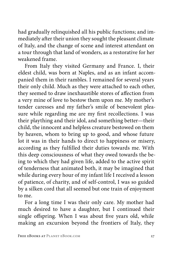had gradually relinquished all his public functions; and immediately after their union they sought the pleasant climate of Italy, and the change of scene and interest attendant on a tour through that land of wonders, as a restorative for her weakened frame.

From Italy they visited Germany and France. I, their eldest child, was born at Naples, and as an infant accompanied them in their rambles. I remained for several years their only child. Much as they were attached to each other, they seemed to draw inexhaustible stores of affection from a very mine of love to bestow them upon me. My mother's tender caresses and my father's smile of benevolent pleasure while regarding me are my first recollections. I was their plaything and their idol, and something better—their child, the innocent and helpless creature bestowed on them by heaven, whom to bring up to good, and whose future lot it was in their hands to direct to happiness or misery, according as they fulfilled their duties towards me. With this deep consciousness of what they owed towards the being to which they had given life, added to the active spirit of tenderness that animated both, it may be imagined that while during every hour of my infant life I received a lesson of patience, of charity, and of self-control, I was so guided by a silken cord that all seemed but one train of enjoyment to me.

For a long time I was their only care. My mother had much desired to have a daughter, but I continued their single offspring. When I was about five years old, while making an excursion beyond the frontiers of Italy, they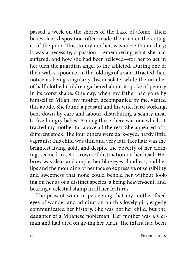passed a week on the shores of the Lake of Como. Their benevolent disposition often made them enter the cottages of the poor. This, to my mother, was more than a duty; it was a necessity, a passion—remembering what she had suffered, and how she had been relieved—for her to act in her turn the guardian angel to the afflicted. During one of their walks a poor cot in the foldings of a vale attracted their notice as being singularly disconsolate, while the number of half-clothed children gathered about it spoke of penury in its worst shape. One day, when my father had gone by himself to Milan, my mother, accompanied by me, visited this abode. She found a peasant and his wife, hard working, bent down by care and labour, distributing a scanty meal to five hungry babes. Among these there was one which attracted my mother far above all the rest. She appeared of a different stock. The four others were dark-eyed, hardy little vagrants; this child was thin and very fair. Her hair was the brightest living gold, and despite the poverty of her clothing, seemed to set a crown of distinction on her head. Her brow was clear and ample, her blue eyes cloudless, and her lips and the moulding of her face so expressive of sensibility and sweetness that none could behold her without looking on her as of a distinct species, a being heaven-sent, and bearing a celestial stamp in all her features.

The peasant woman, perceiving that my mother fixed eyes of wonder and admiration on this lovely girl, eagerly communicated her history. She was not her child, but the daughter of a Milanese nobleman. Her mother was a German and had died on giving her birth. The infant had been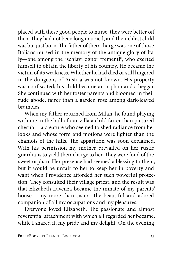placed with these good people to nurse: they were better off then. They had not been long married, and their eldest child was but just born. The father of their charge was one of those Italians nursed in the memory of the antique glory of Italy—one among the \*schiavi ognor frementi\*, who exerted himself to obtain the liberty of his country. He became the victim of its weakness. Whether he had died or still lingered in the dungeons of Austria was not known. His property was confiscated; his child became an orphan and a beggar. She continued with her foster parents and bloomed in their rude abode, fairer than a garden rose among dark-leaved brambles.

When my father returned from Milan, he found playing with me in the hall of our villa a child fairer than pictured cherub— a creature who seemed to shed radiance from her looks and whose form and motions were lighter than the chamois of the hills. The apparition was soon explained. With his permission my mother prevailed on her rustic guardians to yield their charge to her. They were fond of the sweet orphan. Her presence had seemed a blessing to them, but it would be unfair to her to keep her in poverty and want when Providence afforded her such powerful protection. They consulted their village priest, and the result was that Elizabeth Lavenza became the inmate of my parents' house— my more than sister—the beautiful and adored companion of all my occupations and my pleasures.

Everyone loved Elizabeth. The passionate and almost reverential attachment with which all regarded her became, while I shared it, my pride and my delight. On the evening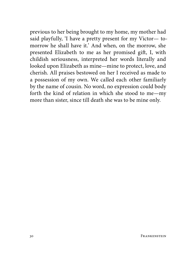previous to her being brought to my home, my mother had said playfully, 'I have a pretty present for my Victor— tomorrow he shall have it.' And when, on the morrow, she presented Elizabeth to me as her promised gift, I, with childish seriousness, interpreted her words literally and looked upon Elizabeth as mine—mine to protect, love, and cherish. All praises bestowed on her I received as made to a possession of my own. We called each other familiarly by the name of cousin. No word, no expression could body forth the kind of relation in which she stood to me—my more than sister, since till death she was to be mine only.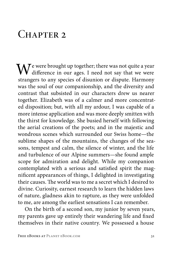# CHAPTER 2

 $\mathbf{W}^{\text{e were brought up together; there was not quite a year}}$ difference in our ages. I need not say that we were strangers to any species of disunion or dispute. Harmony was the soul of our companionship, and the diversity and contrast that subsisted in our characters drew us nearer together. Elizabeth was of a calmer and more concentrated disposition; but, with all my ardour, I was capable of a more intense application and was more deeply smitten with the thirst for knowledge. She busied herself with following the aerial creations of the poets; and in the majestic and wondrous scenes which surrounded our Swiss home—the sublime shapes of the mountains, the changes of the seasons, tempest and calm, the silence of winter, and the life and turbulence of our Alpine summers—she found ample scope for admiration and delight. While my companion contemplated with a serious and satisfied spirit the magnificent appearances of things, I delighted in investigating their causes. The world was to me a secret which I desired to divine. Curiosity, earnest research to learn the hidden laws of nature, gladness akin to rapture, as they were unfolded to me, are among the earliest sensations I can remember.

On the birth of a second son, my junior by seven years, my parents gave up entirely their wandering life and fixed themselves in their native country. We possessed a house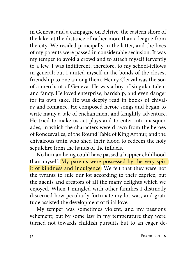in Geneva, and a campagne on Belrive, the eastern shore of the lake, at the distance of rather more than a league from the city. We resided principally in the latter, and the lives of my parents were passed in considerable seclusion. It was my temper to avoid a crowd and to attach myself fervently to a few. I was indifferent, therefore, to my school-fellows in general; but I united myself in the bonds of the closest friendship to one among them. Henry Clerval was the son of a merchant of Geneva. He was a boy of singular talent and fancy. He loved enterprise, hardship, and even danger for its own sake. He was deeply read in books of chivalry and romance. He composed heroic songs and began to write many a tale of enchantment and knightly adventure. He tried to make us act plays and to enter into masquerades, in which the characters were drawn from the heroes of Roncesvalles, of the Round Table of King Arthur, and the chivalrous train who shed their blood to redeem the holy sepulchre from the hands of the infidels.

No human being could have passed a happier childhood than myself. My parents were possessed by the very spirit of kindness and indulgence. We felt that they were not the tyrants to rule our lot according to their caprice, but the agents and creators of all the many delights which we enjoyed. When I mingled with other families I distinctly discerned how peculiarly fortunate my lot was, and gratitude assisted the development of filial love.

My temper was sometimes violent, and my passions vehement; but by some law in my temperature they were turned not towards childish pursuits but to an eager de-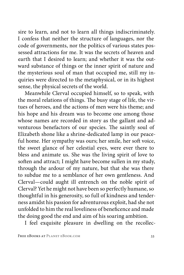sire to learn, and not to learn all things indiscriminately. I confess that neither the structure of languages, nor the code of governments, nor the politics of various states possessed attractions for me. It was the secrets of heaven and earth that I desired to learn; and whether it was the outward substance of things or the inner spirit of nature and the mysterious soul of man that occupied me, still my inquiries were directed to the metaphysical, or in its highest sense, the physical secrets of the world.

Meanwhile Clerval occupied himself, so to speak, with the moral relations of things. The busy stage of life, the virtues of heroes, and the actions of men were his theme; and his hope and his dream was to become one among those whose names are recorded in story as the gallant and adventurous benefactors of our species. The saintly soul of Elizabeth shone like a shrine-dedicated lamp in our peaceful home. Her sympathy was ours; her smile, her soft voice, the sweet glance of her celestial eyes, were ever there to bless and animate us. She was the living spirit of love to soften and attract; I might have become sullen in my study, through the ardour of my nature, but that she was there to subdue me to a semblance of her own gentleness. And Clerval—could aught ill entrench on the noble spirit of Clerval? Yet he might not have been so perfectly humane, so thoughtful in his generosity, so full of kindness and tenderness amidst his passion for adventurous exploit, had she not unfolded to him the real loveliness of beneficence and made the doing good the end and aim of his soaring ambition.

I feel exquisite pleasure in dwelling on the recollec-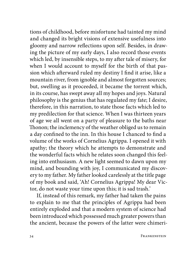tions of childhood, before misfortune had tainted my mind and changed its bright visions of extensive usefulness into gloomy and narrow reflections upon self. Besides, in drawing the picture of my early days, I also record those events which led, by insensible steps, to my after tale of misery, for when I would account to myself for the birth of that passion which afterward ruled my destiny I find it arise, like a mountain river, from ignoble and almost forgotten sources; but, swelling as it proceeded, it became the torrent which, in its course, has swept away all my hopes and joys. Natural philosophy is the genius that has regulated my fate; I desire, therefore, in this narration, to state those facts which led to my predilection for that science. When I was thirteen years of age we all went on a party of pleasure to the baths near Thonon; the inclemency of the weather obliged us to remain a day confined to the inn. In this house I chanced to find a volume of the works of Cornelius Agrippa. I opened it with apathy; the theory which he attempts to demonstrate and the wonderful facts which he relates soon changed this feeling into enthusiasm. A new light seemed to dawn upon my mind, and bounding with joy, I communicated my discovery to my father. My father looked carelessly at the title page of my book and said, 'Ah! Cornelius Agrippa! My dear Victor, do not waste your time upon this; it is sad trash.'

If, instead of this remark, my father had taken the pains to explain to me that the principles of Agrippa had been entirely exploded and that a modern system of science had been introduced which possessed much greater powers than the ancient, because the powers of the latter were chimeri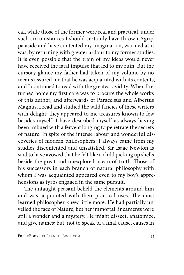cal, while those of the former were real and practical, under such circumstances I should certainly have thrown Agrippa aside and have contented my imagination, warmed as it was, by returning with greater ardour to my former studies. It is even possible that the train of my ideas would never have received the fatal impulse that led to my ruin. But the cursory glance my father had taken of my volume by no means assured me that he was acquainted with its contents, and I continued to read with the greatest avidity. When I returned home my first care was to procure the whole works of this author, and afterwards of Paracelsus and Albertus Magnus. I read and studied the wild fancies of these writers with delight; they appeared to me treasures known to few besides myself. I have described myself as always having been imbued with a fervent longing to penetrate the secrets of nature. In spite of the intense labour and wonderful discoveries of modern philosophers, I always came from my studies discontented and unsatisfied. Sir Isaac Newton is said to have avowed that he felt like a child picking up shells beside the great and unexplored ocean of truth. Those of his successors in each branch of natural philosophy with whom I was acquainted appeared even to my boy's apprehensions as tyros engaged in the same pursuit.

The untaught peasant beheld the elements around him and was acquainted with their practical uses. The most learned philosopher knew little more. He had partially unveiled the face of Nature, but her immortal lineaments were still a wonder and a mystery. He might dissect, anatomize, and give names; but, not to speak of a final cause, causes in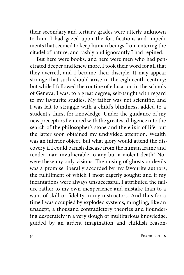their secondary and tertiary grades were utterly unknown to him. I had gazed upon the fortifications and impediments that seemed to keep human beings from entering the citadel of nature, and rashly and ignorantly I had repined.

But here were books, and here were men who had penetrated deeper and knew more. I took their word for all that they averred, and I became their disciple. It may appear strange that such should arise in the eighteenth century; but while I followed the routine of education in the schools of Geneva, I was, to a great degree, self-taught with regard to my favourite studies. My father was not scientific, and I was left to struggle with a child's blindness, added to a student's thirst for knowledge. Under the guidance of my new preceptors I entered with the greatest diligence into the search of the philosopher's stone and the elixir of life; but the latter soon obtained my undivided attention. Wealth was an inferior object, but what glory would attend the discovery if I could banish disease from the human frame and render man invulnerable to any but a violent death! Nor were these my only visions. The raising of ghosts or devils was a promise liberally accorded by my favourite authors, the fulfillment of which I most eagerly sought; and if my incantations were always unsuccessful, I attributed the failure rather to my own inexperience and mistake than to a want of skill or fidelity in my instructors. And thus for a time I was occupied by exploded systems, mingling, like an unadept, a thousand contradictory theories and floundering desperately in a very slough of multifarious knowledge, guided by an ardent imagination and childish reason-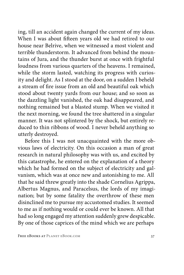ing, till an accident again changed the current of my ideas. When I was about fifteen years old we had retired to our house near Belrive, when we witnessed a most violent and terrible thunderstorm. It advanced from behind the mountains of Jura, and the thunder burst at once with frightful loudness from various quarters of the heavens. I remained, while the storm lasted, watching its progress with curiosity and delight. As I stood at the door, on a sudden I beheld a stream of fire issue from an old and beautiful oak which stood about twenty yards from our house; and so soon as the dazzling light vanished, the oak had disappeared, and nothing remained but a blasted stump. When we visited it the next morning, we found the tree shattered in a singular manner. It was not splintered by the shock, but entirely reduced to thin ribbons of wood. I never beheld anything so utterly destroyed.

Before this I was not unacquainted with the more obvious laws of electricity. On this occasion a man of great research in natural philosophy was with us, and excited by this catastrophe, he entered on the explanation of a theory which he had formed on the subject of electricity and galvanism, which was at once new and astonishing to me. All that he said threw greatly into the shade Cornelius Agrippa, Albertus Magnus, and Paracelsus, the lords of my imagination; but by some fatality the overthrow of these men disinclined me to pursue my accustomed studies. It seemed to me as if nothing would or could ever be known. All that had so long engaged my attention suddenly grew despicable. By one of those caprices of the mind which we are perhaps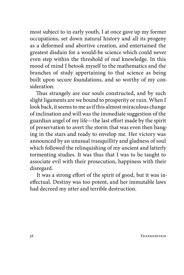most subject to in early youth, I at once gave up my former occupations, set down natural history and all its progeny as a deformed and abortive creation, and entertained the greatest disdain for a would-be science which could never even step within the threshold of real knowledge. In this mood of mind I betook myself to the mathematics and the branches of study appertaining to that science as being built upon secure foundations, and so worthy of my consideration.

Thus strangely are our souls constructed, and by such slight ligaments are we bound to prosperity or ruin. When I look back, it seems to me as if this almost miraculous change of inclination and will was the immediate suggestion of the guardian angel of my life—the last effort made by the spirit of preservation to avert the storm that was even then hanging in the stars and ready to envelop me. Her victory was announced by an unusual tranquillity and gladness of soul which followed the relinquishing of my ancient and latterly tormenting studies. It was thus that I was to be taught to associate evil with their prosecution, happiness with their disregard.

It was a strong effort of the spirit of good, but it was ineffectual. Destiny was too potent, and her immutable laws had decreed my utter and terrible destruction.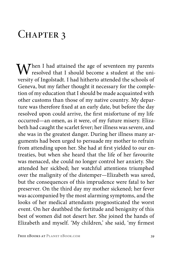## CHAPTER 3

 $\mathbf{W}$ hen I had attained the age of seventeen my parents resolved that I should become a student at the university of Ingolstadt. I had hitherto attended the schools of Geneva, but my father thought it necessary for the completion of my education that I should be made acquainted with other customs than those of my native country. My departure was therefore fixed at an early date, but before the day resolved upon could arrive, the first misfortune of my life occurred—an omen, as it were, of my future misery. Elizabeth had caught the scarlet fever; her illness was severe, and she was in the greatest danger. During her illness many arguments had been urged to persuade my mother to refrain from attending upon her. She had at first yielded to our entreaties, but when she heard that the life of her favourite was menaced, she could no longer control her anxiety. She attended her sickbed; her watchful attentions triumphed over the malignity of the distemper—Elizabeth was saved, but the consequences of this imprudence were fatal to her preserver. On the third day my mother sickened; her fever was accompanied by the most alarming symptoms, and the looks of her medical attendants prognosticated the worst event. On her deathbed the fortitude and benignity of this best of women did not desert her. She joined the hands of Elizabeth and myself. 'My children,' she said, 'my firmest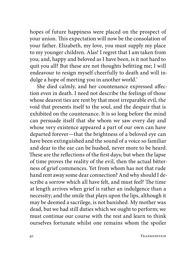hopes of future happiness were placed on the prospect of your union. This expectation will now be the consolation of your father. Elizabeth, my love, you must supply my place to my younger children. Alas! I regret that I am taken from you; and, happy and beloved as I have been, is it not hard to quit you all? But these are not thoughts befitting me; I will endeavour to resign myself cheerfully to death and will indulge a hope of meeting you in another world.'

She died calmly, and her countenance expressed affection even in death. I need not describe the feelings of those whose dearest ties are rent by that most irreparable evil, the void that presents itself to the soul, and the despair that is exhibited on the countenance. It is so long before the mind can persuade itself that she whom we saw every day and whose very existence appeared a part of our own can have departed forever—that the brightness of a beloved eye can have been extinguished and the sound of a voice so familiar and dear to the ear can be hushed, never more to be heard. These are the reflections of the first days; but when the lapse of time proves the reality of the evil, then the actual bitterness of grief commences. Yet from whom has not that rude hand rent away some dear connection? And why should I describe a sorrow which all have felt, and must feel? The time at length arrives when grief is rather an indulgence than a necessity; and the smile that plays upon the lips, although it may be deemed a sacrilege, is not banished. My mother was dead, but we had still duties which we ought to perform; we must continue our course with the rest and learn to think ourselves fortunate whilst one remains whom the spoiler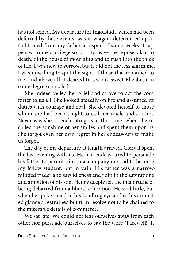has not seized. My departure for Ingolstadt, which had been deferred by these events, was now again determined upon. I obtained from my father a respite of some weeks. It appeared to me sacrilege so soon to leave the repose, akin to death, of the house of mourning and to rush into the thick of life. I was new to sorrow, but it did not the less alarm me. I was unwilling to quit the sight of those that remained to me, and above all, I desired to see my sweet Elizabeth in some degree consoled.

She indeed veiled her grief and strove to act the comforter to us all. She looked steadily on life and assumed its duties with courage and zeal. She devoted herself to those whom she had been taught to call her uncle and cousins. Never was she so enchanting as at this time, when she recalled the sunshine of her smiles and spent them upon us. She forgot even her own regret in her endeavours to make us forget.

The day of my departure at length arrived. Clerval spent the last evening with us. He had endeavoured to persuade his father to permit him to accompany me and to become my fellow student, but in vain. His father was a narrowminded trader and saw idleness and ruin in the aspirations and ambition of his son. Henry deeply felt the misfortune of being debarred from a liberal education. He said little, but when he spoke I read in his kindling eye and in his animated glance a restrained but firm resolve not to be chained to the miserable details of commerce.

We sat late. We could not tear ourselves away from each other nor persuade ourselves to say the word 'Farewell!' It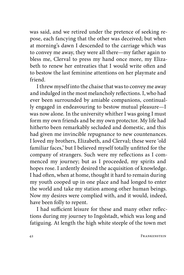was said, and we retired under the pretence of seeking repose, each fancying that the other was deceived; but when at morning's dawn I descended to the carriage which was to convey me away, they were all there—my father again to bless me, Clerval to press my hand once more, my Elizabeth to renew her entreaties that I would write often and to bestow the last feminine attentions on her playmate and friend.

I threw myself into the chaise that was to convey me away and indulged in the most melancholy reflections. I, who had ever been surrounded by amiable companions, continually engaged in endeavouring to bestow mutual pleasure—I was now alone. In the university whither I was going I must form my own friends and be my own protector. My life had hitherto been remarkably secluded and domestic, and this had given me invincible repugnance to new countenances. I loved my brothers, Elizabeth, and Clerval; these were 'old familiar faces,' but I believed myself totally unfitted for the company of strangers. Such were my reflections as I commenced my journey; but as I proceeded, my spirits and hopes rose. I ardently desired the acquisition of knowledge. I had often, when at home, thought it hard to remain during my youth cooped up in one place and had longed to enter the world and take my station among other human beings. Now my desires were complied with, and it would, indeed, have been folly to repent.

I had sufficient leisure for these and many other reflections during my journey to Ingolstadt, which was long and fatiguing. At length the high white steeple of the town met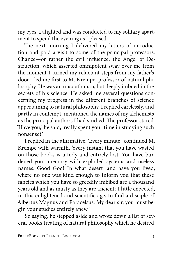my eyes. I alighted and was conducted to my solitary apartment to spend the evening as I pleased.

The next morning I delivered my letters of introduction and paid a visit to some of the principal professors. Chance—or rather the evil influence, the Angel of Destruction, which asserted omnipotent sway over me from the moment I turned my reluctant steps from my father's door—led me first to M. Krempe, professor of natural philosophy. He was an uncouth man, but deeply imbued in the secrets of his science. He asked me several questions concerning my progress in the different branches of science appertaining to natural philosophy. I replied carelessly, and partly in contempt, mentioned the names of my alchemists as the principal authors I had studied. The professor stared. 'Have you,' he said, 'really spent your time in studying such nonsense?'

I replied in the affirmative. 'Every minute,' continued M. Krempe with warmth, 'every instant that you have wasted on those books is utterly and entirely lost. You have burdened your memory with exploded systems and useless names. Good God! In what desert land have you lived, where no one was kind enough to inform you that these fancies which you have so greedily imbibed are a thousand years old and as musty as they are ancient? I little expected, in this enlightened and scientific age, to find a disciple of Albertus Magnus and Paracelsus. My dear sir, you must begin your studies entirely anew.'

So saying, he stepped aside and wrote down a list of several books treating of natural philosophy which he desired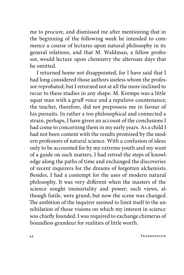me to procure, and dismissed me after mentioning that in the beginning of the following week he intended to commence a course of lectures upon natural philosophy in its general relations, and that M. Waldman, a fellow professor, would lecture upon chemistry the alternate days that he omitted.

I returned home not disappointed, for I have said that I had long considered those authors useless whom the professor reprobated; but I returned not at all the more inclined to recur to these studies in any shape. M. Krempe was a little squat man with a gruff voice and a repulsive countenance; the teacher, therefore, did not prepossess me in favour of his pursuits. In rather a too philosophical and connected a strain, perhaps, I have given an account of the conclusions I had come to concerning them in my early years. As a child I had not been content with the results promised by the modern professors of natural science. With a confusion of ideas only to be accounted for by my extreme youth and my want of a guide on such matters, I had retrod the steps of knowledge along the paths of time and exchanged the discoveries of recent inquirers for the dreams of forgotten alchemists. Besides, I had a contempt for the uses of modern natural philosophy. It was very different when the masters of the science sought immortality and power; such views, although futile, were grand; but now the scene was changed. The ambition of the inquirer seemed to limit itself to the annihilation of those visions on which my interest in science was chiefly founded. I was required to exchange chimeras of boundless grandeur for realities of little worth.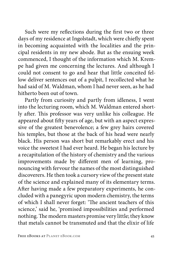Such were my reflections during the first two or three days of my residence at Ingolstadt, which were chiefly spent in becoming acquainted with the localities and the principal residents in my new abode. But as the ensuing week commenced, I thought of the information which M. Krempe had given me concerning the lectures. And although I could not consent to go and hear that little conceited fellow deliver sentences out of a pulpit, I recollected what he had said of M. Waldman, whom I had never seen, as he had hitherto been out of town.

Partly from curiosity and partly from idleness, I went into the lecturing room, which M. Waldman entered shortly after. This professor was very unlike his colleague. He appeared about fifty years of age, but with an aspect expressive of the greatest benevolence; a few grey hairs covered his temples, but those at the back of his head were nearly black. His person was short but remarkably erect and his voice the sweetest I had ever heard. He began his lecture by a recapitulation of the history of chemistry and the various improvements made by different men of learning, pronouncing with fervour the names of the most distinguished discoverers. He then took a cursory view of the present state of the science and explained many of its elementary terms. After having made a few preparatory experiments, he concluded with a panegyric upon modern chemistry, the terms of which I shall never forget: 'The ancient teachers of this science,' said he, 'promised impossibilities and performed nothing. The modern masters promise very little; they know that metals cannot be transmuted and that the elixir of life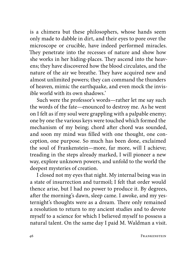is a chimera but these philosophers, whose hands seem only made to dabble in dirt, and their eyes to pore over the microscope or crucible, have indeed performed miracles. They penetrate into the recesses of nature and show how she works in her hiding-places. They ascend into the heavens; they have discovered how the blood circulates, and the nature of the air we breathe. They have acquired new and almost unlimited powers; they can command the thunders of heaven, mimic the earthquake, and even mock the invisible world with its own shadows.'

Such were the professor's words—rather let me say such the words of the fate—enounced to destroy me. As he went on I felt as if my soul were grappling with a palpable enemy; one by one the various keys were touched which formed the mechanism of my being; chord after chord was sounded, and soon my mind was filled with one thought, one conception, one purpose. So much has been done, exclaimed the soul of Frankenstein—more, far more, will I achieve; treading in the steps already marked, I will pioneer a new way, explore unknown powers, and unfold to the world the deepest mysteries of creation.

I closed not my eyes that night. My internal being was in a state of insurrection and turmoil; I felt that order would thence arise, but I had no power to produce it. By degrees, after the morning's dawn, sleep came. I awoke, and my yesternight's thoughts were as a dream. There only remained a resolution to return to my ancient studies and to devote myself to a science for which I believed myself to possess a natural talent. On the same day I paid M. Waldman a visit.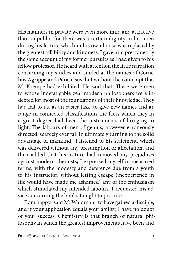His manners in private were even more mild and attractive than in public, for there was a certain dignity in his mien during his lecture which in his own house was replaced by the greatest affability and kindness. I gave him pretty nearly the same account of my former pursuits as I had given to his fellow professor. He heard with attention the little narration concerning my studies and smiled at the names of Cornelius Agrippa and Paracelsus, but without the contempt that M. Krempe had exhibited. He said that 'These were men to whose indefatigable zeal modern philosophers were indebted for most of the foundations of their knowledge. They had left to us, as an easier task, to give new names and arrange in connected classifications the facts which they in a great degree had been the instruments of bringing to light. The labours of men of genius, however erroneously directed, scarcely ever fail in ultimately turning to the solid advantage of mankind.' I listened to his statement, which was delivered without any presumption or affectation, and then added that his lecture had removed my prejudices against modern chemists; I expressed myself in measured terms, with the modesty and deference due from a youth to his instructor, without letting escape (inexperience in life would have made me ashamed) any of the enthusiasm which stimulated my intended labours. I requested his advice concerning the books I ought to procure.

'I am happy,' said M. Waldman, 'to have gained a disciple; and if your application equals your ability, I have no doubt of your success. Chemistry is that branch of natural philosophy in which the greatest improvements have been and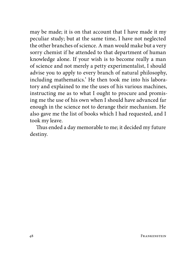may be made; it is on that account that I have made it my peculiar study; but at the same time, I have not neglected the other branches of science. A man would make but a very sorry chemist if he attended to that department of human knowledge alone. If your wish is to become really a man of science and not merely a petty experimentalist, I should advise you to apply to every branch of natural philosophy, including mathematics.' He then took me into his laboratory and explained to me the uses of his various machines, instructing me as to what I ought to procure and promising me the use of his own when I should have advanced far enough in the science not to derange their mechanism. He also gave me the list of books which I had requested, and I took my leave.

Thus ended a day memorable to me; it decided my future destiny.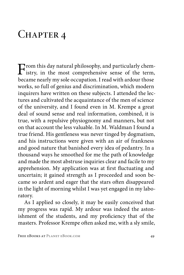## CHAPTER 4

From this day natural philosophy, and particularly chem-<br>istry, in the most comprehensive sense of the term,<br>have manufactured as compation I and with advantage became nearly my sole occupation. I read with ardour those works, so full of genius and discrimination, which modern inquirers have written on these subjects. I attended the lectures and cultivated the acquaintance of the men of science of the university, and I found even in M. Krempe a great deal of sound sense and real information, combined, it is true, with a repulsive physiognomy and manners, but not on that account the less valuable. In M. Waldman I found a true friend. His gentleness was never tinged by dogmatism, and his instructions were given with an air of frankness and good nature that banished every idea of pedantry. In a thousand ways he smoothed for me the path of knowledge and made the most abstruse inquiries clear and facile to my apprehension. My application was at first fluctuating and uncertain; it gained strength as I proceeded and soon became so ardent and eager that the stars often disappeared in the light of morning whilst I was yet engaged in my laboratory.

As I applied so closely, it may be easily conceived that my progress was rapid. My ardour was indeed the astonishment of the students, and my proficiency that of the masters. Professor Krempe often asked me, with a sly smile,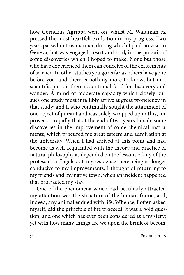how Cornelius Agrippa went on, whilst M. Waldman expressed the most heartfelt exultation in my progress. Two years passed in this manner, during which I paid no visit to Geneva, but was engaged, heart and soul, in the pursuit of some discoveries which I hoped to make. None but those who have experienced them can conceive of the enticements of science. In other studies you go as far as others have gone before you, and there is nothing more to know; but in a scientific pursuit there is continual food for discovery and wonder. A mind of moderate capacity which closely pursues one study must infallibly arrive at great proficiency in that study; and I, who continually sought the attainment of one object of pursuit and was solely wrapped up in this, improved so rapidly that at the end of two years I made some discoveries in the improvement of some chemical instruments, which procured me great esteem and admiration at the university. When I had arrived at this point and had become as well acquainted with the theory and practice of natural philosophy as depended on the lessons of any of the professors at Ingolstadt, my residence there being no longer conducive to my improvements, I thought of returning to my friends and my native town, when an incident happened that protracted my stay.

One of the phenomena which had peculiarly attracted my attention was the structure of the human frame, and, indeed, any animal endued with life. Whence, I often asked myself, did the principle of life proceed? It was a bold question, and one which has ever been considered as a mystery; yet with how many things are we upon the brink of becom-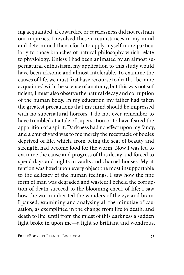ing acquainted, if cowardice or carelessness did not restrain our inquiries. I revolved these circumstances in my mind and determined thenceforth to apply myself more particularly to those branches of natural philosophy which relate to physiology. Unless I had been animated by an almost supernatural enthusiasm, my application to this study would have been irksome and almost intolerable. To examine the causes of life, we must first have recourse to death. I became acquainted with the science of anatomy, but this was not sufficient; I must also observe the natural decay and corruption of the human body. In my education my father had taken the greatest precautions that my mind should be impressed with no supernatural horrors. I do not ever remember to have trembled at a tale of superstition or to have feared the apparition of a spirit. Darkness had no effect upon my fancy, and a churchyard was to me merely the receptacle of bodies deprived of life, which, from being the seat of beauty and strength, had become food for the worm. Now I was led to examine the cause and progress of this decay and forced to spend days and nights in vaults and charnel-houses. My attention was fixed upon every object the most insupportable to the delicacy of the human feelings. I saw how the fine form of man was degraded and wasted; I beheld the corruption of death succeed to the blooming cheek of life; I saw how the worm inherited the wonders of the eye and brain. I paused, examining and analysing all the minutiae of causation, as exemplified in the change from life to death, and death to life, until from the midst of this darkness a sudden light broke in upon me—a light so brilliant and wondrous,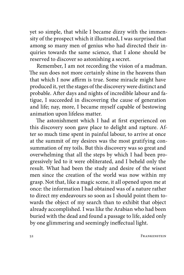yet so simple, that while I became dizzy with the immensity of the prospect which it illustrated, I was surprised that among so many men of genius who had directed their inquiries towards the same science, that I alone should be reserved to discover so astonishing a secret.

Remember, I am not recording the vision of a madman. The sun does not more certainly shine in the heavens than that which I now affirm is true. Some miracle might have produced it, yet the stages of the discovery were distinct and probable. After days and nights of incredible labour and fatigue, I succeeded in discovering the cause of generation and life; nay, more, I became myself capable of bestowing animation upon lifeless matter.

The astonishment which I had at first experienced on this discovery soon gave place to delight and rapture. After so much time spent in painful labour, to arrive at once at the summit of my desires was the most gratifying consummation of my toils. But this discovery was so great and overwhelming that all the steps by which I had been progressively led to it were obliterated, and I beheld only the result. What had been the study and desire of the wisest men since the creation of the world was now within my grasp. Not that, like a magic scene, it all opened upon me at once: the information I had obtained was of a nature rather to direct my endeavours so soon as I should point them towards the object of my search than to exhibit that object already accomplished. I was like the Arabian who had been buried with the dead and found a passage to life, aided only by one glimmering and seemingly ineffectual light.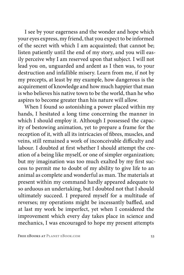I see by your eagerness and the wonder and hope which your eyes express, my friend, that you expect to be informed of the secret with which I am acquainted; that cannot be; listen patiently until the end of my story, and you will easily perceive why I am reserved upon that subject. I will not lead you on, unguarded and ardent as I then was, to your destruction and infallible misery. Learn from me, if not by my precepts, at least by my example, how dangerous is the acquirement of knowledge and how much happier that man is who believes his native town to be the world, than he who aspires to become greater than his nature will allow.

When I found so astonishing a power placed within my hands, I hesitated a long time concerning the manner in which I should employ it. Although I possessed the capacity of bestowing animation, yet to prepare a frame for the reception of it, with all its intricacies of fibres, muscles, and veins, still remained a work of inconceivable difficulty and labour. I doubted at first whether I should attempt the creation of a being like myself, or one of simpler organization; but my imagination was too much exalted by my first success to permit me to doubt of my ability to give life to an animal as complete and wonderful as man. The materials at present within my command hardly appeared adequate to so arduous an undertaking, but I doubted not that I should ultimately succeed. I prepared myself for a multitude of reverses; my operations might be incessantly baffled, and at last my work be imperfect, yet when I considered the improvement which every day takes place in science and mechanics, I was encouraged to hope my present attempts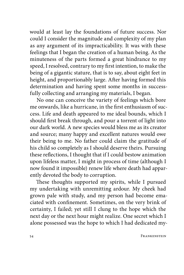would at least lay the foundations of future success. Nor could I consider the magnitude and complexity of my plan as any argument of its impracticability. It was with these feelings that I began the creation of a human being. As the minuteness of the parts formed a great hindrance to my speed, I resolved, contrary to my first intention, to make the being of a gigantic stature, that is to say, about eight feet in height, and proportionably large. After having formed this determination and having spent some months in successfully collecting and arranging my materials, I began.

No one can conceive the variety of feelings which bore me onwards, like a hurricane, in the first enthusiasm of success. Life and death appeared to me ideal bounds, which I should first break through, and pour a torrent of light into our dark world. A new species would bless me as its creator and source; many happy and excellent natures would owe their being to me. No father could claim the gratitude of his child so completely as I should deserve theirs. Pursuing these reflections, I thought that if I could bestow animation upon lifeless matter, I might in process of time (although I now found it impossible) renew life where death had apparently devoted the body to corruption.

These thoughts supported my spirits, while I pursued my undertaking with unremitting ardour. My cheek had grown pale with study, and my person had become emaciated with confinement. Sometimes, on the very brink of certainty, I failed; yet still I clung to the hope which the next day or the next hour might realize. One secret which I alone possessed was the hope to which I had dedicated my-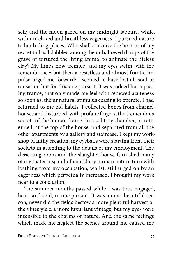self; and the moon gazed on my midnight labours, while, with unrelaxed and breathless eagerness, I pursued nature to her hiding-places. Who shall conceive the horrors of my secret toil as I dabbled among the unhallowed damps of the grave or tortured the living animal to animate the lifeless clay? My limbs now tremble, and my eyes swim with the remembrance; but then a resistless and almost frantic impulse urged me forward; I seemed to have lost all soul or sensation but for this one pursuit. It was indeed but a passing trance, that only made me feel with renewed acuteness so soon as, the unnatural stimulus ceasing to operate, I had returned to my old habits. I collected bones from charnelhouses and disturbed, with profane fingers, the tremendous secrets of the human frame. In a solitary chamber, or rather cell, at the top of the house, and separated from all the other apartments by a gallery and staircase, I kept my workshop of filthy creation; my eyeballs were starting from their sockets in attending to the details of my employment. The dissecting room and the slaughter-house furnished many of my materials; and often did my human nature turn with loathing from my occupation, whilst, still urged on by an eagerness which perpetually increased, I brought my work near to a conclusion.

The summer months passed while I was thus engaged, heart and soul, in one pursuit. It was a most beautiful season; never did the fields bestow a more plentiful harvest or the vines yield a more luxuriant vintage, but my eyes were insensible to the charms of nature. And the same feelings which made me neglect the scenes around me caused me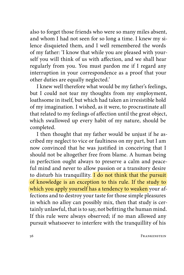also to forget those friends who were so many miles absent, and whom I had not seen for so long a time. I knew my silence disquieted them, and I well remembered the words of my father: 'I know that while you are pleased with yourself you will think of us with affection, and we shall hear regularly from you. You must pardon me if I regard any interruption in your correspondence as a proof that your other duties are equally neglected.'

I knew well therefore what would be my father's feelings, but I could not tear my thoughts from my employment, loathsome in itself, but which had taken an irresistible hold of my imagination. I wished, as it were, to procrastinate all that related to my feelings of affection until the great object, which swallowed up every habit of my nature, should be completed.

I then thought that my father would be unjust if he ascribed my neglect to vice or faultiness on my part, but I am now convinced that he was justified in conceiving that I should not be altogether free from blame. A human being in perfection ought always to preserve a calm and peaceful mind and never to allow passion or a transitory desire to disturb his tranquillity. I do not think that the pursuit of knowledge is an exception to this rule. If the study to which you apply yourself has a tendency to weaken your affections and to destroy your taste for those simple pleasures in which no alloy can possibly mix, then that study is certainly unlawful, that is to say, not befitting the human mind. If this rule were always observed; if no man allowed any pursuit whatsoever to interfere with the tranquillity of his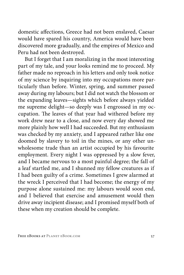domestic affections, Greece had not been enslaved, Caesar would have spared his country, America would have been discovered more gradually, and the empires of Mexico and Peru had not been destroyed.

But I forget that I am moralizing in the most interesting part of my tale, and your looks remind me to proceed. My father made no reproach in his letters and only took notice of my science by inquiring into my occupations more particularly than before. Winter, spring, and summer passed away during my labours; but I did not watch the blossom or the expanding leaves—sights which before always yielded me supreme delight—so deeply was I engrossed in my occupation. The leaves of that year had withered before my work drew near to a close, and now every day showed me more plainly how well I had succeeded. But my enthusiasm was checked by my anxiety, and I appeared rather like one doomed by slavery to toil in the mines, or any other unwholesome trade than an artist occupied by his favourite employment. Every night I was oppressed by a slow fever, and I became nervous to a most painful degree; the fall of a leaf startled me, and I shunned my fellow creatures as if I had been guilty of a crime. Sometimes I grew alarmed at the wreck I perceived that I had become; the energy of my purpose alone sustained me: my labours would soon end, and I believed that exercise and amusement would then drive away incipient disease; and I promised myself both of these when my creation should be complete.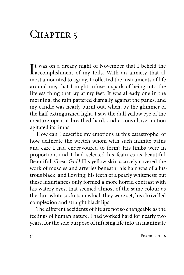## CHAPTER<sub>5</sub>

It was on a dreary night of November that I beheld the<br>accomplishment of my toils. With an anxiety that al-<br>most emperated to prove I called the instruments of life accomplishment of my toils. With an anxiety that almost amounted to agony, I collected the instruments of life around me, that I might infuse a spark of being into the lifeless thing that lay at my feet. It was already one in the morning; the rain pattered dismally against the panes, and my candle was nearly burnt out, when, by the glimmer of the half-extinguished light, I saw the dull yellow eye of the creature open; it breathed hard, and a convulsive motion agitated its limbs.

How can I describe my emotions at this catastrophe, or how delineate the wretch whom with such infinite pains and care I had endeavoured to form? His limbs were in proportion, and I had selected his features as beautiful. Beautiful! Great God! His yellow skin scarcely covered the work of muscles and arteries beneath; his hair was of a lustrous black, and flowing; his teeth of a pearly whiteness; but these luxuriances only formed a more horrid contrast with his watery eyes, that seemed almost of the same colour as the dun-white sockets in which they were set, his shrivelled complexion and straight black lips.

The different accidents of life are not so changeable as the feelings of human nature. I had worked hard for nearly two years, for the sole purpose of infusing life into an inanimate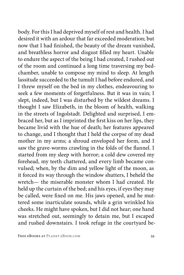body. For this I had deprived myself of rest and health. I had desired it with an ardour that far exceeded moderation; but now that I had finished, the beauty of the dream vanished, and breathless horror and disgust filled my heart. Unable to endure the aspect of the being I had created, I rushed out of the room and continued a long time traversing my bedchamber, unable to compose my mind to sleep. At length lassitude succeeded to the tumult I had before endured, and I threw myself on the bed in my clothes, endeavouring to seek a few moments of forgetfulness. But it was in vain; I slept, indeed, but I was disturbed by the wildest dreams. I thought I saw Elizabeth, in the bloom of health, walking in the streets of Ingolstadt. Delighted and surprised, I embraced her, but as I imprinted the first kiss on her lips, they became livid with the hue of death; her features appeared to change, and I thought that I held the corpse of my dead mother in my arms; a shroud enveloped her form, and I saw the grave-worms crawling in the folds of the flannel. I started from my sleep with horror; a cold dew covered my forehead, my teeth chattered, and every limb became convulsed; when, by the dim and yellow light of the moon, as it forced its way through the window shutters, I beheld the wretch— the miserable monster whom I had created. He held up the curtain of the bed; and his eyes, if eyes they may be called, were fixed on me. His jaws opened, and he muttered some inarticulate sounds, while a grin wrinkled his cheeks. He might have spoken, but I did not hear; one hand was stretched out, seemingly to detain me, but I escaped and rushed downstairs. I took refuge in the courtyard be-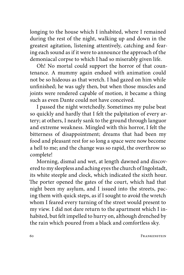longing to the house which I inhabited, where I remained during the rest of the night, walking up and down in the greatest agitation, listening attentively, catching and fearing each sound as if it were to announce the approach of the demoniacal corpse to which I had so miserably given life.

Oh! No mortal could support the horror of that countenance. A mummy again endued with animation could not be so hideous as that wretch. I had gazed on him while unfinished; he was ugly then, but when those muscles and joints were rendered capable of motion, it became a thing such as even Dante could not have conceived.

I passed the night wretchedly. Sometimes my pulse beat so quickly and hardly that I felt the palpitation of every artery; at others, I nearly sank to the ground through languor and extreme weakness. Mingled with this horror, I felt the bitterness of disappointment; dreams that had been my food and pleasant rest for so long a space were now become a hell to me; and the change was so rapid, the overthrow so complete!

Morning, dismal and wet, at length dawned and discovered to my sleepless and aching eyes the church of Ingolstadt, its white steeple and clock, which indicated the sixth hour. The porter opened the gates of the court, which had that night been my asylum, and I issued into the streets, pacing them with quick steps, as if I sought to avoid the wretch whom I feared every turning of the street would present to my view. I did not dare return to the apartment which I inhabited, but felt impelled to hurry on, although drenched by the rain which poured from a black and comfortless sky.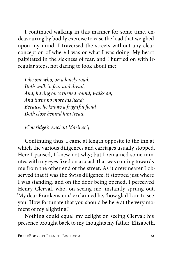I continued walking in this manner for some time, endeavouring by bodily exercise to ease the load that weighed upon my mind. I traversed the streets without any clear conception of where I was or what I was doing. My heart palpitated in the sickness of fear, and I hurried on with irregular steps, not daring to look about me:

*Like one who, on a lonely road, Doth walk in fear and dread, And, having once turned round, walks on, And turns no more his head; Because he knows a frightful fiend Doth close behind him tread.*

*[Coleridge's 'Ancient Mariner.']*

Continuing thus, I came at length opposite to the inn at which the various diligences and carriages usually stopped. Here I paused, I knew not why; but I remained some minutes with my eyes fixed on a coach that was coming towards me from the other end of the street. As it drew nearer I observed that it was the Swiss diligence; it stopped just where I was standing, and on the door being opened, I perceived Henry Clerval, who, on seeing me, instantly sprung out. 'My dear Frankenstein,' exclaimed he, 'how glad I am to see you! How fortunate that you should be here at the very moment of my alighting!'

Nothing could equal my delight on seeing Clerval; his presence brought back to my thoughts my father, Elizabeth,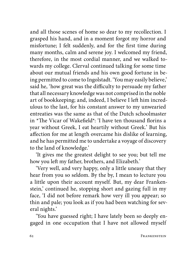and all those scenes of home so dear to my recollection. I grasped his hand, and in a moment forgot my horror and misfortune; I felt suddenly, and for the first time during many months, calm and serene joy. I welcomed my friend, therefore, in the most cordial manner, and we walked towards my college. Clerval continued talking for some time about our mutual friends and his own good fortune in being permitted to come to Ingolstadt. 'You may easily believe,' said he, 'how great was the difficulty to persuade my father that all necessary knowledge was not comprised in the noble art of bookkeeping; and, indeed, I believe I left him incredulous to the last, for his constant answer to my unwearied entreaties was the same as that of the Dutch schoolmaster in \*The Vicar of Wakefield\*: 'I have ten thousand florins a year without Greek, I eat heartily without Greek.' But his affection for me at length overcame his dislike of learning, and he has permitted me to undertake a voyage of discovery to the land of knowledge.'

'It gives me the greatest delight to see you; but tell me how you left my father, brothers, and Elizabeth.'

'Very well, and very happy, only a little uneasy that they hear from you so seldom. By the by, I mean to lecture you a little upon their account myself. But, my dear Frankenstein,' continued he, stopping short and gazing full in my face, 'I did not before remark how very ill you appear; so thin and pale; you look as if you had been watching for several nights.'

'You have guessed right; I have lately been so deeply engaged in one occupation that I have not allowed myself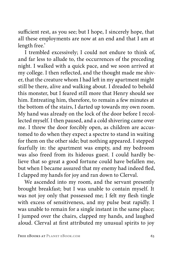sufficient rest, as you see; but I hope, I sincerely hope, that all these employments are now at an end and that I am at length free.'

I trembled excessively; I could not endure to think of, and far less to allude to, the occurrences of the preceding night. I walked with a quick pace, and we soon arrived at my college. I then reflected, and the thought made me shiver, that the creature whom I had left in my apartment might still be there, alive and walking about. I dreaded to behold this monster, but I feared still more that Henry should see him. Entreating him, therefore, to remain a few minutes at the bottom of the stairs, I darted up towards my own room. My hand was already on the lock of the door before I recollected myself. I then paused, and a cold shivering came over me. I threw the door forcibly open, as children are accustomed to do when they expect a spectre to stand in waiting for them on the other side; but nothing appeared. I stepped fearfully in: the apartment was empty, and my bedroom was also freed from its hideous guest. I could hardly believe that so great a good fortune could have befallen me, but when I became assured that my enemy had indeed fled, I clapped my hands for joy and ran down to Clerval.

We ascended into my room, and the servant presently brought breakfast; but I was unable to contain myself. It was not joy only that possessed me; I felt my flesh tingle with excess of sensitiveness, and my pulse beat rapidly. I was unable to remain for a single instant in the same place; I jumped over the chairs, clapped my hands, and laughed aloud. Clerval at first attributed my unusual spirits to joy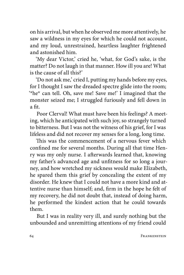on his arrival, but when he observed me more attentively, he saw a wildness in my eyes for which he could not account, and my loud, unrestrained, heartless laughter frightened and astonished him.

'My dear Victor,' cried he, 'what, for God's sake, is the matter? Do not laugh in that manner. How ill you are! What is the cause of all this?'

'Do not ask me,' cried I, putting my hands before my eyes, for I thought I saw the dreaded spectre glide into the room; '\*he\* can tell. Oh, save me! Save me!' I imagined that the monster seized me; I struggled furiously and fell down in a fit.

Poor Clerval! What must have been his feelings? A meeting, which he anticipated with such joy, so strangely turned to bitterness. But I was not the witness of his grief, for I was lifeless and did not recover my senses for a long, long time.

This was the commencement of a nervous fever which confined me for several months. During all that time Henry was my only nurse. I afterwards learned that, knowing my father's advanced age and unfitness for so long a journey, and how wretched my sickness would make Elizabeth, he spared them this grief by concealing the extent of my disorder. He knew that I could not have a more kind and attentive nurse than himself; and, firm in the hope he felt of my recovery, he did not doubt that, instead of doing harm, he performed the kindest action that he could towards them.

But I was in reality very ill, and surely nothing but the unbounded and unremitting attentions of my friend could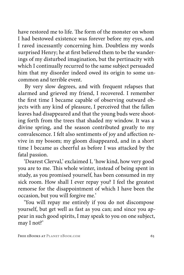have restored me to life. The form of the monster on whom I had bestowed existence was forever before my eyes, and I raved incessantly concerning him. Doubtless my words surprised Henry; he at first believed them to be the wanderings of my disturbed imagination, but the pertinacity with which I continually recurred to the same subject persuaded him that my disorder indeed owed its origin to some uncommon and terrible event.

By very slow degrees, and with frequent relapses that alarmed and grieved my friend, I recovered. I remember the first time I became capable of observing outward objects with any kind of pleasure, I perceived that the fallen leaves had disappeared and that the young buds were shooting forth from the trees that shaded my window. It was a divine spring, and the season contributed greatly to my convalescence. I felt also sentiments of joy and affection revive in my bosom; my gloom disappeared, and in a short time I became as cheerful as before I was attacked by the fatal passion.

'Dearest Clerval,' exclaimed I, 'how kind, how very good you are to me. This whole winter, instead of being spent in study, as you promised yourself, has been consumed in my sick room. How shall I ever repay you? I feel the greatest remorse for the disappointment of which I have been the occasion, but you will forgive me.'

'You will repay me entirely if you do not discompose yourself, but get well as fast as you can; and since you appear in such good spirits, I may speak to you on one subject, may I not?'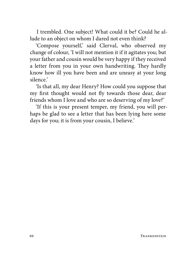I trembled. One subject! What could it be? Could he allude to an object on whom I dared not even think?

'Compose yourself,' said Clerval, who observed my change of colour, 'I will not mention it if it agitates you; but your father and cousin would be very happy if they received a letter from you in your own handwriting. They hardly know how ill you have been and are uneasy at your long silence.'

'Is that all, my dear Henry? How could you suppose that my first thought would not fly towards those dear, dear friends whom I love and who are so deserving of my love?'

'If this is your present temper, my friend, you will perhaps be glad to see a letter that has been lying here some days for you; it is from your cousin, I believe.'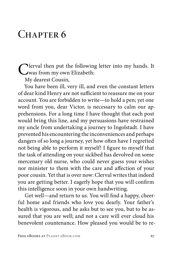## CHAPTER 6

Clerval then put the following letter into my hands. It<br>
was from my own Elizabeth:<br>
Markowski Consin

My dearest Cousin,

You have been ill, very ill, and even the constant letters of dear kind Henry are not sufficient to reassure me on your account. You are forbidden to write—to hold a pen; yet one word from you, dear Victor, is necessary to calm our apprehensions. For a long time I have thought that each post would bring this line, and my persuasions have restrained my uncle from undertaking a journey to Ingolstadt. I have prevented his encountering the inconveniences and perhaps dangers of so long a journey, yet how often have I regretted not being able to perform it myself! I figure to myself that the task of attending on your sickbed has devolved on some mercenary old nurse, who could never guess your wishes nor minister to them with the care and affection of your poor cousin. Yet that is over now: Clerval writes that indeed you are getting better. I eagerly hope that you will confirm this intelligence soon in your own handwriting.

Get well—and return to us. You will find a happy, cheerful home and friends who love you dearly. Your father's health is vigorous, and he asks but to see you, but to be assured that you are well; and not a care will ever cloud his benevolent countenance. How pleased you would be to re-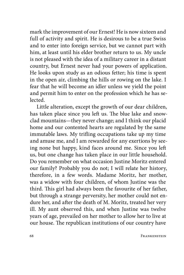mark the improvement of our Ernest! He is now sixteen and full of activity and spirit. He is desirous to be a true Swiss and to enter into foreign service, but we cannot part with him, at least until his elder brother return to us. My uncle is not pleased with the idea of a military career in a distant country, but Ernest never had your powers of application. He looks upon study as an odious fetter; his time is spent in the open air, climbing the hills or rowing on the lake. I fear that he will become an idler unless we yield the point and permit him to enter on the profession which he has se**lected** 

Little alteration, except the growth of our dear children, has taken place since you left us. The blue lake and snowclad mountains—they never change; and I think our placid home and our contented hearts are regulated by the same immutable laws. My trifling occupations take up my time and amuse me, and I am rewarded for any exertions by seeing none but happy, kind faces around me. Since you left us, but one change has taken place in our little household. Do you remember on what occasion Justine Moritz entered our family? Probably you do not; I will relate her history, therefore, in a few words. Madame Moritz, her mother, was a widow with four children, of whom Justine was the third. This girl had always been the favourite of her father, but through a strange perversity, her mother could not endure her, and after the death of M. Moritz, treated her very ill. My aunt observed this, and when Justine was twelve years of age, prevailed on her mother to allow her to live at our house. The republican institutions of our country have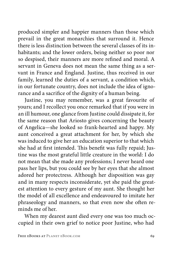produced simpler and happier manners than those which prevail in the great monarchies that surround it. Hence there is less distinction between the several classes of its inhabitants; and the lower orders, being neither so poor nor so despised, their manners are more refined and moral. A servant in Geneva does not mean the same thing as a servant in France and England. Justine, thus received in our family, learned the duties of a servant, a condition which, in our fortunate country, does not include the idea of ignorance and a sacrifice of the dignity of a human being.

Justine, you may remember, was a great favourite of yours; and I recollect you once remarked that if you were in an ill humour, one glance from Justine could dissipate it, for the same reason that Ariosto gives concerning the beauty of Angelica—she looked so frank-hearted and happy. My aunt conceived a great attachment for her, by which she was induced to give her an education superior to that which she had at first intended. This benefit was fully repaid; Justine was the most grateful little creature in the world: I do not mean that she made any professions; I never heard one pass her lips, but you could see by her eyes that she almost adored her protectress. Although her disposition was gay and in many respects inconsiderate, yet she paid the greatest attention to every gesture of my aunt. She thought her the model of all excellence and endeavoured to imitate her phraseology and manners, so that even now she often reminds me of her.

When my dearest aunt died every one was too much occupied in their own grief to notice poor Justine, who had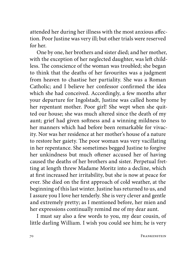attended her during her illness with the most anxious affection. Poor Justine was very ill; but other trials were reserved for her.

One by one, her brothers and sister died; and her mother, with the exception of her neglected daughter, was left childless. The conscience of the woman was troubled; she began to think that the deaths of her favourites was a judgment from heaven to chastise her partiality. She was a Roman Catholic; and I believe her confessor confirmed the idea which she had conceived. Accordingly, a few months after your departure for Ingolstadt, Justine was called home by her repentant mother. Poor girl! She wept when she quitted our house; she was much altered since the death of my aunt; grief had given softness and a winning mildness to her manners which had before been remarkable for vivacity. Nor was her residence at her mother's house of a nature to restore her gaiety. The poor woman was very vacillating in her repentance. She sometimes begged Justine to forgive her unkindness but much oftener accused her of having caused the deaths of her brothers and sister. Perpetual fretting at length threw Madame Moritz into a decline, which at first increased her irritability, but she is now at peace for ever. She died on the first approach of cold weather, at the beginning of this last winter. Justine has returned to us, and I assure you I love her tenderly. She is very clever and gentle and extremely pretty; as I mentioned before, her mien and her expressions continually remind me of my dear aunt.

I must say also a few words to you, my dear cousin, of little darling William. I wish you could see him; he is very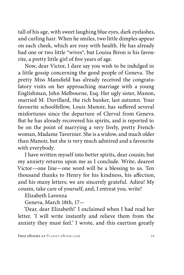tall of his age, with sweet laughing blue eyes, dark eyelashes, and curling hair. When he smiles, two little dimples appear on each cheek, which are rosy with health. He has already had one or two little \*wives\*, but Louisa Biron is his favourite, a pretty little girl of five years of age.

Now, dear Victor, I dare say you wish to be indulged in a little gossip concerning the good people of Geneva. The pretty Miss Mansfield has already received the congratulatory visits on her approaching marriage with a young Englishman, John Melbourne, Esq. Her ugly sister, Manon, married M. Duvillard, the rich banker, last autumn. Your favourite schoolfellow, Louis Manoir, has suffered several misfortunes since the departure of Clerval from Geneva. But he has already recovered his spirits, and is reported to be on the point of marrying a very lively, pretty Frenchwoman, Madame Tavernier. She is a widow, and much older than Manoir, but she is very much admired and a favourite with everybody.

I have written myself into better spirits, dear cousin; but my anxiety returns upon me as I conclude. Write, dearest Victor—one line—one word will be a blessing to us. Ten thousand thanks to Henry for his kindness, his affection, and his many letters; we are sincerely grateful. Adieu! My cousin, take care of yourself, and, I entreat you, write!

Elizabeth Lavenza

Geneva, March 18th, 17—

'Dear, dear Elizabeth!' I exclaimed when I had read her letter. 'I will write instantly and relieve them from the anxiety they must feel.' I wrote, and this exertion greatly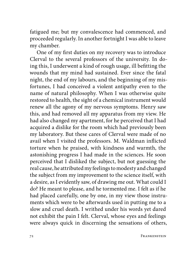fatigued me; but my convalescence had commenced, and proceeded regularly. In another fortnight I was able to leave my chamber.

One of my first duties on my recovery was to introduce Clerval to the several professors of the university. In doing this, I underwent a kind of rough usage, ill befitting the wounds that my mind had sustained. Ever since the fatal night, the end of my labours, and the beginning of my misfortunes, I had conceived a violent antipathy even to the name of natural philosophy. When I was otherwise quite restored to health, the sight of a chemical instrument would renew all the agony of my nervous symptoms. Henry saw this, and had removed all my apparatus from my view. He had also changed my apartment, for he perceived that I had acquired a dislike for the room which had previously been my laboratory. But these cares of Clerval were made of no avail when I visited the professors. M. Waldman inflicted torture when he praised, with kindness and warmth, the astonishing progress I had made in the sciences. He soon perceived that I disliked the subject, but not guessing the real cause, he attributed my feelings to modesty and changed the subject from my improvement to the science itself, with a desire, as I evidently saw, of drawing me out. What could I do? He meant to please, and he tormented me. I felt as if he had placed carefully, one by one, in my view those instruments which were to be afterwards used in putting me to a slow and cruel death. I writhed under his words yet dared not exhibit the pain I felt. Clerval, whose eyes and feelings were always quick in discerning the sensations of others,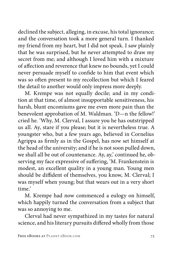declined the subject, alleging, in excuse, his total ignorance; and the conversation took a more general turn. I thanked my friend from my heart, but I did not speak. I saw plainly that he was surprised, but he never attempted to draw my secret from me; and although I loved him with a mixture of affection and reverence that knew no bounds, yet I could never persuade myself to confide to him that event which was so often present to my recollection but which I feared the detail to another would only impress more deeply.

M. Krempe was not equally docile; and in my condition at that time, of almost insupportable sensitiveness, his harsh, blunt encomiums gave me even more pain than the benevolent approbation of M. Waldman. 'D—n the fellow!' cried he. 'Why, M. Clerval, I assure you he has outstripped us all. Ay, stare if you please; but it is nevertheless true. A youngster who, but a few years ago, believed in Cornelius Agrippa as firmly as in the Gospel, has now set himself at the head of the university; and if he is not soon pulled down, we shall all be out of countenance. Ay, ay,' continued he, observing my face expressive of suffering, 'M. Frankenstein is modest, an excellent quality in a young man. Young men should be diffident of themselves, you know, M. Clerval; I was myself when young; but that wears out in a very short time.'

M. Krempe had now commenced a eulogy on himself, which happily turned the conversation from a subject that was so annoying to me.

Clerval had never sympathized in my tastes for natural science, and his literary pursuits differed wholly from those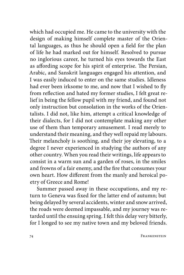which had occupied me. He came to the university with the design of making himself complete master of the Oriental languages, as thus he should open a field for the plan of life he had marked out for himself. Resolved to pursue no inglorious career, he turned his eyes towards the East as affording scope for his spirit of enterprise. The Persian, Arabic, and Sanskrit languages engaged his attention, and I was easily induced to enter on the same studies. Idleness had ever been irksome to me, and now that I wished to fly from reflection and hated my former studies, I felt great relief in being the fellow pupil with my friend, and found not only instruction but consolation in the works of the Orientalists. I did not, like him, attempt a critical knowledge of their dialects, for I did not contemplate making any other use of them than temporary amusement. I read merely to understand their meaning, and they well repaid my labours. Their melancholy is soothing, and their joy elevating, to a degree I never experienced in studying the authors of any other country. When you read their writings, life appears to consist in a warm sun and a garden of roses, in the smiles and frowns of a fair enemy, and the fire that consumes your own heart. How different from the manly and heroical poetry of Greece and Rome!

Summer passed away in these occupations, and my return to Geneva was fixed for the latter end of autumn; but being delayed by several accidents, winter and snow arrived, the roads were deemed impassable, and my journey was retarded until the ensuing spring. I felt this delay very bitterly, for I longed to see my native town and my beloved friends.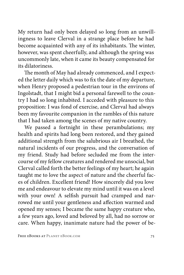My return had only been delayed so long from an unwillingness to leave Clerval in a strange place before he had become acquainted with any of its inhabitants. The winter, however, was spent cheerfully, and although the spring was uncommonly late, when it came its beauty compensated for its dilatoriness.

The month of May had already commenced, and I expected the letter daily which was to fix the date of my departure, when Henry proposed a pedestrian tour in the environs of Ingolstadt, that I might bid a personal farewell to the country I had so long inhabited. I acceded with pleasure to this proposition: I was fond of exercise, and Clerval had always been my favourite companion in the rambles of this nature that I had taken among the scenes of my native country.

We passed a fortnight in these perambulations; my health and spirits had long been restored, and they gained additional strength from the salubrious air I breathed, the natural incidents of our progress, and the conversation of my friend. Study had before secluded me from the intercourse of my fellow creatures and rendered me unsocial, but Clerval called forth the better feelings of my heart; he again taught me to love the aspect of nature and the cheerful faces of children. Excellent friend! How sincerely did you love me and endeavour to elevate my mind until it was on a level with your own! A selfish pursuit had cramped and narrowed me until your gentleness and affection warmed and opened my senses; I became the same happy creature who, a few years ago, loved and beloved by all, had no sorrow or care. When happy, inanimate nature had the power of be-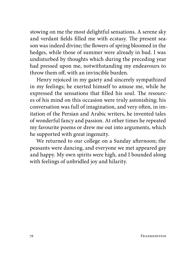stowing on me the most delightful sensations. A serene sky and verdant fields filled me with ecstasy. The present season was indeed divine; the flowers of spring bloomed in the hedges, while those of summer were already in bud. I was undisturbed by thoughts which during the preceding year had pressed upon me, notwithstanding my endeavours to throw them off, with an invincible burden.

Henry rejoiced in my gaiety and sincerely sympathized in my feelings; he exerted himself to amuse me, while he expressed the sensations that filled his soul. The resources of his mind on this occasion were truly astonishing; his conversation was full of imagination, and very often, in imitation of the Persian and Arabic writers, he invented tales of wonderful fancy and passion. At other times he repeated my favourite poems or drew me out into arguments, which he supported with great ingenuity.

We returned to our college on a Sunday afternoon; the peasants were dancing, and everyone we met appeared gay and happy. My own spirits were high, and I bounded along with feelings of unbridled joy and hilarity.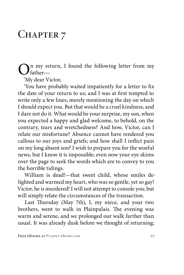## CHAPTER 7

In my return, I found the following letter from my father:—

'My dear Victor,

'You have probably waited impatiently for a letter to fix the date of your return to us; and I was at first tempted to write only a few lines, merely mentioning the day on which I should expect you. But that would be a cruel kindness, and I dare not do it. What would be your surprise, my son, when you expected a happy and glad welcome, to behold, on the contrary, tears and wretchedness? And how, Victor, can I relate our misfortune? Absence cannot have rendered you callous to our joys and griefs; and how shall I inflict pain on my long absent son? I wish to prepare you for the woeful news, but I know it is impossible; even now your eye skims over the page to seek the words which are to convey to you the horrible tidings.

William is dead!—that sweet child, whose smiles delighted and warmed my heart, who was so gentle, yet so gay! Victor, he is murdered! I will not attempt to console you; but will simply relate the circumstances of the transaction.

Last Thursday (May 7th), I, my niece, and your two brothers, went to walk in Plainpalais. The evening was warm and serene, and we prolonged our walk farther than usual. It was already dusk before we thought of returning;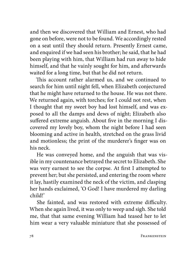and then we discovered that William and Ernest, who had gone on before, were not to be found. We accordingly rested on a seat until they should return. Presently Ernest came, and enquired if we had seen his brother; he said, that he had been playing with him, that William had run away to hide himself, and that he vainly sought for him, and afterwards waited for a long time, but that he did not return.

This account rather alarmed us, and we continued to search for him until night fell, when Elizabeth conjectured that he might have returned to the house. He was not there. We returned again, with torches; for I could not rest, when I thought that my sweet boy had lost himself, and was exposed to all the damps and dews of night; Elizabeth also suffered extreme anguish. About five in the morning I discovered my lovely boy, whom the night before I had seen blooming and active in health, stretched on the grass livid and motionless; the print of the murderer's finger was on his neck.

He was conveyed home, and the anguish that was visible in my countenance betrayed the secret to Elizabeth. She was very earnest to see the corpse. At first I attempted to prevent her; but she persisted, and entering the room where it lay, hastily examined the neck of the victim, and clasping her hands exclaimed, 'O God! I have murdered my darling child!'

She fainted, and was restored with extreme difficulty. When she again lived, it was only to weep and sigh. She told me, that that same evening William had teased her to let him wear a very valuable miniature that she possessed of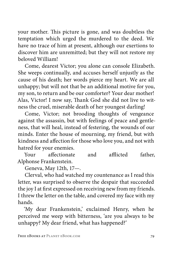your mother. This picture is gone, and was doubtless the temptation which urged the murdered to the deed. We have no trace of him at present, although our exertions to discover him are unremitted; but they will not restore my beloved William!

Come, dearest Victor; you alone can console Elizabeth. She weeps continually, and accuses herself unjustly as the cause of his death; her words pierce my heart. We are all unhappy; but will not that be an additional motive for you, my son, to return and be our comforter? Your dear mother! Alas, Victor! I now say, Thank God she did not live to witness the cruel, miserable death of her youngest darling!

Come, Victor; not brooding thoughts of vengeance against the assassin, but with feelings of peace and gentleness, that will heal, instead of festering, the wounds of our minds. Enter the house of mourning, my friend, but with kindness and affection for those who love you, and not with hatred for your enemies.

Your affectionate and afflicted father, Alphonse Frankenstein.

Geneva, May 12th, 17—.

Clerval, who had watched my countenance as I read this letter, was surprised to observe the despair that succeeded the joy I at first expressed on receiving new from my friends. I threw the letter on the table, and covered my face with my hands.

'My dear Frankenstein,' exclaimed Henry, when he perceived me weep with bitterness, 'are you always to be unhappy? My dear friend, what has happened?'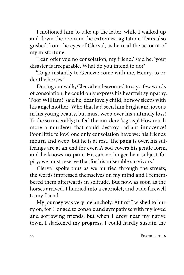I motioned him to take up the letter, while I walked up and down the room in the extremest agitation. Tears also gushed from the eyes of Clerval, as he read the account of my misfortune.

'I can offer you no consolation, my friend,' said he; 'your disaster is irreparable. What do you intend to do?'

'To go instantly to Geneva: come with me, Henry, to order the horses'

During our walk, Clerval endeavoured to say a few words of consolation; he could only express his heartfelt sympathy. 'Poor William!' said he, dear lovely child, he now sleeps with his angel mother! Who that had seen him bright and joyous in his young beauty, but must weep over his untimely loss! To die so miserably; to feel the murderer's grasp! How much more a murderer that could destroy radiant innocence! Poor little fellow! one only consolation have we; his friends mourn and weep, but he is at rest. The pang is over, his sufferings are at an end for ever. A sod covers his gentle form, and he knows no pain. He can no longer be a subject for pity; we must reserve that for his miserable survivors.'

Clerval spoke thus as we hurried through the streets; the words impressed themselves on my mind and I remembered them afterwards in solitude. But now, as soon as the horses arrived, I hurried into a cabriolet, and bade farewell to my friend.

My journey was very melancholy. At first I wished to hurry on, for I longed to console and sympathise with my loved and sorrowing friends; but when I drew near my native town, I slackened my progress. I could hardly sustain the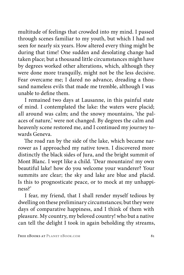multitude of feelings that crowded into my mind. I passed through scenes familiar to my youth, but which I had not seen for nearly six years. How altered every thing might be during that time! One sudden and desolating change had taken place; but a thousand little circumstances might have by degrees worked other alterations, which, although they were done more tranquilly, might not be the less decisive. Fear overcame me; I dared no advance, dreading a thousand nameless evils that made me tremble, although I was unable to define them.

I remained two days at Lausanne, in this painful state of mind. I contemplated the lake: the waters were placid; all around was calm; and the snowy mountains, 'the palaces of nature,' were not changed. By degrees the calm and heavenly scene restored me, and I continued my journey towards Geneva.

The road ran by the side of the lake, which became narrower as I approached my native town. I discovered more distinctly the black sides of Jura, and the bright summit of Mont Blanc. I wept like a child. 'Dear mountains! my own beautiful lake! how do you welcome your wanderer? Your summits are clear; the sky and lake are blue and placid. Is this to prognosticate peace, or to mock at my unhappiness?'

I fear, my friend, that I shall render myself tedious by dwelling on these preliminary circumstances; but they were days of comparative happiness, and I think of them with pleasure. My country, my beloved country! who but a native can tell the delight I took in again beholding thy streams,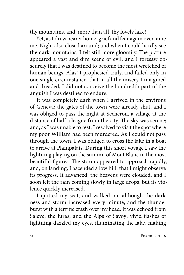thy mountains, and, more than all, thy lovely lake!

Yet, as I drew nearer home, grief and fear again overcame me. Night also closed around; and when I could hardly see the dark mountains, I felt still more gloomily. The picture appeared a vast and dim scene of evil, and I foresaw obscurely that I was destined to become the most wretched of human beings. Alas! I prophesied truly, and failed only in one single circumstance, that in all the misery I imagined and dreaded, I did not conceive the hundredth part of the anguish I was destined to endure.

It was completely dark when I arrived in the environs of Geneva; the gates of the town were already shut; and I was obliged to pass the night at Secheron, a village at the distance of half a league from the city. The sky was serene; and, as I was unable to rest, I resolved to visit the spot where my poor William had been murdered. As I could not pass through the town, I was obliged to cross the lake in a boat to arrive at Plainpalais. During this short voyage I saw the lightning playing on the summit of Mont Blanc in the most beautiful figures. The storm appeared to approach rapidly, and, on landing, I ascended a low hill, that I might observe its progress. It advanced; the heavens were clouded, and I soon felt the rain coming slowly in large drops, but its violence quickly increased.

I quitted my seat, and walked on, although the darkness and storm increased every minute, and the thunder burst with a terrific crash over my head. It was echoed from Saleve, the Juras, and the Alps of Savoy; vivid flashes of lightning dazzled my eyes, illuminating the lake, making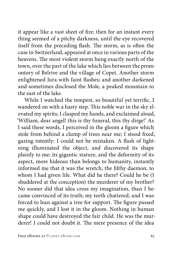it appear like a vast sheet of fire; then for an instant every thing seemed of a pitchy darkness, until the eye recovered itself from the preceding flash. The storm, as is often the case in Switzerland, appeared at once in various parts of the heavens. The most violent storm hung exactly north of the town, over the part of the lake which lies between the promontory of Belrive and the village of Copet. Another storm enlightened Jura with faint flashes; and another darkened and sometimes disclosed the Mole, a peaked mountain to the east of the lake.

While I watched the tempest, so beautiful yet terrific, I wandered on with a hasty step. This noble war in the sky elevated my spirits; I clasped my hands, and exclaimed aloud, 'William, dear angel! this is thy funeral, this thy dirge!' As I said these words, I perceived in the gloom a figure which stole from behind a clump of trees near me; I stood fixed, gazing intently: I could not be mistaken. A flash of lightning illuminated the object, and discovered its shape plainly to me; its gigantic stature, and the deformity of its aspect, more hideous than belongs to humanity, instantly informed me that it was the wretch, the filthy daemon, to whom I had given life. What did he there? Could he be (I shuddered at the conception) the murderer of my brother? No sooner did that idea cross my imagination, than I became convinced of its truth; my teeth chattered, and I was forced to lean against a tree for support. The figure passed me quickly, and I lost it in the gloom. Nothing in human shape could have destroyed the fair child. He was the murderer! I could not doubt it. The mere presence of the idea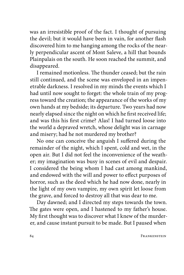was an irresistible proof of the fact. I thought of pursuing the devil; but it would have been in vain, for another flash discovered him to me hanging among the rocks of the nearly perpendicular ascent of Mont Saleve, a hill that bounds Plainpalais on the south. He soon reached the summit, and disappeared.

I remained motionless. The thunder ceased; but the rain still continued, and the scene was enveloped in an impenetrable darkness. I resolved in my minds the events which I had until now sought to forget: the whole train of my progress toward the creation; the appearance of the works of my own hands at my bedside; its departure. Two years had now nearly elapsed since the night on which he first received life; and was this his first crime? Alas! I had turned loose into the world a depraved wretch, whose delight was in carnage and misery; had he not murdered my brother?

No one can conceive the anguish I suffered during the remainder of the night, which I spent, cold and wet, in the open air. But I did not feel the inconvenience of the weather; my imagination was busy in scenes of evil and despair. I considered the being whom I had cast among mankind, and endowed with the will and power to effect purposes of horror, such as the deed which he had now done, nearly in the light of my own vampire, my own spirit let loose from the grave, and forced to destroy all that was dear to me.

Day dawned; and I directed my steps towards the town. The gates were open, and I hastened to my father's house. My first thought was to discover what I knew of the murderer, and cause instant pursuit to be made. But I paused when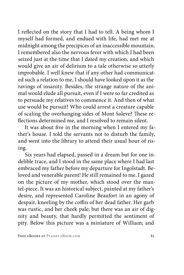I reflected on the story that I had to tell. A being whom I myself had formed, and endued with life, had met me at midnight among the precipices of an inaccessible mountain. I remembered also the nervous fever with which I had been seized just at the time that I dated my creation, and which would give an air of delirium to a tale otherwise so utterly improbable. I well knew that if any other had communicated such a relation to me, I should have looked upon it as the ravings of insanity. Besides, the strange nature of the animal would elude all pursuit, even if I were so far credited as to persuade my relatives to commence it. And then of what use would be pursuit? Who could arrest a creature capable of scaling the overhanging sides of Mont Saleve? These reflections determined me, and I resolved to remain silent.

It was about five in the morning when I entered my father's house. I told the servants not to disturb the family, and went into the library to attend their usual hour of rising.

Six years had elapsed, passed in a dream but for one indelible trace, and I stood in the same place where I had last embraced my father before my departure for Ingolstadt. Beloved and venerable parent! He still remained to me. I gazed on the picture of my mother, which stood over the mantel-piece. It was an historical subject, painted at my father's desire, and represented Caroline Beaufort in an agony of despair, kneeling by the coffin of her dead father. Her garb was rustic, and her cheek pale; but there was an air of dignity and beauty, that hardly permitted the sentiment of pity. Below this picture was a miniature of William; and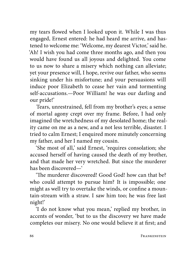my tears flowed when I looked upon it. While I was thus engaged, Ernest entered: he had heard me arrive, and hastened to welcome me: 'Welcome, my dearest Victor,' said he. 'Ah! I wish you had come three months ago, and then you would have found us all joyous and delighted. You come to us now to share a misery which nothing can alleviate; yet your presence will, I hope, revive our father, who seems sinking under his misfortune; and your persuasions will induce poor Elizabeth to cease her vain and tormenting self-accusations.—Poor William! he was our darling and our pride!'

Tears, unrestrained, fell from my brother's eyes; a sense of mortal agony crept over my frame. Before, I had only imagined the wretchedness of my desolated home; the reality came on me as a new, and a not less terrible, disaster. I tried to calm Ernest; I enquired more minutely concerning my father, and her I named my cousin.

'She most of all,' said Ernest, 'requires consolation; she accused herself of having caused the death of my brother, and that made her very wretched. But since the murderer has been discovered—'

'The murderer discovered! Good God! how can that be? who could attempt to pursue him? It is impossible; one might as well try to overtake the winds, or confine a mountain-stream with a straw. I saw him too; he was free last night!'

'I do not know what you mean,' replied my brother, in accents of wonder, 'but to us the discovery we have made completes our misery. No one would believe it at first; and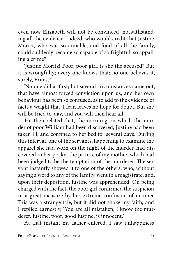even now Elizabeth will not be convinced, notwithstanding all the evidence. Indeed, who would credit that Justine Moritz, who was so amiable, and fond of all the family, could suddenly become so capable of so frightful, so appalling a crime?'

'Justine Moritz! Poor, poor girl, is she the accused? But it is wrongfully; every one knows that; no one believes it, surely, Ernest?'

'No one did at first; but several circumstances came out, that have almost forced conviction upon us; and her own behaviour has been so confused, as to add to the evidence of facts a weight that, I fear, leaves no hope for doubt. But she will be tried to-day, and you will then hear all.'

He then related that, the morning on which the murder of poor William had been discovered, Justine had been taken ill, and confined to her bed for several days. During this interval, one of the servants, happening to examine the apparel she had worn on the night of the murder, had discovered in her pocket the picture of my mother, which had been judged to be the temptation of the murderer. The servant instantly showed it to one of the others, who, without saying a word to any of the family, went to a magistrate; and, upon their deposition, Justine was apprehended. On being charged with the fact, the poor girl confirmed the suspicion in a great measure by her extreme confusion of manner. This was a strange tale, but it did not shake my faith; and I replied earnestly, 'You are all mistaken; I know the murderer. Justine, poor, good Justine, is innocent.'

At that instant my father entered. I saw unhappiness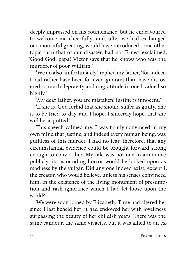deeply impressed on his countenance, but he endeavoured to welcome me cheerfully; and, after we had exchanged our mournful greeting, would have introduced some other topic than that of our disaster, had not Ernest exclaimed, 'Good God, papa! Victor says that he knows who was the murderer of poor William.'

'We do also, unfortunately,' replied my father, 'for indeed I had rather have been for ever ignorant than have discovered so much depravity and ungratitude in one I valued so highly.'

'My dear father, you are mistaken; Justine is innocent.'

'If she is, God forbid that she should suffer as guilty. She is to be tried to-day, and I hope, I sincerely hope, that she will be acquitted.'

This speech calmed me. I was firmly convinced in my own mind that Justine, and indeed every human being, was guiltless of this murder. I had no fear, therefore, that any circumstantial evidence could be brought forward strong enough to convict her. My tale was not one to announce publicly; its astounding horror would be looked upon as madness by the vulgar. Did any one indeed exist, except I, the creator, who would believe, unless his senses convinced him, in the existence of the living monument of presumption and rash ignorance which I had let loose upon the world?

We were soon joined by Elizabeth. Time had altered her since I last beheld her; it had endowed her with loveliness surpassing the beauty of her childish years. There was the same candour, the same vivacity, but it was allied to an ex-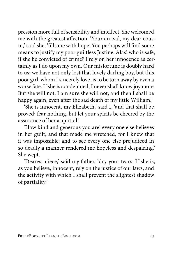pression more full of sensibility and intellect. She welcomed me with the greatest affection. 'Your arrival, my dear cousin,' said she, 'fills me with hope. You perhaps will find some means to justify my poor guiltless Justine. Alas! who is safe, if she be convicted of crime? I rely on her innocence as certainly as I do upon my own. Our misfortune is doubly hard to us; we have not only lost that lovely darling boy, but this poor girl, whom I sincerely love, is to be torn away by even a worse fate. If she is condemned, I never shall know joy more. But she will not, I am sure she will not; and then I shall be happy again, even after the sad death of my little William.'

'She is innocent, my Elizabeth,' said I, 'and that shall be proved; fear nothing, but let your spirits be cheered by the assurance of her acquittal.'

'How kind and generous you are! every one else believes in her guilt, and that made me wretched, for I knew that it was impossible: and to see every one else prejudiced in so deadly a manner rendered me hopeless and despairing.' She wept.

'Dearest niece,' said my father, 'dry your tears. If she is, as you believe, innocent, rely on the justice of our laws, and the activity with which I shall prevent the slightest shadow of partiality.'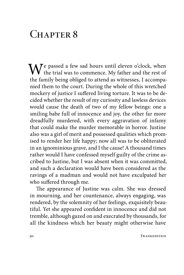## CHAPTER 8

 $\mathbf{W}$ e passed a few sad hours until eleven o'clock, when  $\sqrt{\frac{1}{\pi}}$  the trial was to commence. My father and the rest of the family being obliged to attend as witnesses, I accompanied them to the court. During the whole of this wretched mockery of justice I suffered living torture. It was to be decided whether the result of my curiosity and lawless devices would cause the death of two of my fellow beings: one a smiling babe full of innocence and joy, the other far more dreadfully murdered, with every aggravation of infamy that could make the murder memorable in horror. Justine also was a girl of merit and possessed qualities which promised to render her life happy; now all was to be obliterated in an ignominious grave, and I the cause! A thousand times rather would I have confessed myself guilty of the crime ascribed to Justine, but I was absent when it was committed, and such a declaration would have been considered as the ravings of a madman and would not have exculpated her who suffered through me.

The appearance of Justine was calm. She was dressed in mourning, and her countenance, always engaging, was rendered, by the solemnity of her feelings, exquisitely beautiful. Yet she appeared confident in innocence and did not tremble, although gazed on and execrated by thousands, for all the kindness which her beauty might otherwise have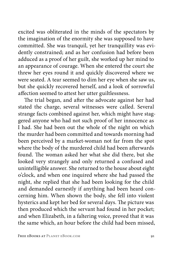excited was obliterated in the minds of the spectators by the imagination of the enormity she was supposed to have committed. She was tranquil, yet her tranquillity was evidently constrained; and as her confusion had before been adduced as a proof of her guilt, she worked up her mind to an appearance of courage. When she entered the court she threw her eyes round it and quickly discovered where we were seated. A tear seemed to dim her eye when she saw us, but she quickly recovered herself, and a look of sorrowful affection seemed to attest her utter guiltlessness.

The trial began, and after the advocate against her had stated the charge, several witnesses were called. Several strange facts combined against her, which might have staggered anyone who had not such proof of her innocence as I had. She had been out the whole of the night on which the murder had been committed and towards morning had been perceived by a market-woman not far from the spot where the body of the murdered child had been afterwards found. The woman asked her what she did there, but she looked very strangely and only returned a confused and unintelligible answer. She returned to the house about eight o'clock, and when one inquired where she had passed the night, she replied that she had been looking for the child and demanded earnestly if anything had been heard concerning him. When shown the body, she fell into violent hysterics and kept her bed for several days. The picture was then produced which the servant had found in her pocket; and when Elizabeth, in a faltering voice, proved that it was the same which, an hour before the child had been missed,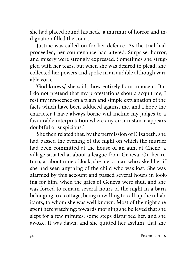she had placed round his neck, a murmur of horror and indignation filled the court.

Justine was called on for her defence. As the trial had proceeded, her countenance had altered. Surprise, horror, and misery were strongly expressed. Sometimes she struggled with her tears, but when she was desired to plead, she collected her powers and spoke in an audible although variable voice.

'God knows,' she said, 'how entirely I am innocent. But I do not pretend that my protestations should acquit me; I rest my innocence on a plain and simple explanation of the facts which have been adduced against me, and I hope the character I have always borne will incline my judges to a favourable interpretation where any circumstance appears doubtful or suspicious.'

She then related that, by the permission of Elizabeth, she had passed the evening of the night on which the murder had been committed at the house of an aunt at Chene, a village situated at about a league from Geneva. On her return, at about nine o'clock, she met a man who asked her if she had seen anything of the child who was lost. She was alarmed by this account and passed several hours in looking for him, when the gates of Geneva were shut, and she was forced to remain several hours of the night in a barn belonging to a cottage, being unwilling to call up the inhabitants, to whom she was well known. Most of the night she spent here watching; towards morning she believed that she slept for a few minutes; some steps disturbed her, and she awoke. It was dawn, and she quitted her asylum, that she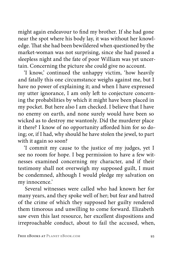might again endeavour to find my brother. If she had gone near the spot where his body lay, it was without her knowledge. That she had been bewildered when questioned by the market-woman was not surprising, since she had passed a sleepless night and the fate of poor William was yet uncertain. Concerning the picture she could give no account.

'I know,' continued the unhappy victim, 'how heavily and fatally this one circumstance weighs against me, but I have no power of explaining it; and when I have expressed my utter ignorance, I am only left to conjecture concerning the probabilities by which it might have been placed in my pocket. But here also I am checked. I believe that I have no enemy on earth, and none surely would have been so wicked as to destroy me wantonly. Did the murderer place it there? I know of no opportunity afforded him for so doing; or, if I had, why should he have stolen the jewel, to part with it again so soon?

'I commit my cause to the justice of my judges, yet I see no room for hope. I beg permission to have a few witnesses examined concerning my character, and if their testimony shall not overweigh my supposed guilt, I must be condemned, although I would pledge my salvation on my innocence.'

Several witnesses were called who had known her for many years, and they spoke well of her; but fear and hatred of the crime of which they supposed her guilty rendered them timorous and unwilling to come forward. Elizabeth saw even this last resource, her excellent dispositions and irreproachable conduct, about to fail the accused, when,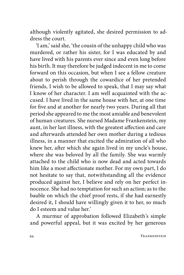although violently agitated, she desired permission to address the court.

'I am,' said she, 'the cousin of the unhappy child who was murdered, or rather his sister, for I was educated by and have lived with his parents ever since and even long before his birth. It may therefore be judged indecent in me to come forward on this occasion, but when I see a fellow creature about to perish through the cowardice of her pretended friends, I wish to be allowed to speak, that I may say what I know of her character. I am well acquainted with the accused. I have lived in the same house with her, at one time for five and at another for nearly two years. During all that period she appeared to me the most amiable and benevolent of human creatures. She nursed Madame Frankenstein, my aunt, in her last illness, with the greatest affection and care and afterwards attended her own mother during a tedious illness, in a manner that excited the admiration of all who knew her, after which she again lived in my uncle's house, where she was beloved by all the family. She was warmly attached to the child who is now dead and acted towards him like a most affectionate mother. For my own part, I do not hesitate to say that, notwithstanding all the evidence produced against her, I believe and rely on her perfect innocence. She had no temptation for such an action; as to the bauble on which the chief proof rests, if she had earnestly desired it, I should have willingly given it to her, so much do I esteem and value her.'

A murmur of approbation followed Elizabeth's simple and powerful appeal, but it was excited by her generous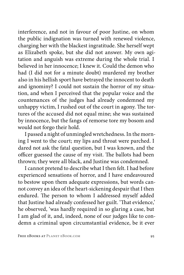interference, and not in favour of poor Justine, on whom the public indignation was turned with renewed violence, charging her with the blackest ingratitude. She herself wept as Elizabeth spoke, but she did not answer. My own agitation and anguish was extreme during the whole trial. I believed in her innocence; I knew it. Could the demon who had (I did not for a minute doubt) murdered my brother also in his hellish sport have betrayed the innocent to death and ignominy? I could not sustain the horror of my situation, and when I perceived that the popular voice and the countenances of the judges had already condemned my unhappy victim, I rushed out of the court in agony. The tortures of the accused did not equal mine; she was sustained by innocence, but the fangs of remorse tore my bosom and would not forgo their hold.

I passed a night of unmingled wretchedness. In the morning I went to the court; my lips and throat were parched. I dared not ask the fatal question, but I was known, and the officer guessed the cause of my visit. The ballots had been thrown; they were all black, and Justine was condemned.

I cannot pretend to describe what I then felt. I had before experienced sensations of horror, and I have endeavoured to bestow upon them adequate expressions, but words cannot convey an idea of the heart-sickening despair that I then endured. The person to whom I addressed myself added that Justine had already confessed her guilt. 'That evidence,' he observed, 'was hardly required in so glaring a case, but I am glad of it, and, indeed, none of our judges like to condemn a criminal upon circumstantial evidence, be it ever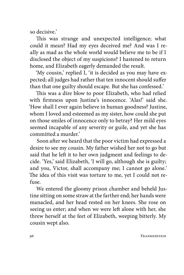so decisive.'

This was strange and unexpected intelligence; what could it mean? Had my eyes deceived me? And was I really as mad as the whole world would believe me to be if I disclosed the object of my suspicions? I hastened to return home, and Elizabeth eagerly demanded the result.

'My cousin,' replied I, 'it is decided as you may have expected; all judges had rather that ten innocent should suffer than that one guilty should escape. But she has confessed.'

This was a dire blow to poor Elizabeth, who had relied with firmness upon Justine's innocence. 'Alas!' said she. 'How shall I ever again believe in human goodness? Justine, whom I loved and esteemed as my sister, how could she put on those smiles of innocence only to betray? Her mild eyes seemed incapable of any severity or guile, and yet she has committed a murder.'

Soon after we heard that the poor victim had expressed a desire to see my cousin. My father wished her not to go but said that he left it to her own judgment and feelings to decide. 'Yes,' said Elizabeth, 'I will go, although she is guilty; and you, Victor, shall accompany me; I cannot go alone.' The idea of this visit was torture to me, yet I could not refuse.

We entered the gloomy prison chamber and beheld Justine sitting on some straw at the farther end; her hands were manacled, and her head rested on her knees. She rose on seeing us enter; and when we were left alone with her, she threw herself at the feet of Elizabeth, weeping bitterly. My cousin wept also.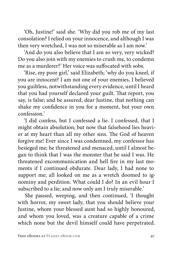'Oh, Justine!' said she. 'Why did you rob me of my last consolation? I relied on your innocence, and although I was then very wretched, I was not so miserable as I am now.'

'And do you also believe that I am so very, very wicked? Do you also join with my enemies to crush me, to condemn me as a murderer?' Her voice was suffocated with sobs.

'Rise, my poor girl,' said Elizabeth; 'why do you kneel, if you are innocent? I am not one of your enemies, I believed you guiltless, notwithstanding every evidence, until I heard that you had yourself declared your guilt. That report, you say, is false; and be assured, dear Justine, that nothing can shake my confidence in you for a moment, but your own confession.'

'I did confess, but I confessed a lie. I confessed, that I might obtain absolution; but now that falsehood lies heavier at my heart than all my other sins. The God of heaven forgive me! Ever since I was condemned, my confessor has besieged me; he threatened and menaced, until I almost began to think that I was the monster that he said I was. He threatened excommunication and hell fire in my last moments if I continued obdurate. Dear lady, I had none to support me; all looked on me as a wretch doomed to ignominy and perdition. What could I do? In an evil hour I subscribed to a lie; and now only am I truly miserable.'

She paused, weeping, and then continued, 'I thought with horror, my sweet lady, that you should believe your Justine, whom your blessed aunt had so highly honoured, and whom you loved, was a creature capable of a crime which none but the devil himself could have perpetrated.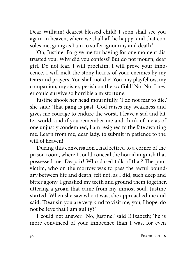Dear William! dearest blessed child! I soon shall see you again in heaven, where we shall all he happy; and that consoles me, going as I am to suffer ignominy and death.'

'Oh, Justine! Forgive me for having for one moment distrusted you. Why did you confess? But do not mourn, dear girl. Do not fear. I will proclaim, I will prove your innocence. I will melt the stony hearts of your enemies by my tears and prayers. You shall not die! You, my playfellow, my companion, my sister, perish on the scaffold! No! No! I never could survive so horrible a misfortune.'

Justine shook her head mournfully. 'I do not fear to die,' she said; 'that pang is past. God raises my weakness and gives me courage to endure the worst. I leave a sad and bitter world; and if you remember me and think of me as of one unjustly condemned, I am resigned to the fate awaiting me. Learn from me, dear lady, to submit in patience to the will of heaven!'

During this conversation I had retired to a corner of the prison room, where I could conceal the horrid anguish that possessed me. Despair! Who dared talk of that? The poor victim, who on the morrow was to pass the awful boundary between life and death, felt not, as I did, such deep and bitter agony. I gnashed my teeth and ground them together, uttering a groan that came from my inmost soul. Justine started. When she saw who it was, she approached me and said, 'Dear sir, you are very kind to visit me; you, I hope, do not believe that I am guilty?'

I could not answer. 'No, Justine,' said Elizabeth; 'he is more convinced of your innocence than I was, for even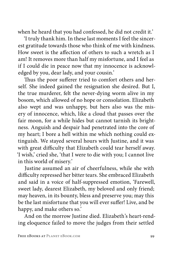when he heard that you had confessed, he did not credit it.'

'I truly thank him. In these last moments I feel the sincerest gratitude towards those who think of me with kindness. How sweet is the affection of others to such a wretch as I am! It removes more than half my misfortune, and I feel as if I could die in peace now that my innocence is acknowledged by you, dear lady, and your cousin.'

Thus the poor sufferer tried to comfort others and herself. She indeed gained the resignation she desired. But I, the true murderer, felt the never-dying worm alive in my bosom, which allowed of no hope or consolation. Elizabeth also wept and was unhappy, but hers also was the misery of innocence, which, like a cloud that passes over the fair moon, for a while hides but cannot tarnish its brightness. Anguish and despair had penetrated into the core of my heart; I bore a hell within me which nothing could extinguish. We stayed several hours with Justine, and it was with great difficulty that Elizabeth could tear herself away. 'I wish,' cried she, 'that I were to die with you; I cannot live in this world of misery.'

Justine assumed an air of cheerfulness, while she with difficulty repressed her bitter tears. She embraced Elizabeth and said in a voice of half-suppressed emotion, 'Farewell, sweet lady, dearest Elizabeth, my beloved and only friend; may heaven, in its bounty, bless and preserve you; may this be the last misfortune that you will ever suffer! Live, and be happy, and make others so.'

And on the morrow Justine died. Elizabeth's heart-rending eloquence failed to move the judges from their settled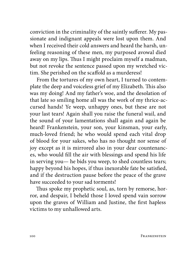conviction in the criminality of the saintly sufferer. My passionate and indignant appeals were lost upon them. And when I received their cold answers and heard the harsh, unfeeling reasoning of these men, my purposed avowal died away on my lips. Thus I might proclaim myself a madman, but not revoke the sentence passed upon my wretched victim. She perished on the scaffold as a murderess!

From the tortures of my own heart, I turned to contemplate the deep and voiceless grief of my Elizabeth. This also was my doing! And my father's woe, and the desolation of that late so smiling home all was the work of my thrice-accursed hands! Ye weep, unhappy ones, but these are not your last tears! Again shall you raise the funeral wail, and the sound of your lamentations shall again and again be heard! Frankenstein, your son, your kinsman, your early, much-loved friend; he who would spend each vital drop of blood for your sakes, who has no thought nor sense of joy except as it is mirrored also in your dear countenances, who would fill the air with blessings and spend his life in serving you— he bids you weep, to shed countless tears; happy beyond his hopes, if thus inexorable fate be satisfied, and if the destruction pause before the peace of the grave have succeeded to your sad torments!

Thus spoke my prophetic soul, as, torn by remorse, horror, and despair, I beheld those I loved spend vain sorrow upon the graves of William and Justine, the first hapless victims to my unhallowed arts.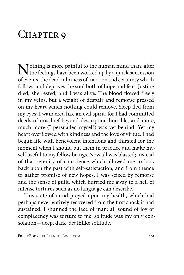## CHAPTER 9

Nothing is more painful to the human mind than, after<br>the feelings have been worked up by a quick succession<br>of munta the deal velocity of in this calculation which of events, the dead calmness of inaction and certainty which follows and deprives the soul both of hope and fear. Justine died, she rested, and I was alive. The blood flowed freely in my veins, but a weight of despair and remorse pressed on my heart which nothing could remove. Sleep fled from my eyes; I wandered like an evil spirit, for I had committed deeds of mischief beyond description horrible, and more, much more (I persuaded myself) was yet behind. Yet my heart overflowed with kindness and the love of virtue. I had begun life with benevolent intentions and thirsted for the moment when I should put them in practice and make myself useful to my fellow beings. Now all was blasted; instead of that serenity of conscience which allowed me to look back upon the past with self-satisfaction, and from thence to gather promise of new hopes, I was seized by remorse and the sense of guilt, which hurried me away to a hell of intense tortures such as no language can describe.

This state of mind preyed upon my health, which had perhaps never entirely recovered from the first shock it had sustained. I shunned the face of man; all sound of joy or complacency was torture to me; solitude was my only consolation—deep, dark, deathlike solitude.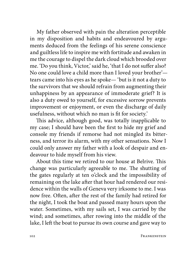My father observed with pain the alteration perceptible in my disposition and habits and endeavoured by arguments deduced from the feelings of his serene conscience and guiltless life to inspire me with fortitude and awaken in me the courage to dispel the dark cloud which brooded over me. 'Do you think, Victor,' said he, 'that I do not suffer also? No one could love a child more than I loved your brother' tears came into his eyes as he spoke— 'but is it not a duty to the survivors that we should refrain from augmenting their unhappiness by an appearance of immoderate grief? It is also a duty owed to yourself, for excessive sorrow prevents improvement or enjoyment, or even the discharge of daily usefulness, without which no man is fit for society.'

This advice, although good, was totally inapplicable to my case; I should have been the first to hide my grief and console my friends if remorse had not mingled its bitterness, and terror its alarm, with my other sensations. Now I could only answer my father with a look of despair and endeavour to hide myself from his view.

About this time we retired to our house at Belrive. This change was particularly agreeable to me. The shutting of the gates regularly at ten o'clock and the impossibility of remaining on the lake after that hour had rendered our residence within the walls of Geneva very irksome to me. I was now free. Often, after the rest of the family had retired for the night, I took the boat and passed many hours upon the water. Sometimes, with my sails set, I was carried by the wind; and sometimes, after rowing into the middle of the lake, I left the boat to pursue its own course and gave way to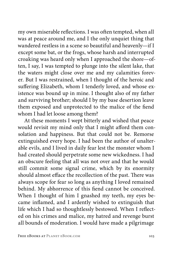my own miserable reflections. I was often tempted, when all was at peace around me, and I the only unquiet thing that wandered restless in a scene so beautiful and heavenly—if I except some bat, or the frogs, whose harsh and interrupted croaking was heard only when I approached the shore—often, I say, I was tempted to plunge into the silent lake, that the waters might close over me and my calamities forever. But I was restrained, when I thought of the heroic and suffering Elizabeth, whom I tenderly loved, and whose existence was bound up in mine. I thought also of my father and surviving brother; should I by my base desertion leave them exposed and unprotected to the malice of the fiend whom I had let loose among them?

At these moments I wept bitterly and wished that peace would revisit my mind only that I might afford them consolation and happiness. But that could not be. Remorse extinguished every hope. I had been the author of unalterable evils, and I lived in daily fear lest the monster whom I had created should perpetrate some new wickedness. I had an obscure feeling that all was not over and that he would still commit some signal crime, which by its enormity should almost efface the recollection of the past. There was always scope for fear so long as anything I loved remained behind. My abhorrence of this fiend cannot be conceived. When I thought of him I gnashed my teeth, my eyes became inflamed, and I ardently wished to extinguish that life which I had so thoughtlessly bestowed. When I reflected on his crimes and malice, my hatred and revenge burst all bounds of moderation. I would have made a pilgrimage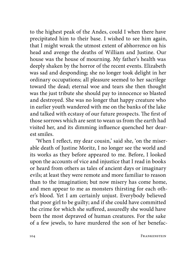to the highest peak of the Andes, could I when there have precipitated him to their base. I wished to see him again, that I might wreak the utmost extent of abhorrence on his head and avenge the deaths of William and Justine. Our house was the house of mourning. My father's health was deeply shaken by the horror of the recent events. Elizabeth was sad and desponding; she no longer took delight in her ordinary occupations; all pleasure seemed to her sacrilege toward the dead; eternal woe and tears she then thought was the just tribute she should pay to innocence so blasted and destroyed. She was no longer that happy creature who in earlier youth wandered with me on the banks of the lake and talked with ecstasy of our future prospects. The first of those sorrows which are sent to wean us from the earth had visited her, and its dimming influence quenched her dearest smiles.

'When I reflect, my dear cousin,' said she, 'on the miserable death of Justine Moritz, I no longer see the world and its works as they before appeared to me. Before, I looked upon the accounts of vice and injustice that I read in books or heard from others as tales of ancient days or imaginary evils; at least they were remote and more familiar to reason than to the imagination; but now misery has come home, and men appear to me as monsters thirsting for each other's blood. Yet I am certainly unjust. Everybody believed that poor girl to be guilty; and if she could have committed the crime for which she suffered, assuredly she would have been the most depraved of human creatures. For the sake of a few jewels, to have murdered the son of her benefac-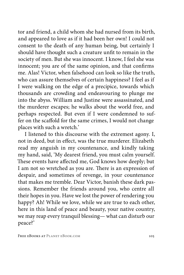tor and friend, a child whom she had nursed from its birth, and appeared to love as if it had been her own! I could not consent to the death of any human being, but certainly I should have thought such a creature unfit to remain in the society of men. But she was innocent. I know, I feel she was innocent; you are of the same opinion, and that confirms me. Alas! Victor, when falsehood can look so like the truth, who can assure themselves of certain happiness? I feel as if I were walking on the edge of a precipice, towards which thousands are crowding and endeavouring to plunge me into the abyss. William and Justine were assassinated, and the murderer escapes; he walks about the world free, and perhaps respected. But even if I were condemned to suffer on the scaffold for the same crimes, I would not change places with such a wretch.'

I listened to this discourse with the extremest agony. I, not in deed, but in effect, was the true murderer. Elizabeth read my anguish in my countenance, and kindly taking my hand, said, 'My dearest friend, you must calm yourself. These events have affected me, God knows how deeply; but I am not so wretched as you are. There is an expression of despair, and sometimes of revenge, in your countenance that makes me tremble. Dear Victor, banish these dark passions. Remember the friends around you, who centre all their hopes in you. Have we lost the power of rendering you happy? Ah! While we love, while we are true to each other, here in this land of peace and beauty, your native country, we may reap every tranquil blessing— what can disturb our peace?'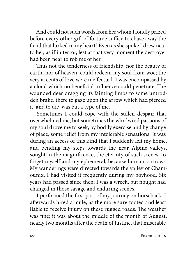And could not such words from her whom I fondly prized before every other gift of fortune suffice to chase away the fiend that lurked in my heart? Even as she spoke I drew near to her, as if in terror, lest at that very moment the destroyer had been near to rob me of her.

Thus not the tenderness of friendship, nor the beauty of earth, nor of heaven, could redeem my soul from woe; the very accents of love were ineffectual. I was encompassed by a cloud which no beneficial influence could penetrate. The wounded deer dragging its fainting limbs to some untrodden brake, there to gaze upon the arrow which had pierced it, and to die, was but a type of me.

Sometimes I could cope with the sullen despair that overwhelmed me, but sometimes the whirlwind passions of my soul drove me to seek, by bodily exercise and by change of place, some relief from my intolerable sensations. It was during an access of this kind that I suddenly left my home, and bending my steps towards the near Alpine valleys, sought in the magnificence, the eternity of such scenes, to forget myself and my ephemeral, because human, sorrows. My wanderings were directed towards the valley of Chamounix. I had visited it frequently during my boyhood. Six years had passed since then: I was a wreck, but nought had changed in those savage and enduring scenes.

I performed the first part of my journey on horseback. I afterwards hired a mule, as the more sure-footed and least liable to receive injury on these rugged roads. The weather was fine; it was about the middle of the month of August, nearly two months after the death of Justine, that miserable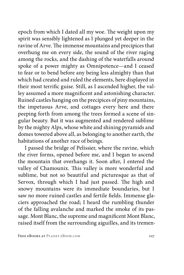epoch from which I dated all my woe. The weight upon my spirit was sensibly lightened as I plunged yet deeper in the ravine of Arve. The immense mountains and precipices that overhung me on every side, the sound of the river raging among the rocks, and the dashing of the waterfalls around spoke of a power mighty as Omnipotence—and I ceased to fear or to bend before any being less almighty than that which had created and ruled the elements, here displayed in their most terrific guise. Still, as I ascended higher, the valley assumed a more magnificent and astonishing character. Ruined castles hanging on the precipices of piny mountains, the impetuous Arve, and cottages every here and there peeping forth from among the trees formed a scene of singular beauty. But it was augmented and rendered sublime by the mighty Alps, whose white and shining pyramids and domes towered above all, as belonging to another earth, the habitations of another race of beings.

I passed the bridge of Pelissier, where the ravine, which the river forms, opened before me, and I began to ascend the mountain that overhangs it. Soon after, I entered the valley of Chamounix. This valley is more wonderful and sublime, but not so beautiful and picturesque as that of Servox, through which I had just passed. The high and snowy mountains were its immediate boundaries, but I saw no more ruined castles and fertile fields. Immense glaciers approached the road; I heard the rumbling thunder of the falling avalanche and marked the smoke of its passage. Mont Blanc, the supreme and magnificent Mont Blanc, raised itself from the surrounding aiguilles, and its tremen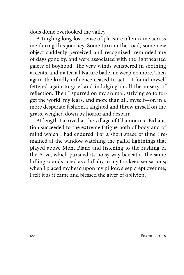dous dome overlooked the valley.

A tingling long-lost sense of pleasure often came across me during this journey. Some turn in the road, some new object suddenly perceived and recognized, reminded me of days gone by, and were associated with the lighthearted gaiety of boyhood. The very winds whispered in soothing accents, and maternal Nature bade me weep no more. Then again the kindly influence ceased to act— I found myself fettered again to grief and indulging in all the misery of reflection. Then I spurred on my animal, striving so to forget the world, my fears, and more than all, myself—or, in a more desperate fashion, I alighted and threw myself on the grass, weighed down by horror and despair.

At length I arrived at the village of Chamounix. Exhaustion succeeded to the extreme fatigue both of body and of mind which I had endured. For a short space of time I remained at the window watching the pallid lightnings that played above Mont Blanc and listening to the rushing of the Arve, which pursued its noisy way beneath. The same lulling sounds acted as a lullaby to my too keen sensations; when I placed my head upon my pillow, sleep crept over me; I felt it as it came and blessed the giver of oblivion.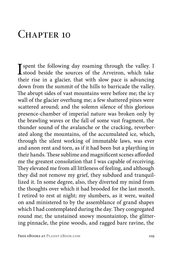#### $CHAPTER$  10

I spent the following day roaming through the valley. I stood beside the sources of the Arveiron, which take their rise in a glacier, that with slow pace is advancing down from the summit of the hills to barricade the valley. The abrupt sides of vast mountains were before me; the icy wall of the glacier overhung me; a few shattered pines were scattered around; and the solemn silence of this glorious presence-chamber of imperial nature was broken only by the brawling waves or the fall of some vast fragment, the thunder sound of the avalanche or the cracking, reverberated along the mountains, of the accumulated ice, which, through the silent working of immutable laws, was ever and anon rent and torn, as if it had been but a plaything in their hands. These sublime and magnificent scenes afforded me the greatest consolation that I was capable of receiving. They elevated me from all littleness of feeling, and although they did not remove my grief, they subdued and tranquillized it. In some degree, also, they diverted my mind from the thoughts over which it had brooded for the last month. I retired to rest at night; my slumbers, as it were, waited on and ministered to by the assemblance of grand shapes which I had contemplated during the day. They congregated round me; the unstained snowy mountaintop, the glittering pinnacle, the pine woods, and ragged bare ravine, the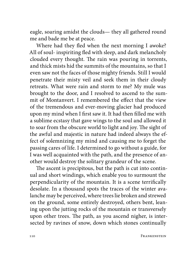eagle, soaring amidst the clouds— they all gathered round me and bade me be at peace.

Where had they fled when the next morning I awoke? All of soul- inspiriting fled with sleep, and dark melancholy clouded every thought. The rain was pouring in torrents, and thick mists hid the summits of the mountains, so that I even saw not the faces of those mighty friends. Still I would penetrate their misty veil and seek them in their cloudy retreats. What were rain and storm to me? My mule was brought to the door, and I resolved to ascend to the summit of Montanvert. I remembered the effect that the view of the tremendous and ever-moving glacier had produced upon my mind when I first saw it. It had then filled me with a sublime ecstasy that gave wings to the soul and allowed it to soar from the obscure world to light and joy. The sight of the awful and majestic in nature had indeed always the effect of solemnizing my mind and causing me to forget the passing cares of life. I determined to go without a guide, for I was well acquainted with the path, and the presence of another would destroy the solitary grandeur of the scene.

The ascent is precipitous, but the path is cut into continual and short windings, which enable you to surmount the perpendicularity of the mountain. It is a scene terrifically desolate. In a thousand spots the traces of the winter avalanche may be perceived, where trees lie broken and strewed on the ground, some entirely destroyed, others bent, leaning upon the jutting rocks of the mountain or transversely upon other trees. The path, as you ascend nigher, is intersected by ravines of snow, down which stones continually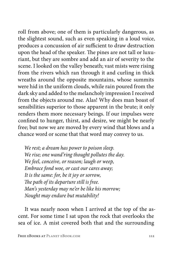roll from above; one of them is particularly dangerous, as the slightest sound, such as even speaking in a loud voice, produces a concussion of air sufficient to draw destruction upon the head of the speaker. The pines are not tall or luxuriant, but they are sombre and add an air of severity to the scene. I looked on the valley beneath; vast mists were rising from the rivers which ran through it and curling in thick wreaths around the opposite mountains, whose summits were hid in the uniform clouds, while rain poured from the dark sky and added to the melancholy impression I received from the objects around me. Alas! Why does man boast of sensibilities superior to those apparent in the brute; it only renders them more necessary beings. If our impulses were confined to hunger, thirst, and desire, we might be nearly free; but now we are moved by every wind that blows and a chance word or scene that that word may convey to us.

*We rest; a dream has power to poison sleep. We rise; one wand'ring thought pollutes the day. We feel, conceive, or reason; laugh or weep, Embrace fond woe, or cast our cares away; It is the same: for, be it joy or sorrow, The path of its departure still is free. Man's yesterday may ne'er be like his morrow; Nought may endure but mutability!* 

It was nearly noon when I arrived at the top of the ascent. For some time I sat upon the rock that overlooks the sea of ice. A mist covered both that and the surrounding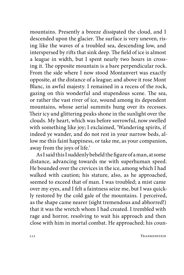mountains. Presently a breeze dissipated the cloud, and I descended upon the glacier. The surface is very uneven, rising like the waves of a troubled sea, descending low, and interspersed by rifts that sink deep. The field of ice is almost a league in width, but I spent nearly two hours in crossing it. The opposite mountain is a bare perpendicular rock. From the side where I now stood Montanvert was exactly opposite, at the distance of a league; and above it rose Mont Blanc, in awful majesty. I remained in a recess of the rock, gazing on this wonderful and stupendous scene. The sea, or rather the vast river of ice, wound among its dependent mountains, whose aerial summits hung over its recesses. Their icy and glittering peaks shone in the sunlight over the clouds. My heart, which was before sorrowful, now swelled with something like joy; I exclaimed, 'Wandering spirits, if indeed ye wander, and do not rest in your narrow beds, allow me this faint happiness, or take me, as your companion, away from the joys of life.'

As I said this I suddenly beheld the figure of a man, at some distance, advancing towards me with superhuman speed. He bounded over the crevices in the ice, among which I had walked with caution; his stature, also, as he approached, seemed to exceed that of man. I was troubled; a mist came over my eyes, and I felt a faintness seize me, but I was quickly restored by the cold gale of the mountains. I perceived, as the shape came nearer (sight tremendous and abhorred!) that it was the wretch whom I had created. I trembled with rage and horror, resolving to wait his approach and then close with him in mortal combat. He approached; his coun-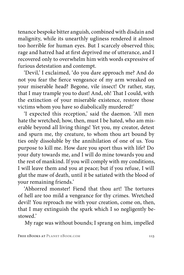tenance bespoke bitter anguish, combined with disdain and malignity, while its unearthly ugliness rendered it almost too horrible for human eyes. But I scarcely observed this; rage and hatred had at first deprived me of utterance, and I recovered only to overwhelm him with words expressive of furious detestation and contempt.

'Devil,' I exclaimed, 'do you dare approach me? And do not you fear the fierce vengeance of my arm wreaked on your miserable head? Begone, vile insect! Or rather, stay, that I may trample you to dust! And, oh! That I could, with the extinction of your miserable existence, restore those victims whom you have so diabolically murdered!'

'I expected this reception,' said the daemon. 'All men hate the wretched; how, then, must I be hated, who am miserable beyond all living things! Yet you, my creator, detest and spurn me, thy creature, to whom thou art bound by ties only dissoluble by the annihilation of one of us. You purpose to kill me. How dare you sport thus with life? Do your duty towards me, and I will do mine towards you and the rest of mankind. If you will comply with my conditions, I will leave them and you at peace; but if you refuse, I will glut the maw of death, until it be satiated with the blood of your remaining friends.'

'Abhorred monster! Fiend that thou art! The tortures of hell are too mild a vengeance for thy crimes. Wretched devil! You reproach me with your creation, come on, then, that I may extinguish the spark which I so negligently bestowed.'

My rage was without bounds; I sprang on him, impelled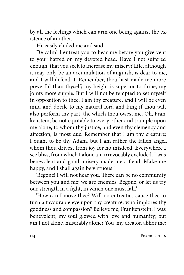by all the feelings which can arm one being against the existence of another.

He easily eluded me and said—

'Be calm! I entreat you to hear me before you give vent to your hatred on my devoted head. Have I not suffered enough, that you seek to increase my misery? Life, although it may only be an accumulation of anguish, is dear to me, and I will defend it. Remember, thou hast made me more powerful than thyself; my height is superior to thine, my joints more supple. But I will not be tempted to set myself in opposition to thee. I am thy creature, and I will be even mild and docile to my natural lord and king if thou wilt also perform thy part, the which thou owest me. Oh, Frankenstein, be not equitable to every other and trample upon me alone, to whom thy justice, and even thy clemency and affection, is most due. Remember that I am thy creature; I ought to be thy Adam, but I am rather the fallen angel, whom thou drivest from joy for no misdeed. Everywhere I see bliss, from which I alone am irrevocably excluded. I was benevolent and good; misery made me a fiend. Make me happy, and I shall again be virtuous.'

'Begone! I will not hear you. There can be no community between you and me; we are enemies. Begone, or let us try our strength in a fight, in which one must fall.'

'How can I move thee? Will no entreaties cause thee to turn a favourable eye upon thy creature, who implores thy goodness and compassion? Believe me, Frankenstein, I was benevolent; my soul glowed with love and humanity; but am I not alone, miserably alone? You, my creator, abhor me;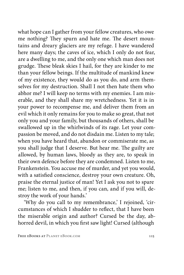what hope can I gather from your fellow creatures, who owe me nothing? They spurn and hate me. The desert mountains and dreary glaciers are my refuge. I have wandered here many days; the caves of ice, which I only do not fear, are a dwelling to me, and the only one which man does not grudge. These bleak skies I hail, for they are kinder to me than your fellow beings. If the multitude of mankind knew of my existence, they would do as you do, and arm themselves for my destruction. Shall I not then hate them who abhor me? I will keep no terms with my enemies. I am miserable, and they shall share my wretchedness. Yet it is in your power to recompense me, and deliver them from an evil which it only remains for you to make so great, that not only you and your family, but thousands of others, shall be swallowed up in the whirlwinds of its rage. Let your compassion be moved, and do not disdain me. Listen to my tale; when you have heard that, abandon or commiserate me, as you shall judge that I deserve. But hear me. The guilty are allowed, by human laws, bloody as they are, to speak in their own defence before they are condemned. Listen to me, Frankenstein. You accuse me of murder, and yet you would, with a satisfied conscience, destroy your own creature. Oh, praise the eternal justice of man! Yet I ask you not to spare me; listen to me, and then, if you can, and if you will, destroy the work of your hands.'

'Why do you call to my remembrance,' I rejoined, 'circumstances of which I shudder to reflect, that I have been the miserable origin and author? Cursed be the day, abhorred devil, in which you first saw light! Cursed (although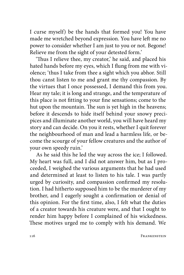I curse myself) be the hands that formed you! You have made me wretched beyond expression. You have left me no power to consider whether I am just to you or not. Begone! Relieve me from the sight of your detested form.'

'Thus I relieve thee, my creator,' he said, and placed his hated hands before my eyes, which I flung from me with violence; 'thus I take from thee a sight which you abhor. Still thou canst listen to me and grant me thy compassion. By the virtues that I once possessed, I demand this from you. Hear my tale; it is long and strange, and the temperature of this place is not fitting to your fine sensations; come to the hut upon the mountain. The sun is yet high in the heavens; before it descends to hide itself behind your snowy precipices and illuminate another world, you will have heard my story and can decide. On you it rests, whether I quit forever the neighbourhood of man and lead a harmless life, or become the scourge of your fellow creatures and the author of your own speedy ruin.'

As he said this he led the way across the ice; I followed. My heart was full, and I did not answer him, but as I proceeded, I weighed the various arguments that he had used and determined at least to listen to his tale. I was partly urged by curiosity, and compassion confirmed my resolution. I had hitherto supposed him to be the murderer of my brother, and I eagerly sought a confirmation or denial of this opinion. For the first time, also, I felt what the duties of a creator towards his creature were, and that I ought to render him happy before I complained of his wickedness. These motives urged me to comply with his demand. We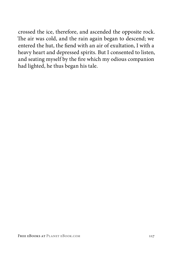crossed the ice, therefore, and ascended the opposite rock. The air was cold, and the rain again began to descend; we entered the hut, the fiend with an air of exultation, I with a heavy heart and depressed spirits. But I consented to listen, and seating myself by the fire which my odious companion had lighted, he thus began his tale.

FREE EBOOKS AT PLANET EBOOK.COM 117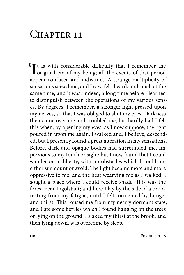### $CHAPTER$  11

 $\mathbf{Y}$ t is with considerable difficulty that I remember the original era of my being; all the events of that period appear confused and indistinct. A strange multiplicity of sensations seized me, and I saw, felt, heard, and smelt at the same time; and it was, indeed, a long time before I learned to distinguish between the operations of my various senses. By degrees, I remember, a stronger light pressed upon my nerves, so that I was obliged to shut my eyes. Darkness then came over me and troubled me, but hardly had I felt this when, by opening my eyes, as I now suppose, the light poured in upon me again. I walked and, I believe, descended, but I presently found a great alteration in my sensations. Before, dark and opaque bodies had surrounded me, impervious to my touch or sight; but I now found that I could wander on at liberty, with no obstacles which I could not either surmount or avoid. The light became more and more oppressive to me, and the heat wearying me as I walked, I sought a place where I could receive shade. This was the forest near Ingolstadt; and here I lay by the side of a brook resting from my fatigue, until I felt tormented by hunger and thirst. This roused me from my nearly dormant state, and I ate some berries which I found hanging on the trees or lying on the ground. I slaked my thirst at the brook, and then lying down, was overcome by sleep.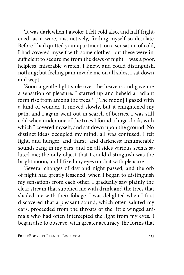'It was dark when I awoke; I felt cold also, and half frightened, as it were, instinctively, finding myself so desolate. Before I had quitted your apartment, on a sensation of cold, I had covered myself with some clothes, but these were insufficient to secure me from the dews of night. I was a poor, helpless, miserable wretch; I knew, and could distinguish, nothing; but feeling pain invade me on all sides, I sat down and wept.

'Soon a gentle light stole over the heavens and gave me a sensation of pleasure. I started up and beheld a radiant form rise from among the trees.\* [\*The moon] I gazed with a kind of wonder. It moved slowly, but it enlightened my path, and I again went out in search of berries. I was still cold when under one of the trees I found a huge cloak, with which I covered myself, and sat down upon the ground. No distinct ideas occupied my mind; all was confused. I felt light, and hunger, and thirst, and darkness; innumerable sounds rang in my ears, and on all sides various scents saluted me; the only object that I could distinguish was the bright moon, and I fixed my eyes on that with pleasure.

'Several changes of day and night passed, and the orb of night had greatly lessened, when I began to distinguish my sensations from each other. I gradually saw plainly the clear stream that supplied me with drink and the trees that shaded me with their foliage. I was delighted when I first discovered that a pleasant sound, which often saluted my ears, proceeded from the throats of the little winged animals who had often intercepted the light from my eyes. I began also to observe, with greater accuracy, the forms that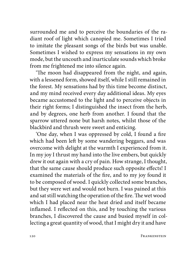surrounded me and to perceive the boundaries of the radiant roof of light which canopied me. Sometimes I tried to imitate the pleasant songs of the birds but was unable. Sometimes I wished to express my sensations in my own mode, but the uncouth and inarticulate sounds which broke from me frightened me into silence again.

'The moon had disappeared from the night, and again, with a lessened form, showed itself, while I still remained in the forest. My sensations had by this time become distinct, and my mind received every day additional ideas. My eyes became accustomed to the light and to perceive objects in their right forms; I distinguished the insect from the herb, and by degrees, one herb from another. I found that the sparrow uttered none but harsh notes, whilst those of the blackbird and thrush were sweet and enticing.

'One day, when I was oppressed by cold, I found a fire which had been left by some wandering beggars, and was overcome with delight at the warmth I experienced from it. In my joy I thrust my hand into the live embers, but quickly drew it out again with a cry of pain. How strange, I thought, that the same cause should produce such opposite effects! I examined the materials of the fire, and to my joy found it to be composed of wood. I quickly collected some branches, but they were wet and would not burn. I was pained at this and sat still watching the operation of the fire. The wet wood which I had placed near the heat dried and itself became inflamed. I reflected on this, and by touching the various branches, I discovered the cause and busied myself in collecting a great quantity of wood, that I might dry it and have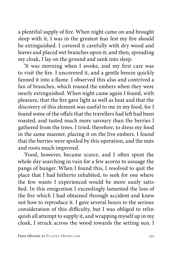a plentiful supply of fire. When night came on and brought sleep with it, I was in the greatest fear lest my fire should be extinguished. I covered it carefully with dry wood and leaves and placed wet branches upon it; and then, spreading my cloak, I lay on the ground and sank into sleep.

'It was morning when I awoke, and my first care was to visit the fire. I uncovered it, and a gentle breeze quickly fanned it into a flame. I observed this also and contrived a fan of branches, which roused the embers when they were nearly extinguished. When night came again I found, with pleasure, that the fire gave light as well as heat and that the discovery of this element was useful to me in my food, for I found some of the offals that the travellers had left had been roasted, and tasted much more savoury than the berries I gathered from the trees. I tried, therefore, to dress my food in the same manner, placing it on the live embers. I found that the berries were spoiled by this operation, and the nuts and roots much improved.

'Food, however, became scarce, and I often spent the whole day searching in vain for a few acorns to assuage the pangs of hunger. When I found this, I resolved to quit the place that I had hitherto inhabited, to seek for one where the few wants I experienced would be more easily satisfied. In this emigration I exceedingly lamented the loss of the fire which I had obtained through accident and knew not how to reproduce it. I gave several hours to the serious consideration of this difficulty, but I was obliged to relinquish all attempt to supply it, and wrapping myself up in my cloak, I struck across the wood towards the setting sun. I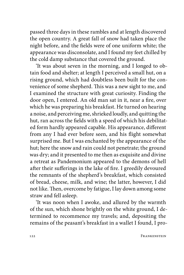passed three days in these rambles and at length discovered the open country. A great fall of snow had taken place the night before, and the fields were of one uniform white; the appearance was disconsolate, and I found my feet chilled by the cold damp substance that covered the ground.

'It was about seven in the morning, and I longed to obtain food and shelter; at length I perceived a small hut, on a rising ground, which had doubtless been built for the convenience of some shepherd. This was a new sight to me, and I examined the structure with great curiosity. Finding the door open, I entered. An old man sat in it, near a fire, over which he was preparing his breakfast. He turned on hearing a noise, and perceiving me, shrieked loudly, and quitting the hut, ran across the fields with a speed of which his debilitated form hardly appeared capable. His appearance, different from any I had ever before seen, and his flight somewhat surprised me. But I was enchanted by the appearance of the hut; here the snow and rain could not penetrate; the ground was dry; and it presented to me then as exquisite and divine a retreat as Pandemonium appeared to the demons of hell after their sufferings in the lake of fire. I greedily devoured the remnants of the shepherd's breakfast, which consisted of bread, cheese, milk, and wine; the latter, however, I did not like. Then, overcome by fatigue, I lay down among some straw and fell asleep.

'It was noon when I awoke, and allured by the warmth of the sun, which shone brightly on the white ground, I determined to recommence my travels; and, depositing the remains of the peasant's breakfast in a wallet I found, I pro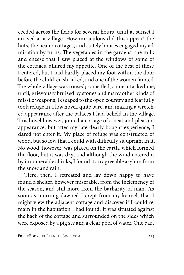ceeded across the fields for several hours, until at sunset I arrived at a village. How miraculous did this appear! the huts, the neater cottages, and stately houses engaged my admiration by turns. The vegetables in the gardens, the milk and cheese that I saw placed at the windows of some of the cottages, allured my appetite. One of the best of these I entered, but I had hardly placed my foot within the door before the children shrieked, and one of the women fainted. The whole village was roused; some fled, some attacked me, until, grievously bruised by stones and many other kinds of missile weapons, I escaped to the open country and fearfully took refuge in a low hovel, quite bare, and making a wretched appearance after the palaces I had beheld in the village. This hovel however, joined a cottage of a neat and pleasant appearance, but after my late dearly bought experience, I dared not enter it. My place of refuge was constructed of wood, but so low that I could with difficulty sit upright in it. No wood, however, was placed on the earth, which formed the floor, but it was dry; and although the wind entered it by innumerable chinks, I found it an agreeable asylum from the snow and rain.

'Here, then, I retreated and lay down happy to have found a shelter, however miserable, from the inclemency of the season, and still more from the barbarity of man. As soon as morning dawned I crept from my kennel, that I might view the adjacent cottage and discover if I could remain in the habitation I had found. It was situated against the back of the cottage and surrounded on the sides which were exposed by a pig sty and a clear pool of water. One part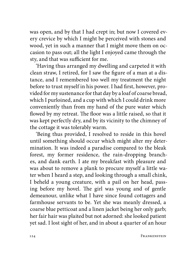was open, and by that I had crept in; but now I covered every crevice by which I might be perceived with stones and wood, yet in such a manner that I might move them on occasion to pass out; all the light I enjoyed came through the sty, and that was sufficient for me.

'Having thus arranged my dwelling and carpeted it with clean straw, I retired, for I saw the figure of a man at a distance, and I remembered too well my treatment the night before to trust myself in his power. I had first, however, provided for my sustenance for that day by a loaf of coarse bread, which I purloined, and a cup with which I could drink more conveniently than from my hand of the pure water which flowed by my retreat. The floor was a little raised, so that it was kept perfectly dry, and by its vicinity to the chimney of the cottage it was tolerably warm.

'Being thus provided, I resolved to reside in this hovel until something should occur which might alter my determination. It was indeed a paradise compared to the bleak forest, my former residence, the rain-dropping branches, and dank earth. I ate my breakfast with pleasure and was about to remove a plank to procure myself a little water when I heard a step, and looking through a small chink, I beheld a young creature, with a pail on her head, passing before my hovel. The girl was young and of gentle demeanour, unlike what I have since found cottagers and farmhouse servants to be. Yet she was meanly dressed, a coarse blue petticoat and a linen jacket being her only garb; her fair hair was plaited but not adorned: she looked patient yet sad. I lost sight of her, and in about a quarter of an hour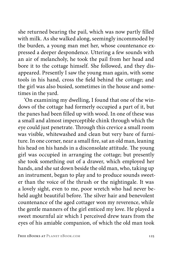she returned bearing the pail, which was now partly filled with milk. As she walked along, seemingly incommoded by the burden, a young man met her, whose countenance expressed a deeper despondence. Uttering a few sounds with an air of melancholy, he took the pail from her head and bore it to the cottage himself. She followed, and they disappeared. Presently I saw the young man again, with some tools in his hand, cross the field behind the cottage; and the girl was also busied, sometimes in the house and sometimes in the yard.

'On examining my dwelling, I found that one of the windows of the cottage had formerly occupied a part of it, but the panes had been filled up with wood. In one of these was a small and almost imperceptible chink through which the eye could just penetrate. Through this crevice a small room was visible, whitewashed and clean but very bare of furniture. In one corner, near a small fire, sat an old man, leaning his head on his hands in a disconsolate attitude. The young girl was occupied in arranging the cottage; but presently she took something out of a drawer, which employed her hands, and she sat down beside the old man, who, taking up an instrument, began to play and to produce sounds sweeter than the voice of the thrush or the nightingale. It was a lovely sight, even to me, poor wretch who had never beheld aught beautiful before. The silver hair and benevolent countenance of the aged cottager won my reverence, while the gentle manners of the girl enticed my love. He played a sweet mournful air which I perceived drew tears from the eyes of his amiable companion, of which the old man took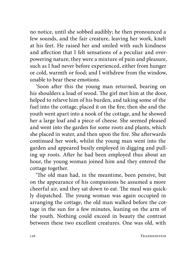no notice, until she sobbed audibly; he then pronounced a few sounds, and the fair creature, leaving her work, knelt at his feet. He raised her and smiled with such kindness and affection that I felt sensations of a peculiar and overpowering nature; they were a mixture of pain and pleasure, such as I had never before experienced, either from hunger or cold, warmth or food; and I withdrew from the window, unable to bear these emotions.

'Soon after this the young man returned, bearing on his shoulders a load of wood. The girl met him at the door, helped to relieve him of his burden, and taking some of the fuel into the cottage, placed it on the fire; then she and the youth went apart into a nook of the cottage, and he showed her a large loaf and a piece of cheese. She seemed pleased and went into the garden for some roots and plants, which she placed in water, and then upon the fire. She afterwards continued her work, whilst the young man went into the garden and appeared busily employed in digging and pulling up roots. After he had been employed thus about an hour, the young woman joined him and they entered the cottage together.

'The old man had, in the meantime, been pensive, but on the appearance of his companions he assumed a more cheerful air, and they sat down to eat. The meal was quickly dispatched. The young woman was again occupied in arranging the cottage, the old man walked before the cottage in the sun for a few minutes, leaning on the arm of the youth. Nothing could exceed in beauty the contrast between these two excellent creatures. One was old, with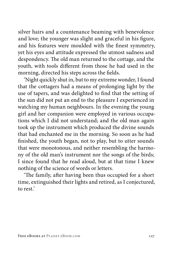silver hairs and a countenance beaming with benevolence and love; the younger was slight and graceful in his figure, and his features were moulded with the finest symmetry, yet his eyes and attitude expressed the utmost sadness and despondency. The old man returned to the cottage, and the youth, with tools different from those he had used in the morning, directed his steps across the fields.

'Night quickly shut in, but to my extreme wonder, I found that the cottagers had a means of prolonging light by the use of tapers, and was delighted to find that the setting of the sun did not put an end to the pleasure I experienced in watching my human neighbours. In the evening the young girl and her companion were employed in various occupations which I did not understand; and the old man again took up the instrument which produced the divine sounds that had enchanted me in the morning. So soon as he had finished, the youth began, not to play, but to utter sounds that were monotonous, and neither resembling the harmony of the old man's instrument nor the songs of the birds; I since found that he read aloud, but at that time I knew nothing of the science of words or letters.

'The family, after having been thus occupied for a short time, extinguished their lights and retired, as I conjectured, to rest.'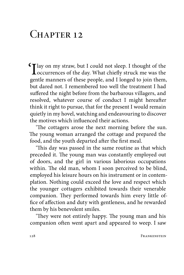# $CHAPTER$  12

I lay on my straw, but I could not sleep. I thought of the occurrences of the day. What chiefly struck me was the problem gentle manners of these people, and I longed to join them, but dared not. I remembered too well the treatment I had suffered the night before from the barbarous villagers, and resolved, whatever course of conduct I might hereafter think it right to pursue, that for the present I would remain quietly in my hovel, watching and endeavouring to discover the motives which influenced their actions.

'The cottagers arose the next morning before the sun. The young woman arranged the cottage and prepared the food, and the youth departed after the first meal.

'This day was passed in the same routine as that which preceded it. The young man was constantly employed out of doors, and the girl in various laborious occupations within. The old man, whom I soon perceived to be blind, employed his leisure hours on his instrument or in contemplation. Nothing could exceed the love and respect which the younger cottagers exhibited towards their venerable companion. They performed towards him every little office of affection and duty with gentleness, and he rewarded them by his benevolent smiles.

'They were not entirely happy. The young man and his companion often went apart and appeared to weep. I saw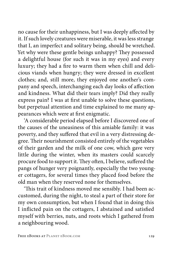no cause for their unhappiness, but I was deeply affected by it. If such lovely creatures were miserable, it was less strange that I, an imperfect and solitary being, should be wretched. Yet why were these gentle beings unhappy? They possessed a delightful house (for such it was in my eyes) and every luxury; they had a fire to warm them when chill and delicious viands when hungry; they were dressed in excellent clothes; and, still more, they enjoyed one another's company and speech, interchanging each day looks of affection and kindness. What did their tears imply? Did they really express pain? I was at first unable to solve these questions, but perpetual attention and time explained to me many appearances which were at first enigmatic.

'A considerable period elapsed before I discovered one of the causes of the uneasiness of this amiable family: it was poverty, and they suffered that evil in a very distressing degree. Their nourishment consisted entirely of the vegetables of their garden and the milk of one cow, which gave very little during the winter, when its masters could scarcely procure food to support it. They often, I believe, suffered the pangs of hunger very poignantly, especially the two younger cottagers, for several times they placed food before the old man when they reserved none for themselves.

'This trait of kindness moved me sensibly. I had been accustomed, during the night, to steal a part of their store for my own consumption, but when I found that in doing this I inflicted pain on the cottagers, I abstained and satisfied myself with berries, nuts, and roots which I gathered from a neighbouring wood.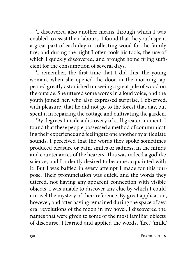'I discovered also another means through which I was enabled to assist their labours. I found that the youth spent a great part of each day in collecting wood for the family fire, and during the night I often took his tools, the use of which I quickly discovered, and brought home firing sufficient for the consumption of several days.

'I remember, the first time that I did this, the young woman, when she opened the door in the morning, appeared greatly astonished on seeing a great pile of wood on the outside. She uttered some words in a loud voice, and the youth joined her, who also expressed surprise. I observed, with pleasure, that he did not go to the forest that day, but spent it in repairing the cottage and cultivating the garden.

'By degrees I made a discovery of still greater moment. I found that these people possessed a method of communicating their experience and feelings to one another by articulate sounds. I perceived that the words they spoke sometimes produced pleasure or pain, smiles or sadness, in the minds and countenances of the hearers. This was indeed a godlike science, and I ardently desired to become acquainted with it. But I was baffled in every attempt I made for this purpose. Their pronunciation was quick, and the words they uttered, not having any apparent connection with visible objects, I was unable to discover any clue by which I could unravel the mystery of their reference. By great application, however, and after having remained during the space of several revolutions of the moon in my hovel, I discovered the names that were given to some of the most familiar objects of discourse; I learned and applied the words, 'fire,' 'milk,'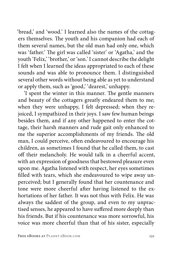'bread,' and 'wood.' I learned also the names of the cottagers themselves. The youth and his companion had each of them several names, but the old man had only one, which was 'father.' The girl was called 'sister' or 'Agatha,' and the youth 'Felix,' 'brother,' or 'son.' I cannot describe the delight I felt when I learned the ideas appropriated to each of these sounds and was able to pronounce them. I distinguished several other words without being able as yet to understand or apply them, such as 'good,' 'dearest,' unhappy.

'I spent the winter in this manner. The gentle manners and beauty of the cottagers greatly endeared them to me; when they were unhappy, I felt depressed; when they rejoiced, I sympathized in their joys. I saw few human beings besides them, and if any other happened to enter the cottage, their harsh manners and rude gait only enhanced to me the superior accomplishments of my friends. The old man, I could perceive, often endeavoured to encourage his children, as sometimes I found that he called them, to cast off their melancholy. He would talk in a cheerful accent, with an expression of goodness that bestowed pleasure even upon me. Agatha listened with respect, her eyes sometimes filled with tears, which she endeavoured to wipe away unperceived; but I generally found that her countenance and tone were more cheerful after having listened to the exhortations of her father. It was not thus with Felix. He was always the saddest of the group, and even to my unpractised senses, he appeared to have suffered more deeply than his friends. But if his countenance was more sorrowful, his voice was more cheerful than that of his sister, especially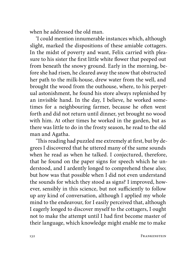when he addressed the old man.

'I could mention innumerable instances which, although slight, marked the dispositions of these amiable cottagers. In the midst of poverty and want, Felix carried with pleasure to his sister the first little white flower that peeped out from beneath the snowy ground. Early in the morning, before she had risen, he cleared away the snow that obstructed her path to the milk-house, drew water from the well, and brought the wood from the outhouse, where, to his perpetual astonishment, he found his store always replenished by an invisible hand. In the day, I believe, he worked sometimes for a neighbouring farmer, because he often went forth and did not return until dinner, yet brought no wood with him. At other times he worked in the garden, but as there was little to do in the frosty season, he read to the old man and Agatha.

'This reading had puzzled me extremely at first, but by degrees I discovered that he uttered many of the same sounds when he read as when he talked. I conjectured, therefore, that he found on the paper signs for speech which he understood, and I ardently longed to comprehend these also; but how was that possible when I did not even understand the sounds for which they stood as signs? I improved, however, sensibly in this science, but not sufficiently to follow up any kind of conversation, although I applied my whole mind to the endeavour, for I easily perceived that, although I eagerly longed to discover myself to the cottagers, I ought not to make the attempt until I had first become master of their language, which knowledge might enable me to make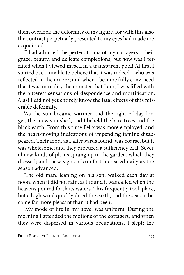them overlook the deformity of my figure, for with this also the contrast perpetually presented to my eyes had made me acquainted.

'I had admired the perfect forms of my cottagers—their grace, beauty, and delicate complexions; but how was I terrified when I viewed myself in a transparent pool! At first I started back, unable to believe that it was indeed I who was reflected in the mirror; and when I became fully convinced that I was in reality the monster that I am, I was filled with the bitterest sensations of despondence and mortification. Alas! I did not yet entirely know the fatal effects of this miserable deformity.

'As the sun became warmer and the light of day longer, the snow vanished, and I beheld the bare trees and the black earth. From this time Felix was more employed, and the heart-moving indications of impending famine disappeared. Their food, as I afterwards found, was coarse, but it was wholesome; and they procured a sufficiency of it. Several new kinds of plants sprang up in the garden, which they dressed; and these signs of comfort increased daily as the season advanced.

'The old man, leaning on his son, walked each day at noon, when it did not rain, as I found it was called when the heavens poured forth its waters. This frequently took place, but a high wind quickly dried the earth, and the season became far more pleasant than it had been.

'My mode of life in my hovel was uniform. During the morning I attended the motions of the cottagers, and when they were dispersed in various occupations, I slept; the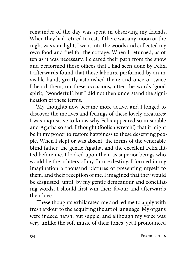remainder of the day was spent in observing my friends. When they had retired to rest, if there was any moon or the night was star-light, I went into the woods and collected my own food and fuel for the cottage. When I returned, as often as it was necessary, I cleared their path from the snow and performed those offices that I had seen done by Felix. I afterwards found that these labours, performed by an invisible hand, greatly astonished them; and once or twice I heard them, on these occasions, utter the words 'good spirit,' 'wonderful'; but I did not then understand the signification of these terms.

'My thoughts now became more active, and I longed to discover the motives and feelings of these lovely creatures; I was inquisitive to know why Felix appeared so miserable and Agatha so sad. I thought (foolish wretch!) that it might be in my power to restore happiness to these deserving people. When I slept or was absent, the forms of the venerable blind father, the gentle Agatha, and the excellent Felix flitted before me. I looked upon them as superior beings who would be the arbiters of my future destiny. I formed in my imagination a thousand pictures of presenting myself to them, and their reception of me. I imagined that they would be disgusted, until, by my gentle demeanour and conciliating words, I should first win their favour and afterwards their love.

'These thoughts exhilarated me and led me to apply with fresh ardour to the acquiring the art of language. My organs were indeed harsh, but supple; and although my voice was very unlike the soft music of their tones, yet I pronounced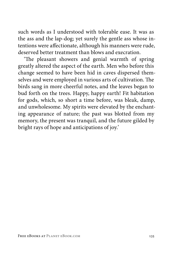such words as I understood with tolerable ease. It was as the ass and the lap-dog; yet surely the gentle ass whose intentions were affectionate, although his manners were rude, deserved better treatment than blows and execration.

'The pleasant showers and genial warmth of spring greatly altered the aspect of the earth. Men who before this change seemed to have been hid in caves dispersed themselves and were employed in various arts of cultivation. The birds sang in more cheerful notes, and the leaves began to bud forth on the trees. Happy, happy earth! Fit habitation for gods, which, so short a time before, was bleak, damp, and unwholesome. My spirits were elevated by the enchanting appearance of nature; the past was blotted from my memory, the present was tranquil, and the future gilded by bright rays of hope and anticipations of joy.'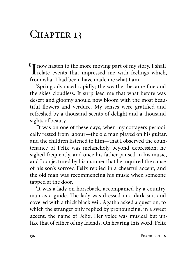# CHAPTER 13

I now hasten to the more moving part of my story. I shall relate events that impressed me with feelings which, from what I had been, have made me what I am.

'Spring advanced rapidly; the weather became fine and the skies cloudless. It surprised me that what before was desert and gloomy should now bloom with the most beautiful flowers and verdure. My senses were gratified and refreshed by a thousand scents of delight and a thousand sights of beauty.

'It was on one of these days, when my cottagers periodically rested from labour—the old man played on his guitar, and the children listened to him—that I observed the countenance of Felix was melancholy beyond expression; he sighed frequently, and once his father paused in his music, and I conjectured by his manner that he inquired the cause of his son's sorrow. Felix replied in a cheerful accent, and the old man was recommencing his music when someone tapped at the door.

'It was a lady on horseback, accompanied by a countryman as a guide. The lady was dressed in a dark suit and covered with a thick black veil. Agatha asked a question, to which the stranger only replied by pronouncing, in a sweet accent, the name of Felix. Her voice was musical but unlike that of either of my friends. On hearing this word, Felix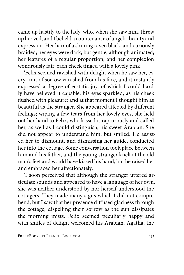came up hastily to the lady, who, when she saw him, threw up her veil, and I beheld a countenance of angelic beauty and expression. Her hair of a shining raven black, and curiously braided; her eyes were dark, but gentle, although animated; her features of a regular proportion, and her complexion wondrously fair, each cheek tinged with a lovely pink.

'Felix seemed ravished with delight when he saw her, every trait of sorrow vanished from his face, and it instantly expressed a degree of ecstatic joy, of which I could hardly have believed it capable; his eyes sparkled, as his cheek flushed with pleasure; and at that moment I thought him as beautiful as the stranger. She appeared affected by different feelings; wiping a few tears from her lovely eyes, she held out her hand to Felix, who kissed it rapturously and called her, as well as I could distinguish, his sweet Arabian. She did not appear to understand him, but smiled. He assisted her to dismount, and dismissing her guide, conducted her into the cottage. Some conversation took place between him and his father, and the young stranger knelt at the old man's feet and would have kissed his hand, but he raised her and embraced her affectionately.

'I soon perceived that although the stranger uttered articulate sounds and appeared to have a language of her own, she was neither understood by nor herself understood the cottagers. They made many signs which I did not comprehend, but I saw that her presence diffused gladness through the cottage, dispelling their sorrow as the sun dissipates the morning mists. Felix seemed peculiarly happy and with smiles of delight welcomed his Arabian. Agatha, the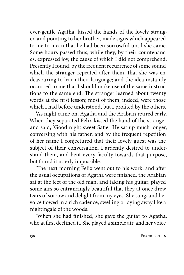ever-gentle Agatha, kissed the hands of the lovely stranger, and pointing to her brother, made signs which appeared to me to mean that he had been sorrowful until she came. Some hours passed thus, while they, by their countenances, expressed joy, the cause of which I did not comprehend. Presently I found, by the frequent recurrence of some sound which the stranger repeated after them, that she was endeavouring to learn their language; and the idea instantly occurred to me that I should make use of the same instructions to the same end. The stranger learned about twenty words at the first lesson; most of them, indeed, were those which I had before understood, but I profited by the others.

'As night came on, Agatha and the Arabian retired early. When they separated Felix kissed the hand of the stranger and said, 'Good night sweet Safie.' He sat up much longer, conversing with his father, and by the frequent repetition of her name I conjectured that their lovely guest was the subject of their conversation. I ardently desired to understand them, and bent every faculty towards that purpose, but found it utterly impossible.

'The next morning Felix went out to his work, and after the usual occupations of Agatha were finished, the Arabian sat at the feet of the old man, and taking his guitar, played some airs so entrancingly beautiful that they at once drew tears of sorrow and delight from my eyes. She sang, and her voice flowed in a rich cadence, swelling or dying away like a nightingale of the woods.

'When she had finished, she gave the guitar to Agatha, who at first declined it. She played a simple air, and her voice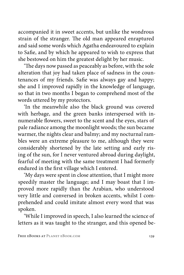accompanied it in sweet accents, but unlike the wondrous strain of the stranger. The old man appeared enraptured and said some words which Agatha endeavoured to explain to Safie, and by which he appeared to wish to express that she bestowed on him the greatest delight by her music.

'The days now passed as peaceably as before, with the sole alteration that joy had taken place of sadness in the countenances of my friends. Safie was always gay and happy; she and I improved rapidly in the knowledge of language, so that in two months I began to comprehend most of the words uttered by my protectors.

'In the meanwhile also the black ground was covered with herbage, and the green banks interspersed with innumerable flowers, sweet to the scent and the eyes, stars of pale radiance among the moonlight woods; the sun became warmer, the nights clear and balmy; and my nocturnal rambles were an extreme pleasure to me, although they were considerably shortened by the late setting and early rising of the sun, for I never ventured abroad during daylight, fearful of meeting with the same treatment I had formerly endured in the first village which I entered.

'My days were spent in close attention, that I might more speedily master the language; and I may boast that I improved more rapidly than the Arabian, who understood very little and conversed in broken accents, whilst I comprehended and could imitate almost every word that was spoken.

'While I improved in speech, I also learned the science of letters as it was taught to the stranger, and this opened be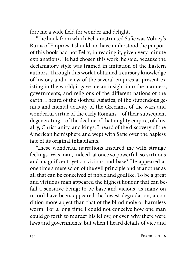fore me a wide field for wonder and delight.

'The book from which Felix instructed Safie was Volney's Ruins of Empires. I should not have understood the purport of this book had not Felix, in reading it, given very minute explanations. He had chosen this work, he said, because the declamatory style was framed in imitation of the Eastern authors. Through this work I obtained a cursory knowledge of history and a view of the several empires at present existing in the world; it gave me an insight into the manners, governments, and religions of the different nations of the earth. I heard of the slothful Asiatics, of the stupendous genius and mental activity of the Grecians, of the wars and wonderful virtue of the early Romans—of their subsequent degenerating—of the decline of that mighty empire, of chivalry, Christianity, and kings. I heard of the discovery of the American hemisphere and wept with Safie over the hapless fate of its original inhabitants.

'These wonderful narrations inspired me with strange feelings. Was man, indeed, at once so powerful, so virtuous and magnificent, yet so vicious and base? He appeared at one time a mere scion of the evil principle and at another as all that can be conceived of noble and godlike. To be a great and virtuous man appeared the highest honour that can befall a sensitive being; to be base and vicious, as many on record have been, appeared the lowest degradation, a condition more abject than that of the blind mole or harmless worm. For a long time I could not conceive how one man could go forth to murder his fellow, or even why there were laws and governments; but when I heard details of vice and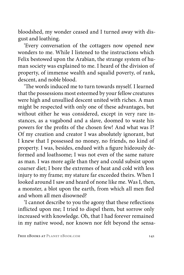bloodshed, my wonder ceased and I turned away with disgust and loathing.

'Every conversation of the cottagers now opened new wonders to me. While I listened to the instructions which Felix bestowed upon the Arabian, the strange system of human society was explained to me. I heard of the division of property, of immense wealth and squalid poverty, of rank, descent, and noble blood.

'The words induced me to turn towards myself. I learned that the possessions most esteemed by your fellow creatures were high and unsullied descent united with riches. A man might be respected with only one of these advantages, but without either he was considered, except in very rare instances, as a vagabond and a slave, doomed to waste his powers for the profits of the chosen few! And what was I? Of my creation and creator I was absolutely ignorant, but I knew that I possessed no money, no friends, no kind of property. I was, besides, endued with a figure hideously deformed and loathsome; I was not even of the same nature as man. I was more agile than they and could subsist upon coarser diet; I bore the extremes of heat and cold with less injury to my frame; my stature far exceeded theirs. When I looked around I saw and heard of none like me. Was I, then, a monster, a blot upon the earth, from which all men fled and whom all men disowned?

'I cannot describe to you the agony that these reflections inflicted upon me; I tried to dispel them, but sorrow only increased with knowledge. Oh, that I had forever remained in my native wood, nor known nor felt beyond the sensa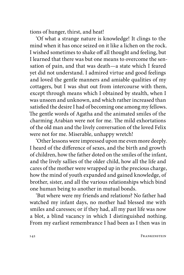tions of hunger, thirst, and heat!

'Of what a strange nature is knowledge! It clings to the mind when it has once seized on it like a lichen on the rock. I wished sometimes to shake off all thought and feeling, but I learned that there was but one means to overcome the sensation of pain, and that was death—a state which I feared yet did not understand. I admired virtue and good feelings and loved the gentle manners and amiable qualities of my cottagers, but I was shut out from intercourse with them, except through means which I obtained by stealth, when I was unseen and unknown, and which rather increased than satisfied the desire I had of becoming one among my fellows. The gentle words of Agatha and the animated smiles of the charming Arabian were not for me. The mild exhortations of the old man and the lively conversation of the loved Felix were not for me. Miserable, unhappy wretch!

'Other lessons were impressed upon me even more deeply. I heard of the difference of sexes, and the birth and growth of children, how the father doted on the smiles of the infant, and the lively sallies of the older child, how all the life and cares of the mother were wrapped up in the precious charge, how the mind of youth expanded and gained knowledge, of brother, sister, and all the various relationships which bind one human being to another in mutual bonds.

'But where were my friends and relations? No father had watched my infant days, no mother had blessed me with smiles and caresses; or if they had, all my past life was now a blot, a blind vacancy in which I distinguished nothing. From my earliest remembrance I had been as I then was in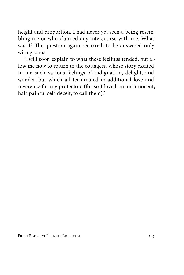height and proportion. I had never yet seen a being resembling me or who claimed any intercourse with me. What was I? The question again recurred, to be answered only with groans.

'I will soon explain to what these feelings tended, but allow me now to return to the cottagers, whose story excited in me such various feelings of indignation, delight, and wonder, but which all terminated in additional love and reverence for my protectors (for so I loved, in an innocent, half-painful self-deceit, to call them).'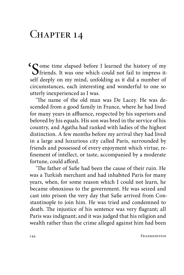### CHAPTER 14

Some time elapsed before I learned the history of my friends. It was one which could not fail to impress itself deeply on my mind, unfolding as it did a number of circumstances, each interesting and wonderful to one so utterly inexperienced as I was.

'The name of the old man was De Lacey. He was descended from a good family in France, where he had lived for many years in affluence, respected by his superiors and beloved by his equals. His son was bred in the service of his country, and Agatha had ranked with ladies of the highest distinction. A few months before my arrival they had lived in a large and luxurious city called Paris, surrounded by friends and possessed of every enjoyment which virtue, refinement of intellect, or taste, accompanied by a moderate fortune, could afford.

'The father of Safie had been the cause of their ruin. He was a Turkish merchant and had inhabited Paris for many years, when, for some reason which I could not learn, he became obnoxious to the government. He was seized and cast into prison the very day that Safie arrived from Constantinople to join him. He was tried and condemned to death. The injustice of his sentence was very flagrant; all Paris was indignant; and it was judged that his religion and wealth rather than the crime alleged against him had been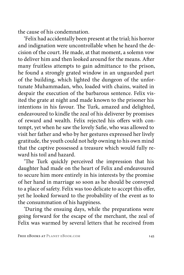the cause of his condemnation.

'Felix had accidentally been present at the trial; his horror and indignation were uncontrollable when he heard the decision of the court. He made, at that moment, a solemn vow to deliver him and then looked around for the means. After many fruitless attempts to gain admittance to the prison, he found a strongly grated window in an unguarded part of the building, which lighted the dungeon of the unfortunate Muhammadan, who, loaded with chains, waited in despair the execution of the barbarous sentence. Felix visited the grate at night and made known to the prisoner his intentions in his favour. The Turk, amazed and delighted, endeavoured to kindle the zeal of his deliverer by promises of reward and wealth. Felix rejected his offers with contempt, yet when he saw the lovely Safie, who was allowed to visit her father and who by her gestures expressed her lively gratitude, the youth could not help owning to his own mind that the captive possessed a treasure which would fully reward his toil and hazard.

'The Turk quickly perceived the impression that his daughter had made on the heart of Felix and endeavoured to secure him more entirely in his interests by the promise of her hand in marriage so soon as he should be conveyed to a place of safety. Felix was too delicate to accept this offer, yet he looked forward to the probability of the event as to the consummation of his happiness.

'During the ensuing days, while the preparations were going forward for the escape of the merchant, the zeal of Felix was warmed by several letters that he received from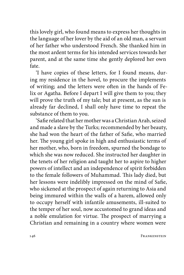this lovely girl, who found means to express her thoughts in the language of her lover by the aid of an old man, a servant of her father who understood French. She thanked him in the most ardent terms for his intended services towards her parent, and at the same time she gently deplored her own fate.

'I have copies of these letters, for I found means, during my residence in the hovel, to procure the implements of writing; and the letters were often in the hands of Felix or Agatha. Before I depart I will give them to you; they will prove the truth of my tale; but at present, as the sun is already far declined, I shall only have time to repeat the substance of them to you.

'Safie related that her mother was a Christian Arab, seized and made a slave by the Turks; recommended by her beauty, she had won the heart of the father of Safie, who married her. The young girl spoke in high and enthusiastic terms of her mother, who, born in freedom, spurned the bondage to which she was now reduced. She instructed her daughter in the tenets of her religion and taught her to aspire to higher powers of intellect and an independence of spirit forbidden to the female followers of Muhammad. This lady died, but her lessons were indelibly impressed on the mind of Safie, who sickened at the prospect of again returning to Asia and being immured within the walls of a harem, allowed only to occupy herself with infantile amusements, ill-suited to the temper of her soul, now accustomed to grand ideas and a noble emulation for virtue. The prospect of marrying a Christian and remaining in a country where women were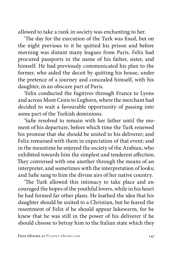allowed to take a rank in society was enchanting to her.

'The day for the execution of the Turk was fixed, but on the night previous to it he quitted his prison and before morning was distant many leagues from Paris. Felix had procured passports in the name of his father, sister, and himself. He had previously communicated his plan to the former, who aided the deceit by quitting his house, under the pretence of a journey and concealed himself, with his daughter, in an obscure part of Paris.

'Felix conducted the fugitives through France to Lyons and across Mont Cenis to Leghorn, where the merchant had decided to wait a favourable opportunity of passing into some part of the Turkish dominions.

'Safie resolved to remain with her father until the moment of his departure, before which time the Turk renewed his promise that she should be united to his deliverer; and Felix remained with them in expectation of that event; and in the meantime he enjoyed the society of the Arabian, who exhibited towards him the simplest and tenderest affection. They conversed with one another through the means of an interpreter, and sometimes with the interpretation of looks; and Safie sang to him the divine airs of her native country.

'The Turk allowed this intimacy to take place and encouraged the hopes of the youthful lovers, while in his heart he had formed far other plans. He loathed the idea that his daughter should be united to a Christian, but he feared the resentment of Felix if he should appear lukewarm, for he knew that he was still in the power of his deliverer if he should choose to betray him to the Italian state which they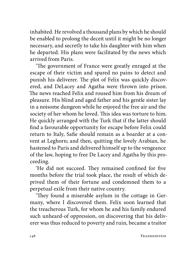inhabited. He revolved a thousand plans by which he should be enabled to prolong the deceit until it might be no longer necessary, and secretly to take his daughter with him when he departed. His plans were facilitated by the news which arrived from Paris.

'The government of France were greatly enraged at the escape of their victim and spared no pains to detect and punish his deliverer. The plot of Felix was quickly discovered, and DeLacey and Agatha were thrown into prison. The news reached Felix and roused him from his dream of pleasure. His blind and aged father and his gentle sister lay in a noisome dungeon while he enjoyed the free air and the society of her whom he loved. This idea was torture to him. He quickly arranged with the Turk that if the latter should find a favourable opportunity for escape before Felix could return to Italy, Safie should remain as a boarder at a convent at Leghorn; and then, quitting the lovely Arabian, he hastened to Paris and delivered himself up to the vengeance of the law, hoping to free De Lacey and Agatha by this proceeding.

'He did not succeed. They remained confined for five months before the trial took place, the result of which deprived them of their fortune and condemned them to a perpetual exile from their native country.

'They found a miserable asylum in the cottage in Germany, where I discovered them. Felix soon learned that the treacherous Turk, for whom he and his family endured such unheard-of oppression, on discovering that his deliverer was thus reduced to poverty and ruin, became a traitor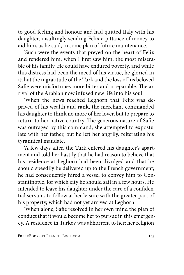to good feeling and honour and had quitted Italy with his daughter, insultingly sending Felix a pittance of money to aid him, as he said, in some plan of future maintenance.

'Such were the events that preyed on the heart of Felix and rendered him, when I first saw him, the most miserable of his family. He could have endured poverty, and while this distress had been the meed of his virtue, he gloried in it; but the ingratitude of the Turk and the loss of his beloved Safie were misfortunes more bitter and irreparable. The arrival of the Arabian now infused new life into his soul.

'When the news reached Leghorn that Felix was deprived of his wealth and rank, the merchant commanded his daughter to think no more of her lover, but to prepare to return to her native country. The generous nature of Safie was outraged by this command; she attempted to expostulate with her father, but he left her angrily, reiterating his tyrannical mandate.

'A few days after, the Turk entered his daughter's apartment and told her hastily that he had reason to believe that his residence at Leghorn had been divulged and that he should speedily be delivered up to the French government; he had consequently hired a vessel to convey him to Constantinople, for which city he should sail in a few hours. He intended to leave his daughter under the care of a confidential servant, to follow at her leisure with the greater part of his property, which had not yet arrived at Leghorn.

'When alone, Safie resolved in her own mind the plan of conduct that it would become her to pursue in this emergency. A residence in Turkey was abhorrent to her; her religion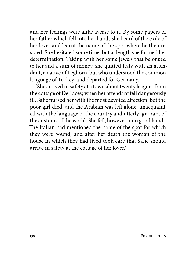and her feelings were alike averse to it. By some papers of her father which fell into her hands she heard of the exile of her lover and learnt the name of the spot where he then resided. She hesitated some time, but at length she formed her determination. Taking with her some jewels that belonged to her and a sum of money, she quitted Italy with an attendant, a native of Leghorn, but who understood the common language of Turkey, and departed for Germany.

'She arrived in safety at a town about twenty leagues from the cottage of De Lacey, when her attendant fell dangerously ill. Safie nursed her with the most devoted affection, but the poor girl died, and the Arabian was left alone, unacquainted with the language of the country and utterly ignorant of the customs of the world. She fell, however, into good hands. The Italian had mentioned the name of the spot for which they were bound, and after her death the woman of the house in which they had lived took care that Safie should arrive in safety at the cottage of her lover.'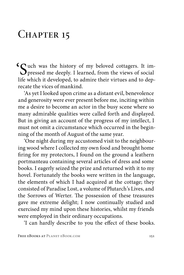## CHAPTER 15

Such was the history of my beloved cottagers. It im-<br>pressed me deeply. I learned, from the views of social<br>life solid it developed to obvious their sitting and to due life which it developed, to admire their virtues and to deprecate the vices of mankind.

'As yet I looked upon crime as a distant evil, benevolence and generosity were ever present before me, inciting within me a desire to become an actor in the busy scene where so many admirable qualities were called forth and displayed. But in giving an account of the progress of my intellect, I must not omit a circumstance which occurred in the beginning of the month of August of the same year.

'One night during my accustomed visit to the neighbouring wood where I collected my own food and brought home firing for my protectors, I found on the ground a leathern portmanteau containing several articles of dress and some books. I eagerly seized the prize and returned with it to my hovel. Fortunately the books were written in the language, the elements of which I had acquired at the cottage; they consisted of Paradise Lost, a volume of Plutarch's Lives, and the Sorrows of Werter. The possession of these treasures gave me extreme delight; I now continually studied and exercised my mind upon these histories, whilst my friends were employed in their ordinary occupations.

'I can hardly describe to you the effect of these books.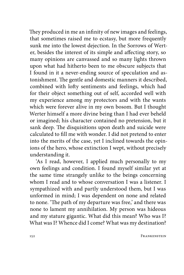They produced in me an infinity of new images and feelings, that sometimes raised me to ecstasy, but more frequently sunk me into the lowest dejection. In the Sorrows of Werter, besides the interest of its simple and affecting story, so many opinions are canvassed and so many lights thrown upon what had hitherto been to me obscure subjects that I found in it a never-ending source of speculation and astonishment. The gentle and domestic manners it described, combined with lofty sentiments and feelings, which had for their object something out of self, accorded well with my experience among my protectors and with the wants which were forever alive in my own bosom. But I thought Werter himself a more divine being than I had ever beheld or imagined; his character contained no pretension, but it sank deep. The disquisitions upon death and suicide were calculated to fill me with wonder. I did not pretend to enter into the merits of the case, yet I inclined towards the opinions of the hero, whose extinction I wept, without precisely understanding it.

'As I read, however, I applied much personally to my own feelings and condition. I found myself similar yet at the same time strangely unlike to the beings concerning whom I read and to whose conversation I was a listener. I sympathized with and partly understood them, but I was unformed in mind; I was dependent on none and related to none. 'The path of my departure was free,' and there was none to lament my annihilation. My person was hideous and my stature gigantic. What did this mean? Who was I? What was I? Whence did I come? What was my destination?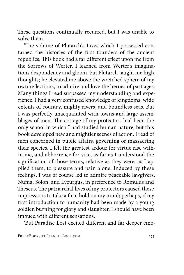These questions continually recurred, but I was unable to solve them.

'The volume of Plutarch's Lives which I possessed contained the histories of the first founders of the ancient republics. This book had a far different effect upon me from the Sorrows of Werter. I learned from Werter's imaginations despondency and gloom, but Plutarch taught me high thoughts; he elevated me above the wretched sphere of my own reflections, to admire and love the heroes of past ages. Many things I read surpassed my understanding and experience. I had a very confused knowledge of kingdoms, wide extents of country, mighty rivers, and boundless seas. But I was perfectly unacquainted with towns and large assemblages of men. The cottage of my protectors had been the only school in which I had studied human nature, but this book developed new and mightier scenes of action. I read of men concerned in public affairs, governing or massacring their species. I felt the greatest ardour for virtue rise within me, and abhorrence for vice, as far as I understood the signification of those terms, relative as they were, as I applied them, to pleasure and pain alone. Induced by these feelings, I was of course led to admire peaceable lawgivers, Numa, Solon, and Lycurgus, in preference to Romulus and Theseus. The patriarchal lives of my protectors caused these impressions to take a firm hold on my mind; perhaps, if my first introduction to humanity had been made by a young soldier, burning for glory and slaughter, I should have been imbued with different sensations.

'But Paradise Lost excited different and far deeper emo-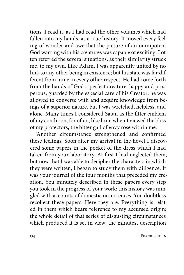tions. I read it, as I had read the other volumes which had fallen into my hands, as a true history. It moved every feeling of wonder and awe that the picture of an omnipotent God warring with his creatures was capable of exciting. I often referred the several situations, as their similarity struck me, to my own. Like Adam, I was apparently united by no link to any other being in existence; but his state was far different from mine in every other respect. He had come forth from the hands of God a perfect creature, happy and prosperous, guarded by the especial care of his Creator; he was allowed to converse with and acquire knowledge from beings of a superior nature, but I was wretched, helpless, and alone. Many times I considered Satan as the fitter emblem of my condition, for often, like him, when I viewed the bliss of my protectors, the bitter gall of envy rose within me.

'Another circumstance strengthened and confirmed these feelings. Soon after my arrival in the hovel I discovered some papers in the pocket of the dress which I had taken from your laboratory. At first I had neglected them, but now that I was able to decipher the characters in which they were written, I began to study them with diligence. It was your journal of the four months that preceded my creation. You minutely described in these papers every step you took in the progress of your work; this history was mingled with accounts of domestic occurrences. You doubtless recollect these papers. Here they are. Everything is related in them which bears reference to my accursed origin; the whole detail of that series of disgusting circumstances which produced it is set in view; the minutest description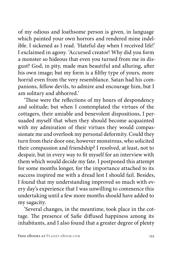of my odious and loathsome person is given, in language which painted your own horrors and rendered mine indelible. I sickened as I read. 'Hateful day when I received life!' I exclaimed in agony. 'Accursed creator! Why did you form a monster so hideous that even you turned from me in disgust? God, in pity, made man beautiful and alluring, after his own image; but my form is a filthy type of yours, more horrid even from the very resemblance. Satan had his companions, fellow devils, to admire and encourage him, but I am solitary and abhorred.'

'These were the reflections of my hours of despondency and solitude; but when I contemplated the virtues of the cottagers, their amiable and benevolent dispositions, I persuaded myself that when they should become acquainted with my admiration of their virtues they would compassionate me and overlook my personal deformity. Could they turn from their door one, however monstrous, who solicited their compassion and friendship? I resolved, at least, not to despair, but in every way to fit myself for an interview with them which would decide my fate. I postponed this attempt for some months longer, for the importance attached to its success inspired me with a dread lest I should fail. Besides, I found that my understanding improved so much with every day's experience that I was unwilling to commence this undertaking until a few more months should have added to my sagacity.

'Several changes, in the meantime, took place in the cottage. The presence of Safie diffused happiness among its inhabitants, and I also found that a greater degree of plenty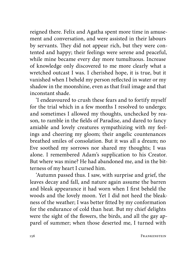reigned there. Felix and Agatha spent more time in amusement and conversation, and were assisted in their labours by servants. They did not appear rich, but they were contented and happy; their feelings were serene and peaceful, while mine became every day more tumultuous. Increase of knowledge only discovered to me more clearly what a wretched outcast I was. I cherished hope, it is true, but it vanished when I beheld my person reflected in water or my shadow in the moonshine, even as that frail image and that inconstant shade.

'I endeavoured to crush these fears and to fortify myself for the trial which in a few months I resolved to undergo; and sometimes I allowed my thoughts, unchecked by reason, to ramble in the fields of Paradise, and dared to fancy amiable and lovely creatures sympathizing with my feelings and cheering my gloom; their angelic countenances breathed smiles of consolation. But it was all a dream; no Eve soothed my sorrows nor shared my thoughts; I was alone. I remembered Adam's supplication to his Creator. But where was mine? He had abandoned me, and in the bitterness of my heart I cursed him.

'Autumn passed thus. I saw, with surprise and grief, the leaves decay and fall, and nature again assume the barren and bleak appearance it had worn when I first beheld the woods and the lovely moon. Yet I did not heed the bleakness of the weather; I was better fitted by my conformation for the endurance of cold than heat. But my chief delights were the sight of the flowers, the birds, and all the gay apparel of summer; when those deserted me, I turned with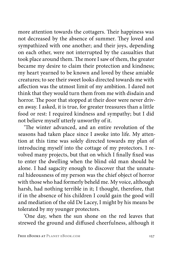more attention towards the cottagers. Their happiness was not decreased by the absence of summer. They loved and sympathized with one another; and their joys, depending on each other, were not interrupted by the casualties that took place around them. The more I saw of them, the greater became my desire to claim their protection and kindness; my heart yearned to be known and loved by these amiable creatures; to see their sweet looks directed towards me with affection was the utmost limit of my ambition. I dared not think that they would turn them from me with disdain and horror. The poor that stopped at their door were never driven away. I asked, it is true, for greater treasures than a little food or rest: I required kindness and sympathy; but I did not believe myself utterly unworthy of it.

'The winter advanced, and an entire revolution of the seasons had taken place since I awoke into life. My attention at this time was solely directed towards my plan of introducing myself into the cottage of my protectors. I revolved many projects, but that on which I finally fixed was to enter the dwelling when the blind old man should be alone. I had sagacity enough to discover that the unnatural hideousness of my person was the chief object of horror with those who had formerly beheld me. My voice, although harsh, had nothing terrible in it; I thought, therefore, that if in the absence of his children I could gain the good will and mediation of the old De Lacey, I might by his means be tolerated by my younger protectors.

'One day, when the sun shone on the red leaves that strewed the ground and diffused cheerfulness, although it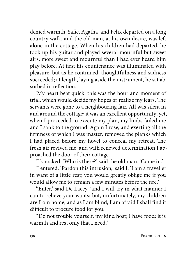denied warmth, Safie, Agatha, and Felix departed on a long country walk, and the old man, at his own desire, was left alone in the cottage. When his children had departed, he took up his guitar and played several mournful but sweet airs, more sweet and mournful than I had ever heard him play before. At first his countenance was illuminated with pleasure, but as he continued, thoughtfulness and sadness succeeded; at length, laying aside the instrument, he sat absorbed in reflection.

'My heart beat quick; this was the hour and moment of trial, which would decide my hopes or realize my fears. The servants were gone to a neighbouring fair. All was silent in and around the cottage; it was an excellent opportunity; yet, when I proceeded to execute my plan, my limbs failed me and I sank to the ground. Again I rose, and exerting all the firmness of which I was master, removed the planks which I had placed before my hovel to conceal my retreat. The fresh air revived me, and with renewed determination I approached the door of their cottage.

'I knocked. 'Who is there?' said the old man. 'Come in.'

'I entered. 'Pardon this intrusion,' said I; 'I am a traveller in want of a little rest; you would greatly oblige me if you would allow me to remain a few minutes before the fire.'

''Enter,' said De Lacey, 'and I will try in what manner I can to relieve your wants; but, unfortunately, my children are from home, and as I am blind, I am afraid I shall find it difficult to procure food for you.'

''Do not trouble yourself, my kind host; I have food; it is warmth and rest only that I need.'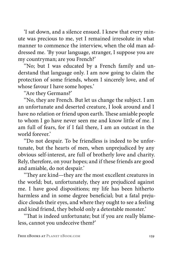'I sat down, and a silence ensued. I knew that every minute was precious to me, yet I remained irresolute in what manner to commence the interview, when the old man addressed me. 'By your language, stranger, I suppose you are my countryman; are you French?'

''No; but I was educated by a French family and understand that language only. I am now going to claim the protection of some friends, whom I sincerely love, and of whose favour I have some hopes.'

''Are they Germans?'

''No, they are French. But let us change the subject. I am an unfortunate and deserted creature, I look around and I have no relation or friend upon earth. These amiable people to whom I go have never seen me and know little of me. I am full of fears, for if I fail there, I am an outcast in the world forever'

''Do not despair. To be friendless is indeed to be unfortunate, but the hearts of men, when unprejudiced by any obvious self-interest, are full of brotherly love and charity. Rely, therefore, on your hopes; and if these friends are good and amiable, do not despair.'

''They are kind—they are the most excellent creatures in the world; but, unfortunately, they are prejudiced against me. I have good dispositions; my life has been hitherto harmless and in some degree beneficial; but a fatal prejudice clouds their eyes, and where they ought to see a feeling and kind friend, they behold only a detestable monster.'

''That is indeed unfortunate; but if you are really blameless, cannot you undeceive them?'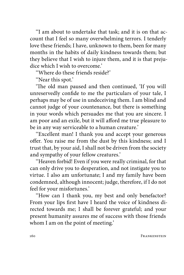''I am about to undertake that task; and it is on that account that I feel so many overwhelming terrors. I tenderly love these friends; I have, unknown to them, been for many months in the habits of daily kindness towards them; but they believe that I wish to injure them, and it is that prejudice which I wish to overcome'

''Where do these friends reside?'

''Near this spot.'

'The old man paused and then continued, 'If you will unreservedly confide to me the particulars of your tale, I perhaps may be of use in undeceiving them. I am blind and cannot judge of your countenance, but there is something in your words which persuades me that you are sincere. I am poor and an exile, but it will afford me true pleasure to be in any way serviceable to a human creature.'

''Excellent man! I thank you and accept your generous offer. You raise me from the dust by this kindness; and I trust that, by your aid, I shall not be driven from the society and sympathy of your fellow creatures.'

''Heaven forbid! Even if you were really criminal, for that can only drive you to desperation, and not instigate you to virtue. I also am unfortunate; I and my family have been condemned, although innocent; judge, therefore, if I do not feel for your misfortunes.'

''How can I thank you, my best and only benefactor? From your lips first have I heard the voice of kindness directed towards me; I shall be forever grateful; and your present humanity assures me of success with those friends whom I am on the point of meeting.'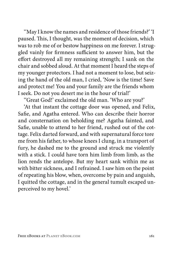''May I know the names and residence of those friends?' 'I paused. This, I thought, was the moment of decision, which was to rob me of or bestow happiness on me forever. I struggled vainly for firmness sufficient to answer him, but the effort destroyed all my remaining strength; I sank on the chair and sobbed aloud. At that moment I heard the steps of my younger protectors. I had not a moment to lose, but seizing the hand of the old man, I cried, 'Now is the time! Save and protect me! You and your family are the friends whom I seek. Do not you desert me in the hour of trial!'

''Great God!' exclaimed the old man. 'Who are you?'

'At that instant the cottage door was opened, and Felix, Safie, and Agatha entered. Who can describe their horror and consternation on beholding me? Agatha fainted, and Safie, unable to attend to her friend, rushed out of the cottage. Felix darted forward, and with supernatural force tore me from his father, to whose knees I clung, in a transport of fury, he dashed me to the ground and struck me violently with a stick. I could have torn him limb from limb, as the lion rends the antelope. But my heart sank within me as with bitter sickness, and I refrained. I saw him on the point of repeating his blow, when, overcome by pain and anguish, I quitted the cottage, and in the general tumult escaped unperceived to my hovel.'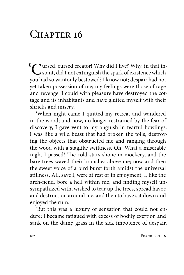## $CHAPTER$  16

'Cursed, cursed creator! Why did I live? Why, in that in-stant, did I not extinguish the spark of existence which you had so wantonly bestowed? I know not; despair had not yet taken possession of me; my feelings were those of rage and revenge. I could with pleasure have destroyed the cottage and its inhabitants and have glutted myself with their shrieks and misery.

'When night came I quitted my retreat and wandered in the wood; and now, no longer restrained by the fear of discovery, I gave vent to my anguish in fearful howlings. I was like a wild beast that had broken the toils, destroying the objects that obstructed me and ranging through the wood with a staglike swiftness. Oh! What a miserable night I passed! The cold stars shone in mockery, and the bare trees waved their branches above me; now and then the sweet voice of a bird burst forth amidst the universal stillness. All, save I, were at rest or in enjoyment; I, like the arch-fiend, bore a hell within me, and finding myself unsympathized with, wished to tear up the trees, spread havoc and destruction around me, and then to have sat down and enjoyed the ruin.

'But this was a luxury of sensation that could not endure; I became fatigued with excess of bodily exertion and sank on the damp grass in the sick impotence of despair.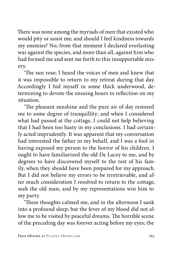There was none among the myriads of men that existed who would pity or assist me; and should I feel kindness towards my enemies? No; from that moment I declared everlasting war against the species, and more than all, against him who had formed me and sent me forth to this insupportable misery.

'The sun rose; I heard the voices of men and knew that it was impossible to return to my retreat during that day. Accordingly I hid myself in some thick underwood, determining to devote the ensuing hours to reflection on my situation.

'The pleasant sunshine and the pure air of day restored me to some degree of tranquillity; and when I considered what had passed at the cottage, I could not help believing that I had been too hasty in my conclusions. I had certainly acted imprudently. It was apparent that my conversation had interested the father in my behalf, and I was a fool in having exposed my person to the horror of his children. I ought to have familiarized the old De Lacey to me, and by degrees to have discovered myself to the rest of his family, when they should have been prepared for my approach. But I did not believe my errors to be irretrievable, and after much consideration I resolved to return to the cottage, seek the old man, and by my representations win him to my party.

'These thoughts calmed me, and in the afternoon I sank into a profound sleep; but the fever of my blood did not allow me to be visited by peaceful dreams. The horrible scene of the preceding day was forever acting before my eyes; the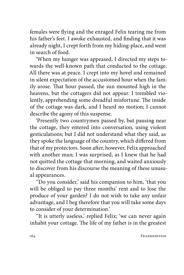females were flying and the enraged Felix tearing me from his father's feet. I awoke exhausted, and finding that it was already night, I crept forth from my hiding-place, and went in search of food.

'When my hunger was appeased, I directed my steps towards the well-known path that conducted to the cottage. All there was at peace. I crept into my hovel and remained in silent expectation of the accustomed hour when the family arose. That hour passed, the sun mounted high in the heavens, but the cottagers did not appear. I trembled violently, apprehending some dreadful misfortune. The inside of the cottage was dark, and I heard no motion; I cannot describe the agony of this suspense.

'Presently two countrymen passed by, but pausing near the cottage, they entered into conversation, using violent gesticulations; but I did not understand what they said, as they spoke the language of the country, which differed from that of my protectors. Soon after, however, Felix approached with another man; I was surprised, as I knew that he had not quitted the cottage that morning, and waited anxiously to discover from his discourse the meaning of these unusual appearances.

''Do you consider,' said his companion to him, 'that you will be obliged to pay three months' rent and to lose the produce of your garden? I do not wish to take any unfair advantage, and I beg therefore that you will take some days to consider of your determination.'

''It is utterly useless,' replied Felix; 'we can never again inhabit your cottage. The life of my father is in the greatest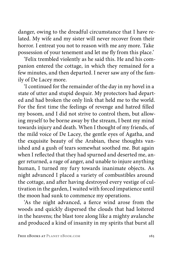danger, owing to the dreadful circumstance that I have related. My wife and my sister will never recover from their horror. I entreat you not to reason with me any more. Take possession of your tenement and let me fly from this place.'

'Felix trembled violently as he said this. He and his companion entered the cottage, in which they remained for a few minutes, and then departed. I never saw any of the family of De Lacey more.

'I continued for the remainder of the day in my hovel in a state of utter and stupid despair. My protectors had departed and had broken the only link that held me to the world. For the first time the feelings of revenge and hatred filled my bosom, and I did not strive to control them, but allowing myself to be borne away by the stream, I bent my mind towards injury and death. When I thought of my friends, of the mild voice of De Lacey, the gentle eyes of Agatha, and the exquisite beauty of the Arabian, these thoughts vanished and a gush of tears somewhat soothed me. But again when I reflected that they had spurned and deserted me, anger returned, a rage of anger, and unable to injure anything human, I turned my fury towards inanimate objects. As night advanced I placed a variety of combustibles around the cottage, and after having destroyed every vestige of cultivation in the garden, I waited with forced impatience until the moon had sunk to commence my operations.

'As the night advanced, a fierce wind arose from the woods and quickly dispersed the clouds that had loitered in the heavens; the blast tore along like a mighty avalanche and produced a kind of insanity in my spirits that burst all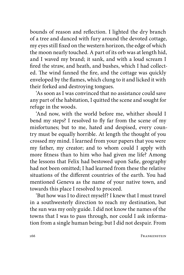bounds of reason and reflection. I lighted the dry branch of a tree and danced with fury around the devoted cottage, my eyes still fixed on the western horizon, the edge of which the moon nearly touched. A part of its orb was at length hid, and I waved my brand; it sank, and with a loud scream I fired the straw, and heath, and bushes, which I had collected. The wind fanned the fire, and the cottage was quickly enveloped by the flames, which clung to it and licked it with their forked and destroying tongues.

'As soon as I was convinced that no assistance could save any part of the habitation, I quitted the scene and sought for refuge in the woods.

'And now, with the world before me, whither should I bend my steps? I resolved to fly far from the scene of my misfortunes; but to me, hated and despised, every country must be equally horrible. At length the thought of you crossed my mind. I learned from your papers that you were my father, my creator; and to whom could I apply with more fitness than to him who had given me life? Among the lessons that Felix had bestowed upon Safie, geography had not been omitted; I had learned from these the relative situations of the different countries of the earth. You had mentioned Geneva as the name of your native town, and towards this place I resolved to proceed.

'But how was I to direct myself? I knew that I must travel in a southwesterly direction to reach my destination, but the sun was my only guide. I did not know the names of the towns that I was to pass through, nor could I ask information from a single human being; but I did not despair. From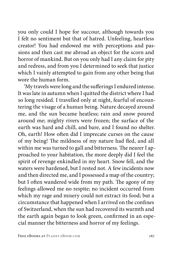you only could I hope for succour, although towards you I felt no sentiment but that of hatred. Unfeeling, heartless creator! You had endowed me with perceptions and passions and then cast me abroad an object for the scorn and horror of mankind. But on you only had I any claim for pity and redress, and from you I determined to seek that justice which I vainly attempted to gain from any other being that wore the human form.

'My travels were long and the sufferings I endured intense. It was late in autumn when I quitted the district where I had so long resided. I travelled only at night, fearful of encountering the visage of a human being. Nature decayed around me, and the sun became heatless; rain and snow poured around me; mighty rivers were frozen; the surface of the earth was hard and chill, and bare, and I found no shelter. Oh, earth! How often did I imprecate curses on the cause of my being! The mildness of my nature had fled, and all within me was turned to gall and bitterness. The nearer I approached to your habitation, the more deeply did I feel the spirit of revenge enkindled in my heart. Snow fell, and the waters were hardened, but I rested not. A few incidents now and then directed me, and I possessed a map of the country; but I often wandered wide from my path. The agony of my feelings allowed me no respite; no incident occurred from which my rage and misery could not extract its food; but a circumstance that happened when I arrived on the confines of Switzerland, when the sun had recovered its warmth and the earth again began to look green, confirmed in an especial manner the bitterness and horror of my feelings.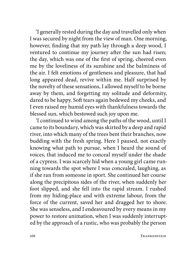'I generally rested during the day and travelled only when I was secured by night from the view of man. One morning, however, finding that my path lay through a deep wood, I ventured to continue my journey after the sun had risen; the day, which was one of the first of spring, cheered even me by the loveliness of its sunshine and the balminess of the air. I felt emotions of gentleness and pleasure, that had long appeared dead, revive within me. Half surprised by the novelty of these sensations, I allowed myself to be borne away by them, and forgetting my solitude and deformity, dared to be happy. Soft tears again bedewed my cheeks, and I even raised my humid eyes with thankfulness towards the blessed sun, which bestowed such joy upon me.

'I continued to wind among the paths of the wood, until I came to its boundary, which was skirted by a deep and rapid river, into which many of the trees bent their branches, now budding with the fresh spring. Here I paused, not exactly knowing what path to pursue, when I heard the sound of voices, that induced me to conceal myself under the shade of a cypress. I was scarcely hid when a young girl came running towards the spot where I was concealed, laughing, as if she ran from someone in sport. She continued her course along the precipitous sides of the river, when suddenly her foot slipped, and she fell into the rapid stream. I rushed from my hiding-place and with extreme labour, from the force of the current, saved her and dragged her to shore. She was senseless, and I endeavoured by every means in my power to restore animation, when I was suddenly interrupted by the approach of a rustic, who was probably the person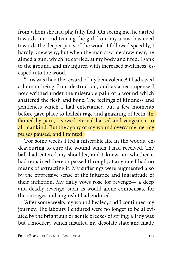from whom she had playfully fled. On seeing me, he darted towards me, and tearing the girl from my arms, hastened towards the deeper parts of the wood. I followed speedily, I hardly knew why; but when the man saw me draw near, he aimed a gun, which he carried, at my body and fired. I sank to the ground, and my injurer, with increased swiftness, escaped into the wood.

'This was then the reward of my benevolence! I had saved a human being from destruction, and as a recompense I now writhed under the miserable pain of a wound which shattered the flesh and bone. The feelings of kindness and gentleness which I had entertained but a few moments before gave place to hellish rage and gnashing of teeth. Inflamed by pain, I vowed eternal hatred and vengeance to all mankind. But the agony of my wound overcame me; my pulses paused, and I fainted.

'For some weeks I led a miserable life in the woods, endeavouring to cure the wound which I had received. The ball had entered my shoulder, and I knew not whether it had remained there or passed through; at any rate I had no means of extracting it. My sufferings were augmented also by the oppressive sense of the injustice and ingratitude of their infliction. My daily vows rose for revenge— a deep and deadly revenge, such as would alone compensate for the outrages and anguish I had endured.

'After some weeks my wound healed, and I continued my journey. The labours I endured were no longer to be alleviated by the bright sun or gentle breezes of spring; all joy was but a mockery which insulted my desolate state and made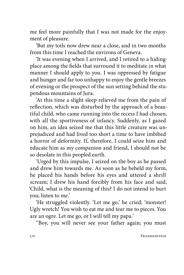me feel more painfully that I was not made for the enjoyment of pleasure.

'But my toils now drew near a close, and in two months from this time I reached the environs of Geneva.

'It was evening when I arrived, and I retired to a hidingplace among the fields that surround it to meditate in what manner I should apply to you. I was oppressed by fatigue and hunger and far too unhappy to enjoy the gentle breezes of evening or the prospect of the sun setting behind the stupendous mountains of Jura.

'At this time a slight sleep relieved me from the pain of reflection, which was disturbed by the approach of a beautiful child, who came running into the recess I had chosen, with all the sportiveness of infancy. Suddenly, as I gazed on him, an idea seized me that this little creature was unprejudiced and had lived too short a time to have imbibed a horror of deformity. If, therefore, I could seize him and educate him as my companion and friend, I should not be so desolate in this peopled earth.

'Urged by this impulse, I seized on the boy as he passed and drew him towards me. As soon as he beheld my form, he placed his hands before his eyes and uttered a shrill scream; I drew his hand forcibly from his face and said, 'Child, what is the meaning of this? I do not intend to hurt you; listen to me.'

'He struggled violently. 'Let me go,' he cried; 'monster! Ugly wretch! You wish to eat me and tear me to pieces. You are an ogre. Let me go, or I will tell my papa.'

''Boy, you will never see your father again; you must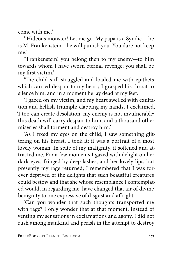come with me.'

''Hideous monster! Let me go. My papa is a Syndic— he is M. Frankenstein—he will punish you. You dare not keep me.'

''Frankenstein! you belong then to my enemy—to him towards whom I have sworn eternal revenge; you shall be my first victim.'

'The child still struggled and loaded me with epithets which carried despair to my heart; I grasped his throat to silence him, and in a moment he lay dead at my feet.

'I gazed on my victim, and my heart swelled with exultation and hellish triumph; clapping my hands, I exclaimed, 'I too can create desolation; my enemy is not invulnerable; this death will carry despair to him, and a thousand other miseries shall torment and destroy him.'

'As I fixed my eyes on the child, I saw something glittering on his breast. I took it; it was a portrait of a most lovely woman. In spite of my malignity, it softened and attracted me. For a few moments I gazed with delight on her dark eyes, fringed by deep lashes, and her lovely lips; but presently my rage returned; I remembered that I was forever deprived of the delights that such beautiful creatures could bestow and that she whose resemblance I contemplated would, in regarding me, have changed that air of divine benignity to one expressive of disgust and affright.

'Can you wonder that such thoughts transported me with rage? I only wonder that at that moment, instead of venting my sensations in exclamations and agony, I did not rush among mankind and perish in the attempt to destroy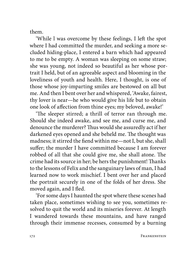them.

'While l was overcome by these feelings, I left the spot where I had committed the murder, and seeking a more secluded hiding-place, I entered a barn which had appeared to me to be empty. A woman was sleeping on some straw; she was young, not indeed so beautiful as her whose portrait I held, but of an agreeable aspect and blooming in the loveliness of youth and health. Here, I thought, is one of those whose joy-imparting smiles are bestowed on all but me. And then I bent over her and whispered, 'Awake, fairest, thy lover is near—he who would give his life but to obtain one look of affection from thine eyes; my beloved, awake!'

'The sleeper stirred; a thrill of terror ran through me. Should she indeed awake, and see me, and curse me, and denounce the murderer? Thus would she assuredly act if her darkened eyes opened and she beheld me. The thought was madness; it stirred the fiend within me—not I, but she, shall suffer; the murder I have committed because I am forever robbed of all that she could give me, she shall atone. The crime had its source in her; be hers the punishment! Thanks to the lessons of Felix and the sanguinary laws of man, I had learned now to work mischief. I bent over her and placed the portrait securely in one of the folds of her dress. She moved again, and I fled.

'For some days I haunted the spot where these scenes had taken place, sometimes wishing to see you, sometimes resolved to quit the world and its miseries forever. At length I wandered towards these mountains, and have ranged through their immense recesses, consumed by a burning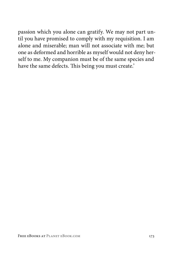passion which you alone can gratify. We may not part until you have promised to comply with my requisition. I am alone and miserable; man will not associate with me; but one as deformed and horrible as myself would not deny herself to me. My companion must be of the same species and have the same defects. This being you must create.'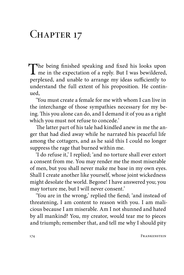## CHAPTER 17

The being finished speaking and fixed his looks upon<br>me in the expectation of a reply. But I was bewildered,<br>membership to a representation of simple to perplexed, and unable to arrange my ideas sufficiently to understand the full extent of his proposition. He continued,

'You must create a female for me with whom I can live in the interchange of those sympathies necessary for my being. This you alone can do, and I demand it of you as a right which you must not refuse to concede.'

The latter part of his tale had kindled anew in me the anger that had died away while he narrated his peaceful life among the cottagers, and as he said this I could no longer suppress the rage that burned within me.

'I do refuse it,' I replied; 'and no torture shall ever extort a consent from me. You may render me the most miserable of men, but you shall never make me base in my own eyes. Shall I create another like yourself, whose joint wickedness might desolate the world. Begone! I have answered you; you may torture me, but I will never consent.'

'You are in the wrong,' replied the fiend; 'and instead of threatening, I am content to reason with you. I am malicious because I am miserable. Am I not shunned and hated by all mankind? You, my creator, would tear me to pieces and triumph; remember that, and tell me why I should pity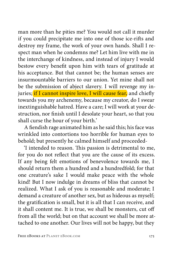man more than he pities me? You would not call it murder if you could precipitate me into one of those ice-rifts and destroy my frame, the work of your own hands. Shall I respect man when he condemns me? Let him live with me in the interchange of kindness, and instead of injury I would bestow every benefit upon him with tears of gratitude at his acceptance. But that cannot be; the human senses are insurmountable barriers to our union. Yet mine shall not be the submission of abject slavery. I will revenge my injuries; if I cannot inspire love, I will cause fear, and chiefly towards you my archenemy, because my creator, do I swear inextinguishable hatred. Have a care; I will work at your destruction, nor finish until I desolate your heart, so that you shall curse the hour of your birth.'

A fiendish rage animated him as he said this; his face was wrinkled into contortions too horrible for human eyes to behold; but presently he calmed himself and proceeded-

'I intended to reason. This passion is detrimental to me, for you do not reflect that you are the cause of its excess. If any being felt emotions of benevolence towards me, I should return them a hundred and a hundredfold; for that one creature's sake I would make peace with the whole kind! But I now indulge in dreams of bliss that cannot be realized. What I ask of you is reasonable and moderate; I demand a creature of another sex, but as hideous as myself; the gratification is small, but it is all that I can receive, and it shall content me. It is true, we shall be monsters, cut off from all the world; but on that account we shall be more attached to one another. Our lives will not be happy, but they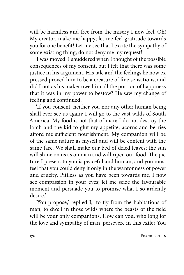will be harmless and free from the misery I now feel. Oh! My creator, make me happy; let me feel gratitude towards you for one benefit! Let me see that I excite the sympathy of some existing thing; do not deny me my request!'

I was moved. I shuddered when I thought of the possible consequences of my consent, but I felt that there was some justice in his argument. His tale and the feelings he now expressed proved him to be a creature of fine sensations, and did I not as his maker owe him all the portion of happiness that it was in my power to bestow? He saw my change of feeling and continued,

'If you consent, neither you nor any other human being shall ever see us again; I will go to the vast wilds of South America. My food is not that of man; I do not destroy the lamb and the kid to glut my appetite; acorns and berries afford me sufficient nourishment. My companion will be of the same nature as myself and will be content with the same fare. We shall make our bed of dried leaves; the sun will shine on us as on man and will ripen our food. The picture I present to you is peaceful and human, and you must feel that you could deny it only in the wantonness of power and cruelty. Pitiless as you have been towards me, I now see compassion in your eyes; let me seize the favourable moment and persuade you to promise what I so ardently desire.'

'You propose,' replied I, 'to fly from the habitations of man, to dwell in those wilds where the beasts of the field will be your only companions. How can you, who long for the love and sympathy of man, persevere in this exile? You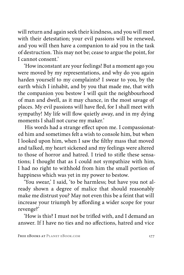will return and again seek their kindness, and you will meet with their detestation; your evil passions will be renewed, and you will then have a companion to aid you in the task of destruction. This may not be; cease to argue the point, for I cannot consent.'

'How inconstant are your feelings! But a moment ago you were moved by my representations, and why do you again harden yourself to my complaints? I swear to you, by the earth which I inhabit, and by you that made me, that with the companion you bestow I will quit the neighbourhood of man and dwell, as it may chance, in the most savage of places. My evil passions will have fled, for I shall meet with sympathy! My life will flow quietly away, and in my dying moments I shall not curse my maker.'

His words had a strange effect upon me. I compassionated him and sometimes felt a wish to console him, but when I looked upon him, when I saw the filthy mass that moved and talked, my heart sickened and my feelings were altered to those of horror and hatred. I tried to stifle these sensations; I thought that as I could not sympathize with him, I had no right to withhold from him the small portion of happiness which was yet in my power to bestow.

'You swear,' I said, 'to be harmless; but have you not already shown a degree of malice that should reasonably make me distrust you? May not even this be a feint that will increase your triumph by affording a wider scope for your revenge?'

'How is this? I must not be trifled with, and I demand an answer. If I have no ties and no affections, hatred and vice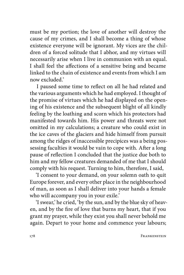must be my portion; the love of another will destroy the cause of my crimes, and I shall become a thing of whose existence everyone will be ignorant. My vices are the children of a forced solitude that I abhor, and my virtues will necessarily arise when I live in communion with an equal. I shall feel the affections of a sensitive being and became linked to the chain of existence and events from which I am now excluded.'

I paused some time to reflect on all he had related and the various arguments which he had employed. I thought of the promise of virtues which he had displayed on the opening of his existence and the subsequent blight of all kindly feeling by the loathing and scorn which his protectors had manifested towards him. His power and threats were not omitted in my calculations; a creature who could exist in the ice caves of the glaciers and hide himself from pursuit among the ridges of inaccessible precipices was a being possessing faculties it would be vain to cope with. After a long pause of reflection I concluded that the justice due both to him and my fellow creatures demanded of me that I should comply with his request. Turning to him, therefore, I said,

'I consent to your demand, on your solemn oath to quit Europe forever, and every other place in the neighbourhood of man, as soon as I shall deliver into your hands a female who will accompany you in your exile.'

'I swear,' he cried, 'by the sun, and by the blue sky of heaven, and by the fire of love that burns my heart, that if you grant my prayer, while they exist you shall never behold me again. Depart to your home and commence your labours;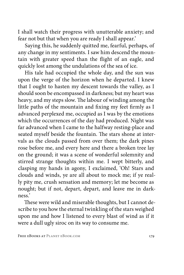I shall watch their progress with unutterable anxiety; and fear not but that when you are ready I shall appear.'

Saying this, he suddenly quitted me, fearful, perhaps, of any change in my sentiments. I saw him descend the mountain with greater speed than the flight of an eagle, and quickly lost among the undulations of the sea of ice.

His tale had occupied the whole day, and the sun was upon the verge of the horizon when he departed. I knew that I ought to hasten my descent towards the valley, as I should soon be encompassed in darkness; but my heart was heavy, and my steps slow. The labour of winding among the little paths of the mountain and fixing my feet firmly as I advanced perplexed me, occupied as I was by the emotions which the occurrences of the day had produced. Night was far advanced when I came to the halfway resting-place and seated myself beside the fountain. The stars shone at intervals as the clouds passed from over them; the dark pines rose before me, and every here and there a broken tree lay on the ground; it was a scene of wonderful solemnity and stirred strange thoughts within me. I wept bitterly, and clasping my hands in agony, I exclaimed, 'Oh! Stars and clouds and winds, ye are all about to mock me; if ye really pity me, crush sensation and memory; let me become as nought; but if not, depart, depart, and leave me in darkness.'

These were wild and miserable thoughts, but I cannot describe to you how the eternal twinkling of the stars weighed upon me and how I listened to every blast of wind as if it were a dull ugly siroc on its way to consume me.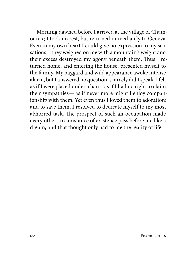Morning dawned before I arrived at the village of Chamounix; I took no rest, but returned immediately to Geneva. Even in my own heart I could give no expression to my sensations—they weighed on me with a mountain's weight and their excess destroyed my agony beneath them. Thus I returned home, and entering the house, presented myself to the family. My haggard and wild appearance awoke intense alarm, but I answered no question, scarcely did I speak. I felt as if I were placed under a ban—as if I had no right to claim their sympathies— as if never more might I enjoy companionship with them. Yet even thus I loved them to adoration; and to save them, I resolved to dedicate myself to my most abhorred task. The prospect of such an occupation made every other circumstance of existence pass before me like a dream, and that thought only had to me the reality of life.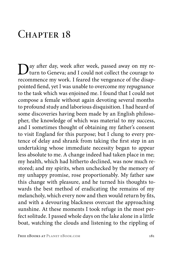## CHAPTER 18

Day after day, week after week, passed away on my return to Geneva; and I could not collect the courage to recommence my work. I feared the vengeance of the disappointed fiend, yet I was unable to overcome my repugnance to the task which was enjoined me. I found that I could not compose a female without again devoting several months to profound study and laborious disquisition. I had heard of some discoveries having been made by an English philosopher, the knowledge of which was material to my success, and I sometimes thought of obtaining my father's consent to visit England for this purpose; but I clung to every pretence of delay and shrank from taking the first step in an undertaking whose immediate necessity began to appear less absolute to me. A change indeed had taken place in me; my health, which had hitherto declined, was now much restored; and my spirits, when unchecked by the memory of my unhappy promise, rose proportionably. My father saw this change with pleasure, and he turned his thoughts towards the best method of eradicating the remains of my melancholy, which every now and then would return by fits, and with a devouring blackness overcast the approaching sunshine. At these moments I took refuge in the most perfect solitude. I passed whole days on the lake alone in a little boat, watching the clouds and listening to the rippling of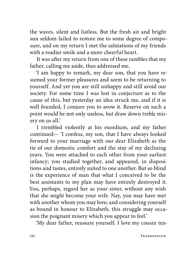the waves, silent and listless. But the fresh air and bright sun seldom failed to restore me to some degree of composure, and on my return I met the salutations of my friends with a readier smile and a more cheerful heart.

It was after my return from one of these rambles that my father, calling me aside, thus addressed me,

'I am happy to remark, my dear son, that you have resumed your former pleasures and seem to be returning to yourself. And yet you are still unhappy and still avoid our society. For some time I was lost in conjecture as to the cause of this, but yesterday an idea struck me, and if it is well founded, I conjure you to avow it. Reserve on such a point would be not only useless, but draw down treble misery on us all.'

I trembled violently at his exordium, and my father continued— 'I confess, my son, that I have always looked forward to your marriage with our dear Elizabeth as the tie of our domestic comfort and the stay of my declining years. You were attached to each other from your earliest infancy; you studied together, and appeared, in dispositions and tastes, entirely suited to one another. But so blind is the experience of man that what I conceived to be the best assistants to my plan may have entirely destroyed it. You, perhaps, regard her as your sister, without any wish that she might become your wife. Nay, you may have met with another whom you may love; and considering yourself as bound in honour to Elizabeth, this struggle may occasion the poignant misery which you appear to feel.'

'My dear father, reassure yourself. I love my cousin ten-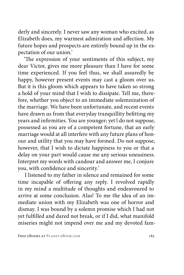derly and sincerely. I never saw any woman who excited, as Elizabeth does, my warmest admiration and affection. My future hopes and prospects are entirely bound up in the expectation of our union.'

'The expression of your sentiments of this subject, my dear Victor, gives me more pleasure than I have for some time experienced. If you feel thus, we shall assuredly be happy, however present events may cast a gloom over us. But it is this gloom which appears to have taken so strong a hold of your mind that I wish to dissipate. Tell me, therefore, whether you object to an immediate solemnization of the marriage. We have been unfortunate, and recent events have drawn us from that everyday tranquillity befitting my years and infirmities. You are younger; yet l do not suppose, possessed as you are of a competent fortune, that an early marriage would at all interfere with any future plans of honour and utility that you may have formed. Do not suppose, however, that I wish to dictate happiness to you or that a delay on your part would cause me any serious uneasiness. Interpret my words with candour and answer me, I conjure you, with confidence and sincerity.'

I listened to my father in silence and remained for some time incapable of offering any reply. I revolved rapidly in my mind a multitude of thoughts and endeavoured to arrive at some conclusion. Alas! To me the idea of an immediate union with my Elizabeth was one of horror and dismay. I was bound by a solemn promise which I had not yet fulfilled and dared not break, or if I did, what manifold miseries might not impend over me and my devoted fam-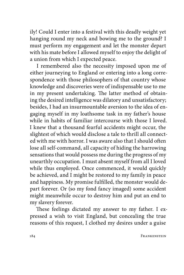ily! Could I enter into a festival with this deadly weight yet hanging round my neck and bowing me to the ground? I must perform my engagement and let the monster depart with his mate before I allowed myself to enjoy the delight of a union from which I expected peace.

I remembered also the necessity imposed upon me of either journeying to England or entering into a long correspondence with those philosophers of that country whose knowledge and discoveries were of indispensable use to me in my present undertaking. The latter method of obtaining the desired intelligence was dilatory and unsatisfactory; besides, I had an insurmountable aversion to the idea of engaging myself in my loathsome task in my father's house while in habits of familiar intercourse with those I loved. I knew that a thousand fearful accidents might occur, the slightest of which would disclose a tale to thrill all connected with me with horror. I was aware also that I should often lose all self-command, all capacity of hiding the harrowing sensations that would possess me during the progress of my unearthly occupation. I must absent myself from all I loved while thus employed. Once commenced, it would quickly be achieved, and I might be restored to my family in peace and happiness. My promise fulfilled, the monster would depart forever. Or (so my fond fancy imaged) some accident might meanwhile occur to destroy him and put an end to my slavery forever.

These feelings dictated my answer to my father. I expressed a wish to visit England, but concealing the true reasons of this request, I clothed my desires under a guise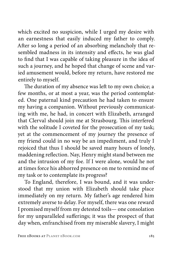which excited no suspicion, while I urged my desire with an earnestness that easily induced my father to comply. After so long a period of an absorbing melancholy that resembled madness in its intensity and effects, he was glad to find that I was capable of taking pleasure in the idea of such a journey, and he hoped that change of scene and varied amusement would, before my return, have restored me entirely to myself.

The duration of my absence was left to my own choice; a few months, or at most a year, was the period contemplated. One paternal kind precaution he had taken to ensure my having a companion. Without previously communicating with me, he had, in concert with Elizabeth, arranged that Clerval should join me at Strasbourg. This interfered with the solitude I coveted for the prosecution of my task; yet at the commencement of my journey the presence of my friend could in no way be an impediment, and truly I rejoiced that thus I should be saved many hours of lonely, maddening reflection. Nay, Henry might stand between me and the intrusion of my foe. If I were alone, would he not at times force his abhorred presence on me to remind me of my task or to contemplate its progress?

To England, therefore, I was bound, and it was understood that my union with Elizabeth should take place immediately on my return. My father's age rendered him extremely averse to delay. For myself, there was one reward I promised myself from my detested toils— one consolation for my unparalleled sufferings; it was the prospect of that day when, enfranchised from my miserable slavery, I might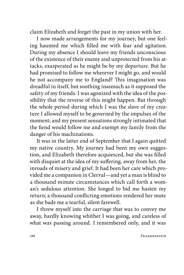claim Elizabeth and forget the past in my union with her.

I now made arrangements for my journey, but one feeling haunted me which filled me with fear and agitation. During my absence I should leave my friends unconscious of the existence of their enemy and unprotected from his attacks, exasperated as he might be by my departure. But he had promised to follow me wherever I might go, and would he not accompany me to England? This imagination was dreadful in itself, but soothing inasmuch as it supposed the safety of my friends. I was agonized with the idea of the possibility that the reverse of this might happen. But through the whole period during which I was the slave of my creature I allowed myself to be governed by the impulses of the moment; and my present sensations strongly intimated that the fiend would follow me and exempt my family from the danger of his machinations.

It was in the latter end of September that I again quitted my native country. My journey had been my own suggestion, and Elizabeth therefore acquiesced, but she was filled with disquiet at the idea of my suffering, away from her, the inroads of misery and grief. It had been her care which provided me a companion in Clerval—and yet a man is blind to a thousand minute circumstances which call forth a woman's sedulous attention. She longed to bid me hasten my return; a thousand conflicting emotions rendered her mute as she bade me a tearful, silent farewell.

I threw myself into the carriage that was to convey me away, hardly knowing whither I was going, and careless of what was passing around. I remembered only, and it was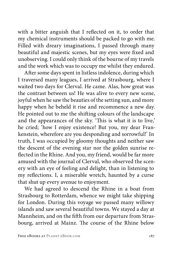with a bitter anguish that I reflected on it, to order that my chemical instruments should be packed to go with me. Filled with dreary imaginations, I passed through many beautiful and majestic scenes, but my eyes were fixed and unobserving. I could only think of the bourne of my travels and the work which was to occupy me whilst they endured.

After some days spent in listless indolence, during which I traversed many leagues, I arrived at Strasbourg, where I waited two days for Clerval. He came. Alas, how great was the contrast between us! He was alive to every new scene, joyful when he saw the beauties of the setting sun, and more happy when he beheld it rise and recommence a new day. He pointed out to me the shifting colours of the landscape and the appearances of the sky. 'This is what it is to live,' he cried; 'how I enjoy existence! But you, my dear Frankenstein, wherefore are you desponding and sorrowful!' In truth, I was occupied by gloomy thoughts and neither saw the descent of the evening star nor the golden sunrise reflected in the Rhine. And you, my friend, would be far more amused with the journal of Clerval, who observed the scenery with an eye of feeling and delight, than in listening to my reflections. I, a miserable wretch, haunted by a curse that shut up every avenue to enjoyment.

We had agreed to descend the Rhine in a boat from Strasbourg to Rotterdam, whence we might take shipping for London. During this voyage we passed many willowy islands and saw several beautiful towns. We stayed a day at Mannheim, and on the fifth from our departure from Strasbourg, arrived at Mainz. The course of the Rhine below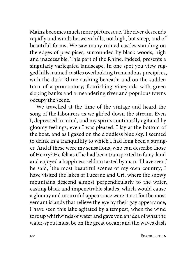Mainz becomes much more picturesque. The river descends rapidly and winds between hills, not high, but steep, and of beautiful forms. We saw many ruined castles standing on the edges of precipices, surrounded by black woods, high and inaccessible. This part of the Rhine, indeed, presents a singularly variegated landscape. In one spot you view rugged hills, ruined castles overlooking tremendous precipices, with the dark Rhine rushing beneath; and on the sudden turn of a promontory, flourishing vineyards with green sloping banks and a meandering river and populous towns occupy the scene.

We travelled at the time of the vintage and heard the song of the labourers as we glided down the stream. Even I, depressed in mind, and my spirits continually agitated by gloomy feelings, even I was pleased. I lay at the bottom of the boat, and as I gazed on the cloudless blue sky, I seemed to drink in a tranquillity to which I had long been a stranger. And if these were my sensations, who can describe those of Henry? He felt as if he had been transported to fairy-land and enjoyed a happiness seldom tasted by man. 'I have seen,' he said, 'the most beautiful scenes of my own country; I have visited the lakes of Lucerne and Uri, where the snowy mountains descend almost perpendicularly to the water, casting black and impenetrable shades, which would cause a gloomy and mournful appearance were it not for the most verdant islands that relieve the eye by their gay appearance; I have seen this lake agitated by a tempest, when the wind tore up whirlwinds of water and gave you an idea of what the water-spout must be on the great ocean; and the waves dash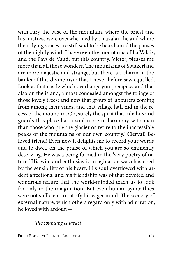with fury the base of the mountain, where the priest and his mistress were overwhelmed by an avalanche and where their dying voices are still said to be heard amid the pauses of the nightly wind; I have seen the mountains of La Valais, and the Pays de Vaud; but this country, Victor, pleases me more than all those wonders. The mountains of Switzerland are more majestic and strange, but there is a charm in the banks of this divine river that I never before saw equalled. Look at that castle which overhangs yon precipice; and that also on the island, almost concealed amongst the foliage of those lovely trees; and now that group of labourers coming from among their vines; and that village half hid in the recess of the mountain. Oh, surely the spirit that inhabits and guards this place has a soul more in harmony with man than those who pile the glacier or retire to the inaccessible peaks of the mountains of our own country.' Clerval! Beloved friend! Even now it delights me to record your words and to dwell on the praise of which you are so eminently deserving. He was a being formed in the 'very poetry of nature.' His wild and enthusiastic imagination was chastened by the sensibility of his heart. His soul overflowed with ardent affections, and his friendship was of that devoted and wondrous nature that the world-minded teach us to look for only in the imagination. But even human sympathies were not sufficient to satisfy his eager mind. The scenery of external nature, which others regard only with admiration, he loved with ardour:—

*——-The sounding cataract* 

FREE EBOOKS AT PLANET EBOOK.COM 189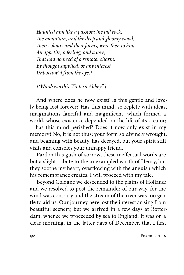*Haunted him like a passion: the tall rock, The mountain, and the deep and gloomy wood, Their colours and their forms, were then to him An appetite; a feeling, and a love, That had no need of a remoter charm, By thought supplied, or any interest Unborrow'd from the eye.\**

*[\*Wordsworth's 'Tintern Abbey".]*

And where does he now exist? Is this gentle and lovely being lost forever? Has this mind, so replete with ideas, imaginations fanciful and magnificent, which formed a world, whose existence depended on the life of its creator; — has this mind perished? Does it now only exist in my memory? No, it is not thus; your form so divinely wrought, and beaming with beauty, has decayed, but your spirit still visits and consoles your unhappy friend.

Pardon this gush of sorrow; these ineffectual words are but a slight tribute to the unexampled worth of Henry, but they soothe my heart, overflowing with the anguish which his remembrance creates. I will proceed with my tale.

Beyond Cologne we descended to the plains of Holland; and we resolved to post the remainder of our way, for the wind was contrary and the stream of the river was too gentle to aid us. Our journey here lost the interest arising from beautiful scenery, but we arrived in a few days at Rotterdam, whence we proceeded by sea to England. It was on a clear morning, in the latter days of December, that I first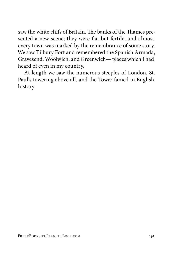saw the white cliffs of Britain. The banks of the Thames presented a new scene; they were flat but fertile, and almost every town was marked by the remembrance of some story. We saw Tilbury Fort and remembered the Spanish Armada, Gravesend, Woolwich, and Greenwich— places which I had heard of even in my country.

At length we saw the numerous steeples of London, St. Paul's towering above all, and the Tower famed in English history.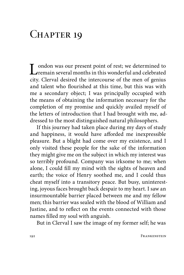## CHAPTER 19

London was our present point of rest; we determined to remain several months in this wonderful and celebrated its Clause Assimilation of the manner of the manner of senior city. Clerval desired the intercourse of the men of genius and talent who flourished at this time, but this was with me a secondary object; I was principally occupied with the means of obtaining the information necessary for the completion of my promise and quickly availed myself of the letters of introduction that I had brought with me, addressed to the most distinguished natural philosophers.

If this journey had taken place during my days of study and happiness, it would have afforded me inexpressible pleasure. But a blight had come over my existence, and I only visited these people for the sake of the information they might give me on the subject in which my interest was so terribly profound. Company was irksome to me; when alone, I could fill my mind with the sights of heaven and earth; the voice of Henry soothed me, and I could thus cheat myself into a transitory peace. But busy, uninteresting, joyous faces brought back despair to my heart. I saw an insurmountable barrier placed between me and my fellow men; this barrier was sealed with the blood of William and Justine, and to reflect on the events connected with those names filled my soul with anguish.

But in Clerval I saw the image of my former self; he was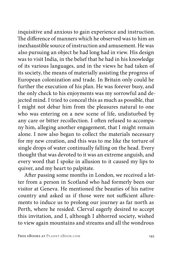inquisitive and anxious to gain experience and instruction. The difference of manners which he observed was to him an inexhaustible source of instruction and amusement. He was also pursuing an object he had long had in view. His design was to visit India, in the belief that he had in his knowledge of its various languages, and in the views he had taken of its society, the means of materially assisting the progress of European colonization and trade. In Britain only could he further the execution of his plan. He was forever busy, and the only check to his enjoyments was my sorrowful and dejected mind. I tried to conceal this as much as possible, that I might not debar him from the pleasures natural to one who was entering on a new scene of life, undisturbed by any care or bitter recollection. I often refused to accompany him, alleging another engagement, that I might remain alone. I now also began to collect the materials necessary for my new creation, and this was to me like the torture of single drops of water continually falling on the head. Every thought that was devoted to it was an extreme anguish, and every word that I spoke in allusion to it caused my lips to quiver, and my heart to palpitate.

After passing some months in London, we received a letter from a person in Scotland who had formerly been our visitor at Geneva. He mentioned the beauties of his native country and asked us if those were not sufficient allurements to induce us to prolong our journey as far north as Perth, where he resided. Clerval eagerly desired to accept this invitation, and I, although I abhorred society, wished to view again mountains and streams and all the wondrous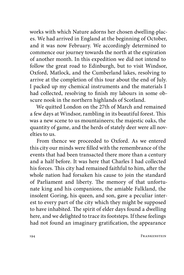works with which Nature adorns her chosen dwelling-places. We had arrived in England at the beginning of October, and it was now February. We accordingly determined to commence our journey towards the north at the expiration of another month. In this expedition we did not intend to follow the great road to Edinburgh, but to visit Windsor, Oxford, Matlock, and the Cumberland lakes, resolving to arrive at the completion of this tour about the end of July. I packed up my chemical instruments and the materials I had collected, resolving to finish my labours in some obscure nook in the northern highlands of Scotland.

We quitted London on the 27th of March and remained a few days at Windsor, rambling in its beautiful forest. This was a new scene to us mountaineers; the majestic oaks, the quantity of game, and the herds of stately deer were all novelties to us.

From thence we proceeded to Oxford. As we entered this city our minds were filled with the remembrance of the events that had been transacted there more than a century and a half before. It was here that Charles I had collected his forces. This city had remained faithful to him, after the whole nation had forsaken his cause to join the standard of Parliament and liberty. The memory of that unfortunate king and his companions, the amiable Falkland, the insolent Goring, his queen, and son, gave a peculiar interest to every part of the city which they might be supposed to have inhabited. The spirit of elder days found a dwelling here, and we delighted to trace its footsteps. If these feelings had not found an imaginary gratification, the appearance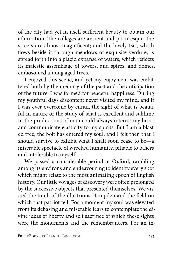of the city had yet in itself sufficient beauty to obtain our admiration. The colleges are ancient and picturesque; the streets are almost magnificent; and the lovely Isis, which flows beside it through meadows of exquisite verdure, is spread forth into a placid expanse of waters, which reflects its majestic assemblage of towers, and spires, and domes, embosomed among aged trees.

I enjoyed this scene, and yet my enjoyment was embittered both by the memory of the past and the anticipation of the future. I was formed for peaceful happiness. During my youthful days discontent never visited my mind, and if I was ever overcome by ennui, the sight of what is beautiful in nature or the study of what is excellent and sublime in the productions of man could always interest my heart and communicate elasticity to my spirits. But I am a blasted tree; the bolt has entered my soul; and I felt then that I should survive to exhibit what I shall soon cease to be—a miserable spectacle of wrecked humanity, pitiable to others and intolerable to myself.

We passed a considerable period at Oxford, rambling among its environs and endeavouring to identify every spot which might relate to the most animating epoch of English history. Our little voyages of discovery were often prolonged by the successive objects that presented themselves. We visited the tomb of the illustrious Hampden and the field on which that patriot fell. For a moment my soul was elevated from its debasing and miserable fears to contemplate the divine ideas of liberty and self sacrifice of which these sights were the monuments and the remembrancers. For an in-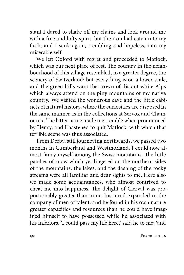stant I dared to shake off my chains and look around me with a free and lofty spirit, but the iron had eaten into my flesh, and I sank again, trembling and hopeless, into my miserable self.

We left Oxford with regret and proceeded to Matlock, which was our next place of rest. The country in the neighbourhood of this village resembled, to a greater degree, the scenery of Switzerland; but everything is on a lower scale, and the green hills want the crown of distant white Alps which always attend on the piny mountains of my native country. We visited the wondrous cave and the little cabinets of natural history, where the curiosities are disposed in the same manner as in the collections at Servox and Chamounix. The latter name made me tremble when pronounced by Henry, and I hastened to quit Matlock, with which that terrible scene was thus associated.

From Derby, still journeying northwards, we passed two months in Cumberland and Westmorland. I could now almost fancy myself among the Swiss mountains. The little patches of snow which yet lingered on the northern sides of the mountains, the lakes, and the dashing of the rocky streams were all familiar and dear sights to me. Here also we made some acquaintances, who almost contrived to cheat me into happiness. The delight of Clerval was proportionably greater than mine; his mind expanded in the company of men of talent, and he found in his own nature greater capacities and resources than he could have imagined himself to have possessed while he associated with his inferiors. 'I could pass my life here,' said he to me; 'and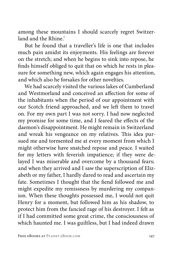among these mountains I should scarcely regret Switzerland and the Rhine'

But he found that a traveller's life is one that includes much pain amidst its enjoyments. His feelings are forever on the stretch; and when he begins to sink into repose, he finds himself obliged to quit that on which he rests in pleasure for something new, which again engages his attention, and which also he forsakes for other novelties.

We had scarcely visited the various lakes of Cumberland and Westmorland and conceived an affection for some of the inhabitants when the period of our appointment with our Scotch friend approached, and we left them to travel on. For my own part I was not sorry. I had now neglected my promise for some time, and I feared the effects of the daemon's disappointment. He might remain in Switzerland and wreak his vengeance on my relatives. This idea pursued me and tormented me at every moment from which I might otherwise have snatched repose and peace. I waited for my letters with feverish impatience; if they were delayed I was miserable and overcome by a thousand fears; and when they arrived and I saw the superscription of Elizabeth or my father, I hardly dared to read and ascertain my fate. Sometimes I thought that the fiend followed me and might expedite my remissness by murdering my companion. When these thoughts possessed me, I would not quit Henry for a moment, but followed him as his shadow, to protect him from the fancied rage of his destroyer. I felt as if I had committed some great crime, the consciousness of which haunted me. I was guiltless, but I had indeed drawn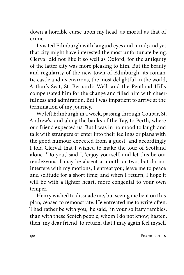down a horrible curse upon my head, as mortal as that of crime.

I visited Edinburgh with languid eyes and mind; and yet that city might have interested the most unfortunate being. Clerval did not like it so well as Oxford, for the antiquity of the latter city was more pleasing to him. But the beauty and regularity of the new town of Edinburgh, its romantic castle and its environs, the most delightful in the world, Arthur's Seat, St. Bernard's Well, and the Pentland Hills compensated him for the change and filled him with cheerfulness and admiration. But I was impatient to arrive at the termination of my journey.

We left Edinburgh in a week, passing through Coupar, St. Andrew's, and along the banks of the Tay, to Perth, where our friend expected us. But I was in no mood to laugh and talk with strangers or enter into their feelings or plans with the good humour expected from a guest; and accordingly I told Clerval that I wished to make the tour of Scotland alone. 'Do you,' said I, 'enjoy yourself, and let this be our rendezvous. I may be absent a month or two; but do not interfere with my motions, I entreat you; leave me to peace and solitude for a short time; and when I return, I hope it will be with a lighter heart, more congenial to your own temper.

Henry wished to dissuade me, but seeing me bent on this plan, ceased to remonstrate. He entreated me to write often. 'I had rather be with you,' he said, 'in your solitary rambles, than with these Scotch people, whom I do not know; hasten, then, my dear friend, to return, that I may again feel myself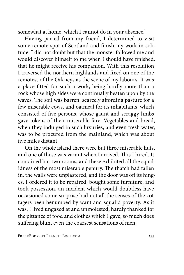somewhat at home, which I cannot do in your absence.'

Having parted from my friend, I determined to visit some remote spot of Scotland and finish my work in solitude. I did not doubt but that the monster followed me and would discover himself to me when I should have finished, that he might receive his companion. With this resolution I traversed the northern highlands and fixed on one of the remotest of the Orkneys as the scene of my labours. It was a place fitted for such a work, being hardly more than a rock whose high sides were continually beaten upon by the waves. The soil was barren, scarcely affording pasture for a few miserable cows, and oatmeal for its inhabitants, which consisted of five persons, whose gaunt and scraggy limbs gave tokens of their miserable fare. Vegetables and bread, when they indulged in such luxuries, and even fresh water, was to be procured from the mainland, which was about five miles distant.

On the whole island there were but three miserable huts, and one of these was vacant when I arrived. This I hired. It contained but two rooms, and these exhibited all the squalidness of the most miserable penury. The thatch had fallen in, the walls were unplastered, and the door was off its hinges. I ordered it to be repaired, bought some furniture, and took possession, an incident which would doubtless have occasioned some surprise had not all the senses of the cottagers been benumbed by want and squalid poverty. As it was, I lived ungazed at and unmolested, hardly thanked for the pittance of food and clothes which I gave, so much does suffering blunt even the coarsest sensations of men.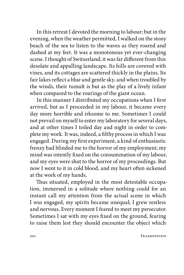In this retreat I devoted the morning to labour; but in the evening, when the weather permitted, I walked on the stony beach of the sea to listen to the waves as they roared and dashed at my feet. It was a monotonous yet ever-changing scene. I thought of Switzerland; it was far different from this desolate and appalling landscape. Its hills are covered with vines, and its cottages are scattered thickly in the plains. Its fair lakes reflect a blue and gentle sky, and when troubled by the winds, their tumult is but as the play of a lively infant when compared to the roarings of the giant ocean.

In this manner I distributed my occupations when I first arrived, but as I proceeded in my labour, it became every day more horrible and irksome to me. Sometimes I could not prevail on myself to enter my laboratory for several days, and at other times I toiled day and night in order to complete my work. It was, indeed, a filthy process in which I was engaged. During my first experiment, a kind of enthusiastic frenzy had blinded me to the horror of my employment; my mind was intently fixed on the consummation of my labour, and my eyes were shut to the horror of my proceedings. But now I went to it in cold blood, and my heart often sickened at the work of my hands.

Thus situated, employed in the most detestable occupation, immersed in a solitude where nothing could for an instant call my attention from the actual scene in which I was engaged, my spirits became unequal; I grew restless and nervous. Every moment I feared to meet my persecutor. Sometimes I sat with my eyes fixed on the ground, fearing to raise them lest they should encounter the object which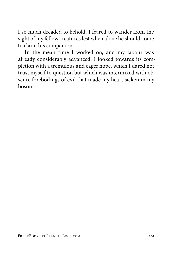I so much dreaded to behold. I feared to wander from the sight of my fellow creatures lest when alone he should come to claim his companion.

In the mean time I worked on, and my labour was already considerably advanced. I looked towards its completion with a tremulous and eager hope, which I dared not trust myself to question but which was intermixed with obscure forebodings of evil that made my heart sicken in my bosom.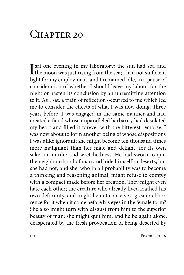## $CHAPTER 20$

 $\prod_{k=1}^{\infty}$  sat one evening in my laboratory; the sun had set, and the moon was just rising from the sea; I had not sufficient light for my employment, and I remained idle, in a pause of consideration of whether I should leave my labour for the night or hasten its conclusion by an unremitting attention to it. As I sat, a train of reflection occurred to me which led me to consider the effects of what I was now doing. Three years before, I was engaged in the same manner and had created a fiend whose unparalleled barbarity had desolated my heart and filled it forever with the bitterest remorse. I was now about to form another being of whose dispositions I was alike ignorant; she might become ten thousand times more malignant than her mate and delight, for its own sake, in murder and wretchedness. He had sworn to quit the neighbourhood of man and hide himself in deserts, but she had not; and she, who in all probability was to become a thinking and reasoning animal, might refuse to comply with a compact made before her creation. They might even hate each other; the creature who already lived loathed his own deformity, and might he not conceive a greater abhorrence for it when it came before his eyes in the female form? She also might turn with disgust from him to the superior beauty of man; she might quit him, and he be again alone, exasperated by the fresh provocation of being deserted by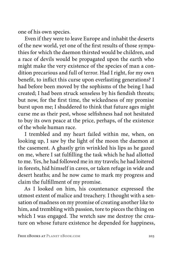one of his own species.

Even if they were to leave Europe and inhabit the deserts of the new world, yet one of the first results of those sympathies for which the daemon thirsted would be children, and a race of devils would be propagated upon the earth who might make the very existence of the species of man a condition precarious and full of terror. Had I right, for my own benefit, to inflict this curse upon everlasting generations? I had before been moved by the sophisms of the being I had created; I had been struck senseless by his fiendish threats; but now, for the first time, the wickedness of my promise burst upon me; I shuddered to think that future ages might curse me as their pest, whose selfishness had not hesitated to buy its own peace at the price, perhaps, of the existence of the whole human race.

I trembled and my heart failed within me, when, on looking up, I saw by the light of the moon the daemon at the casement. A ghastly grin wrinkled his lips as he gazed on me, where I sat fulfilling the task which he had allotted to me. Yes, he had followed me in my travels; he had loitered in forests, hid himself in caves, or taken refuge in wide and desert heaths; and he now came to mark my progress and claim the fulfillment of my promise.

As I looked on him, his countenance expressed the utmost extent of malice and treachery. I thought with a sensation of madness on my promise of creating another like to him, and trembling with passion, tore to pieces the thing on which I was engaged. The wretch saw me destroy the creature on whose future existence he depended for happiness,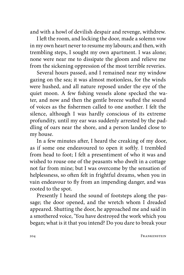and with a howl of devilish despair and revenge, withdrew.

I left the room, and locking the door, made a solemn vow in my own heart never to resume my labours; and then, with trembling steps, I sought my own apartment. I was alone; none were near me to dissipate the gloom and relieve me from the sickening oppression of the most terrible reveries.

Several hours passed, and I remained near my window gazing on the sea; it was almost motionless, for the winds were hushed, and all nature reposed under the eye of the quiet moon. A few fishing vessels alone specked the water, and now and then the gentle breeze wafted the sound of voices as the fishermen called to one another. I felt the silence, although I was hardly conscious of its extreme profundity, until my ear was suddenly arrested by the paddling of oars near the shore, and a person landed close to my house.

In a few minutes after, I heard the creaking of my door, as if some one endeavoured to open it softly. I trembled from head to foot; I felt a presentiment of who it was and wished to rouse one of the peasants who dwelt in a cottage not far from mine; but I was overcome by the sensation of helplessness, so often felt in frightful dreams, when you in vain endeavour to fly from an impending danger, and was rooted to the spot.

Presently I heard the sound of footsteps along the passage; the door opened, and the wretch whom I dreaded appeared. Shutting the door, he approached me and said in a smothered voice, 'You have destroyed the work which you began; what is it that you intend? Do you dare to break your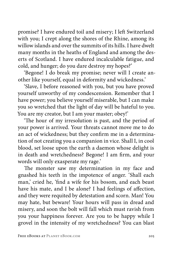promise? I have endured toil and misery; I left Switzerland with you; I crept along the shores of the Rhine, among its willow islands and over the summits of its hills. I have dwelt many months in the heaths of England and among the deserts of Scotland. I have endured incalculable fatigue, and cold, and hunger; do you dare destroy my hopes?'

'Begone! I do break my promise; never will I create another like yourself, equal in deformity and wickedness.'

'Slave, I before reasoned with you, but you have proved yourself unworthy of my condescension. Remember that I have power; you believe yourself miserable, but I can make you so wretched that the light of day will be hateful to you. You are my creator, but I am your master; obey!'

'The hour of my irresolution is past, and the period of your power is arrived. Your threats cannot move me to do an act of wickedness; but they confirm me in a determination of not creating you a companion in vice. Shall I, in cool blood, set loose upon the earth a daemon whose delight is in death and wretchedness? Begone! I am firm, and your words will only exasperate my rage.'

The monster saw my determination in my face and gnashed his teeth in the impotence of anger. 'Shall each man,' cried he, 'find a wife for his bosom, and each beast have his mate, and I be alone? I had feelings of affection, and they were requited by detestation and scorn. Man! You may hate, but beware! Your hours will pass in dread and misery, and soon the bolt will fall which must ravish from you your happiness forever. Are you to be happy while I grovel in the intensity of my wretchedness? You can blast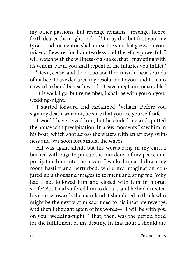my other passions, but revenge remains—revenge, henceforth dearer than light or food! I may die, but first you, my tyrant and tormentor, shall curse the sun that gazes on your misery. Beware, for I am fearless and therefore powerful. I will watch with the wiliness of a snake, that I may sting with its venom. Man, you shall repent of the injuries you inflict.'

'Devil, cease; and do not poison the air with these sounds of malice. I have declared my resolution to you, and I am no coward to bend beneath words. Leave me; I am inexorable.'

'It is well. I go; but remember, I shall be with you on your wedding-night.'

I started forward and exclaimed, 'Villain! Before you sign my death-warrant, be sure that you are yourself safe.'

I would have seized him, but he eluded me and quitted the house with precipitation. In a few moments I saw him in his boat, which shot across the waters with an arrowy swiftness and was soon lost amidst the waves.

All was again silent, but his words rang in my ears. I burned with rage to pursue the murderer of my peace and precipitate him into the ocean. I walked up and down my room hastily and perturbed, while my imagination conjured up a thousand images to torment and sting me. Why had I not followed him and closed with him in mortal strife? But I had suffered him to depart, and he had directed his course towards the mainland. I shuddered to think who might be the next victim sacrificed to his insatiate revenge. And then I thought again of his words—'\*I will be with you on your wedding-night\*.' That, then, was the period fixed for the fulfillment of my destiny. In that hour I should die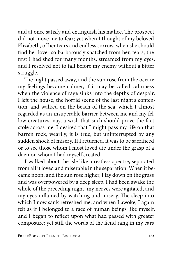and at once satisfy and extinguish his malice. The prospect did not move me to fear; yet when I thought of my beloved Elizabeth, of her tears and endless sorrow, when she should find her lover so barbarously snatched from her, tears, the first I had shed for many months, streamed from my eyes, and I resolved not to fall before my enemy without a bitter struggle.

The night passed away, and the sun rose from the ocean; my feelings became calmer, if it may be called calmness when the violence of rage sinks into the depths of despair. I left the house, the horrid scene of the last night's contention, and walked on the beach of the sea, which I almost regarded as an insuperable barrier between me and my fellow creatures; nay, a wish that such should prove the fact stole across me. I desired that I might pass my life on that barren rock, wearily, it is true, but uninterrupted by any sudden shock of misery. If I returned, it was to be sacrificed or to see those whom I most loved die under the grasp of a daemon whom I had myself created.

I walked about the isle like a restless spectre, separated from all it loved and miserable in the separation. When it became noon, and the sun rose higher, I lay down on the grass and was overpowered by a deep sleep. I had been awake the whole of the preceding night, my nerves were agitated, and my eyes inflamed by watching and misery. The sleep into which I now sank refreshed me; and when I awoke, I again felt as if I belonged to a race of human beings like myself, and I began to reflect upon what had passed with greater composure; yet still the words of the fiend rang in my ears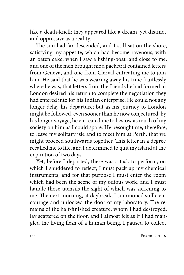like a death-knell; they appeared like a dream, yet distinct and oppressive as a reality.

The sun had far descended, and I still sat on the shore, satisfying my appetite, which had become ravenous, with an oaten cake, when I saw a fishing-boat land close to me, and one of the men brought me a packet; it contained letters from Geneva, and one from Clerval entreating me to join him. He said that he was wearing away his time fruitlessly where he was, that letters from the friends he had formed in London desired his return to complete the negotiation they had entered into for his Indian enterprise. He could not any longer delay his departure; but as his journey to London might be followed, even sooner than he now conjectured, by his longer voyage, he entreated me to bestow as much of my society on him as I could spare. He besought me, therefore, to leave my solitary isle and to meet him at Perth, that we might proceed southwards together. This letter in a degree recalled me to life, and I determined to quit my island at the expiration of two days.

Yet, before I departed, there was a task to perform, on which I shuddered to reflect; I must pack up my chemical instruments, and for that purpose I must enter the room which had been the scene of my odious work, and I must handle those utensils the sight of which was sickening to me. The next morning, at daybreak, I summoned sufficient courage and unlocked the door of my laboratory. The remains of the half-finished creature, whom I had destroyed, lay scattered on the floor, and I almost felt as if I had mangled the living flesh of a human being. I paused to collect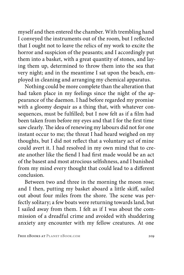myself and then entered the chamber. With trembling hand I conveyed the instruments out of the room, but I reflected that I ought not to leave the relics of my work to excite the horror and suspicion of the peasants; and I accordingly put them into a basket, with a great quantity of stones, and laying them up, determined to throw them into the sea that very night; and in the meantime I sat upon the beach, employed in cleaning and arranging my chemical apparatus.

Nothing could be more complete than the alteration that had taken place in my feelings since the night of the appearance of the daemon. I had before regarded my promise with a gloomy despair as a thing that, with whatever consequences, must be fulfilled; but I now felt as if a film had been taken from before my eyes and that I for the first time saw clearly. The idea of renewing my labours did not for one instant occur to me; the threat I had heard weighed on my thoughts, but I did not reflect that a voluntary act of mine could avert it. I had resolved in my own mind that to create another like the fiend I had first made would be an act of the basest and most atrocious selfishness, and I banished from my mind every thought that could lead to a different conclusion.

Between two and three in the morning the moon rose; and I then, putting my basket aboard a little skiff, sailed out about four miles from the shore. The scene was perfectly solitary; a few boats were returning towards land, but I sailed away from them. I felt as if I was about the commission of a dreadful crime and avoided with shuddering anxiety any encounter with my fellow creatures. At one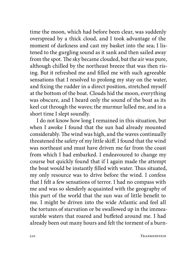time the moon, which had before been clear, was suddenly overspread by a thick cloud, and I took advantage of the moment of darkness and cast my basket into the sea; I listened to the gurgling sound as it sank and then sailed away from the spot. The sky became clouded, but the air was pure, although chilled by the northeast breeze that was then rising. But it refreshed me and filled me with such agreeable sensations that I resolved to prolong my stay on the water, and fixing the rudder in a direct position, stretched myself at the bottom of the boat. Clouds hid the moon, everything was obscure, and I heard only the sound of the boat as its keel cut through the waves; the murmur lulled me, and in a short time I slept soundly.

I do not know how long I remained in this situation, but when I awoke I found that the sun had already mounted considerably. The wind was high, and the waves continually threatened the safety of my little skiff. I found that the wind was northeast and must have driven me far from the coast from which I had embarked. I endeavoured to change my course but quickly found that if I again made the attempt the boat would be instantly filled with water. Thus situated, my only resource was to drive before the wind. I confess that I felt a few sensations of terror. I had no compass with me and was so slenderly acquainted with the geography of this part of the world that the sun was of little benefit to me. I might be driven into the wide Atlantic and feel all the tortures of starvation or be swallowed up in the immeasurable waters that roared and buffeted around me. I had already been out many hours and felt the torment of a burn-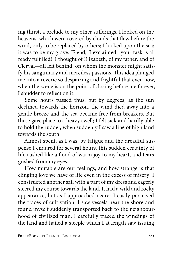ing thirst, a prelude to my other sufferings. I looked on the heavens, which were covered by clouds that flew before the wind, only to be replaced by others; I looked upon the sea; it was to be my grave. 'Fiend,' I exclaimed, 'your task is already fulfilled!' I thought of Elizabeth, of my father, and of Clerval—all left behind, on whom the monster might satisfy his sanguinary and merciless passions. This idea plunged me into a reverie so despairing and frightful that even now, when the scene is on the point of closing before me forever, I shudder to reflect on it.

Some hours passed thus; but by degrees, as the sun declined towards the horizon, the wind died away into a gentle breeze and the sea became free from breakers. But these gave place to a heavy swell; I felt sick and hardly able to hold the rudder, when suddenly I saw a line of high land towards the south.

Almost spent, as I was, by fatigue and the dreadful suspense I endured for several hours, this sudden certainty of life rushed like a flood of warm joy to my heart, and tears gushed from my eyes.

How mutable are our feelings, and how strange is that clinging love we have of life even in the excess of misery! I constructed another sail with a part of my dress and eagerly steered my course towards the land. It had a wild and rocky appearance, but as I approached nearer I easily perceived the traces of cultivation. I saw vessels near the shore and found myself suddenly transported back to the neighbourhood of civilized man. I carefully traced the windings of the land and hailed a steeple which I at length saw issuing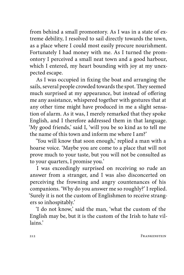from behind a small promontory. As I was in a state of extreme debility, I resolved to sail directly towards the town, as a place where I could most easily procure nourishment. Fortunately I had money with me. As I turned the promontory I perceived a small neat town and a good harbour, which I entered, my heart bounding with joy at my unexpected escape.

As I was occupied in fixing the boat and arranging the sails, several people crowded towards the spot. They seemed much surprised at my appearance, but instead of offering me any assistance, whispered together with gestures that at any other time might have produced in me a slight sensation of alarm. As it was, I merely remarked that they spoke English, and I therefore addressed them in that language. 'My good friends,' said I, 'will you be so kind as to tell me the name of this town and inform me where I am?'

'You will know that soon enough,' replied a man with a hoarse voice. 'Maybe you are come to a place that will not prove much to your taste, but you will not be consulted as to your quarters, I promise you.'

I was exceedingly surprised on receiving so rude an answer from a stranger, and I was also disconcerted on perceiving the frowning and angry countenances of his companions. 'Why do you answer me so roughly?' I replied. 'Surely it is not the custom of Englishmen to receive strangers so inhospitably.'

'I do not know,' said the man, 'what the custom of the English may be, but it is the custom of the Irish to hate villains.'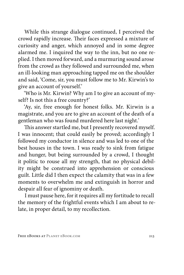While this strange dialogue continued, I perceived the crowd rapidly increase. Their faces expressed a mixture of curiosity and anger, which annoyed and in some degree alarmed me. I inquired the way to the inn, but no one replied. I then moved forward, and a murmuring sound arose from the crowd as they followed and surrounded me, when an ill-looking man approaching tapped me on the shoulder and said, 'Come, sir, you must follow me to Mr. Kirwin's to give an account of yourself.'

'Who is Mr. Kirwin? Why am I to give an account of myself? Is not this a free country?'

'Ay, sir, free enough for honest folks. Mr. Kirwin is a magistrate, and you are to give an account of the death of a gentleman who was found murdered here last night.'

This answer startled me, but I presently recovered myself. I was innocent; that could easily be proved; accordingly I followed my conductor in silence and was led to one of the best houses in the town. I was ready to sink from fatigue and hunger, but being surrounded by a crowd, I thought it politic to rouse all my strength, that no physical debility might be construed into apprehension or conscious guilt. Little did I then expect the calamity that was in a few moments to overwhelm me and extinguish in horror and despair all fear of ignominy or death.

I must pause here, for it requires all my fortitude to recall the memory of the frightful events which I am about to relate, in proper detail, to my recollection.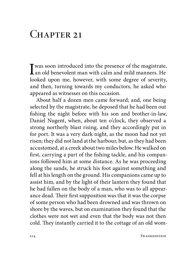## $CHAPTER$  21

I was soon introduced into the presence of the magistrate,<br>an old benevolent man with calm and mild manners. He<br>helped were well become with some degree of consider looked upon me, however, with some degree of severity, and then, turning towards my conductors, he asked who appeared as witnesses on this occasion.

About half a dozen men came forward; and, one being selected by the magistrate, he deposed that he had been out fishing the night before with his son and brother-in-law, Daniel Nugent, when, about ten o'clock, they observed a strong northerly blast rising, and they accordingly put in for port. It was a very dark night, as the moon had not yet risen; they did not land at the harbour, but, as they had been accustomed, at a creek about two miles below. He walked on first, carrying a part of the fishing tackle, and his companions followed him at some distance. As he was proceeding along the sands, he struck his foot against something and fell at his length on the ground. His companions came up to assist him, and by the light of their lantern they found that he had fallen on the body of a man, who was to all appearance dead. Their first supposition was that it was the corpse of some person who had been drowned and was thrown on shore by the waves, but on examination they found that the clothes were not wet and even that the body was not then cold. They instantly carried it to the cottage of an old wom-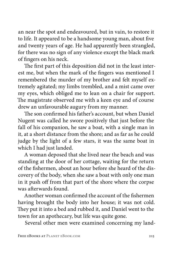an near the spot and endeavoured, but in vain, to restore it to life. It appeared to be a handsome young man, about five and twenty years of age. He had apparently been strangled, for there was no sign of any violence except the black mark of fingers on his neck.

The first part of this deposition did not in the least interest me, but when the mark of the fingers was mentioned I remembered the murder of my brother and felt myself extremely agitated; my limbs trembled, and a mist came over my eyes, which obliged me to lean on a chair for support. The magistrate observed me with a keen eye and of course drew an unfavourable augury from my manner.

The son confirmed his father's account, but when Daniel Nugent was called he swore positively that just before the fall of his companion, he saw a boat, with a single man in it, at a short distance from the shore; and as far as he could judge by the light of a few stars, it was the same boat in which I had just landed.

A woman deposed that she lived near the beach and was standing at the door of her cottage, waiting for the return of the fishermen, about an hour before she heard of the discovery of the body, when she saw a boat with only one man in it push off from that part of the shore where the corpse was afterwards found.

Another woman confirmed the account of the fishermen having brought the body into her house; it was not cold. They put it into a bed and rubbed it, and Daniel went to the town for an apothecary, but life was quite gone.

Several other men were examined concerning my land-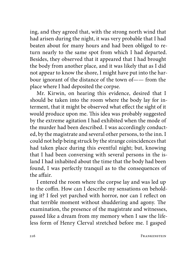ing, and they agreed that, with the strong north wind that had arisen during the night, it was very probable that I had beaten about for many hours and had been obliged to return nearly to the same spot from which I had departed. Besides, they observed that it appeared that I had brought the body from another place, and it was likely that as I did not appear to know the shore, I might have put into the harbour ignorant of the distance of the town of—— from the place where I had deposited the corpse.

Mr. Kirwin, on hearing this evidence, desired that I should be taken into the room where the body lay for interment, that it might be observed what effect the sight of it would produce upon me. This idea was probably suggested by the extreme agitation I had exhibited when the mode of the murder had been described. I was accordingly conducted, by the magistrate and several other persons, to the inn. I could not help being struck by the strange coincidences that had taken place during this eventful night; but, knowing that I had been conversing with several persons in the island I had inhabited about the time that the body had been found, I was perfectly tranquil as to the consequences of the affair.

I entered the room where the corpse lay and was led up to the coffin. How can I describe my sensations on beholding it? I feel yet parched with horror, nor can I reflect on that terrible moment without shuddering and agony. The examination, the presence of the magistrate and witnesses, passed like a dream from my memory when I saw the lifeless form of Henry Clerval stretched before me. I gasped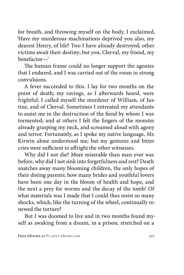for breath, and throwing myself on the body, I exclaimed, 'Have my murderous machinations deprived you also, my dearest Henry, of life? Two I have already destroyed; other victims await their destiny; but you, Clerval, my friend, my benefactor—'

The human frame could no longer support the agonies that I endured, and I was carried out of the room in strong convulsions.

A fever succeeded to this. I lay for two months on the point of death; my ravings, as I afterwards heard, were frightful; I called myself the murderer of William, of Justine, and of Clerval. Sometimes I entreated my attendants to assist me in the destruction of the fiend by whom I was tormented; and at others I felt the fingers of the monster already grasping my neck, and screamed aloud with agony and terror. Fortunately, as I spoke my native language, Mr. Kirwin alone understood me; but my gestures and bitter cries were sufficient to affright the other witnesses.

Why did I not die? More miserable than man ever was before, why did I not sink into forgetfulness and rest? Death snatches away many blooming children, the only hopes of their doting parents; how many brides and youthful lovers have been one day in the bloom of health and hope, and the next a prey for worms and the decay of the tomb! Of what materials was I made that I could thus resist so many shocks, which, like the turning of the wheel, continually renewed the torture?

But I was doomed to live and in two months found myself as awaking from a dream, in a prison, stretched on a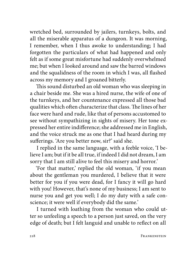wretched bed, surrounded by jailers, turnkeys, bolts, and all the miserable apparatus of a dungeon. It was morning, I remember, when I thus awoke to understanding; I had forgotten the particulars of what had happened and only felt as if some great misfortune had suddenly overwhelmed me; but when I looked around and saw the barred windows and the squalidness of the room in which I was, all flashed across my memory and I groaned bitterly.

This sound disturbed an old woman who was sleeping in a chair beside me. She was a hired nurse, the wife of one of the turnkeys, and her countenance expressed all those bad qualities which often characterize that class. The lines of her face were hard and rude, like that of persons accustomed to see without sympathizing in sights of misery. Her tone expressed her entire indifference; she addressed me in English, and the voice struck me as one that I had heard during my sufferings. 'Are you better now, sir?' said she.

I replied in the same language, with a feeble voice, 'I believe I am; but if it be all true, if indeed I did not dream, I am sorry that I am still alive to feel this misery and horror.'

'For that matter,' replied the old woman, 'if you mean about the gentleman you murdered, I believe that it were better for you if you were dead, for I fancy it will go hard with you! However, that's none of my business; I am sent to nurse you and get you well; I do my duty with a safe conscience; it were well if everybody did the same.'

I turned with loathing from the woman who could utter so unfeeling a speech to a person just saved, on the very edge of death; but I felt languid and unable to reflect on all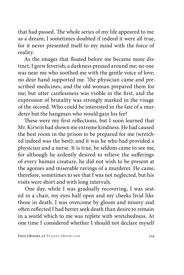that had passed. The whole series of my life appeared to me as a dream; I sometimes doubted if indeed it were all true, for it never presented itself to my mind with the force of reality.

As the images that floated before me became more distinct, I grew feverish; a darkness pressed around me; no one was near me who soothed me with the gentle voice of love; no dear hand supported me. The physician came and prescribed medicines, and the old woman prepared them for me; but utter carelessness was visible in the first, and the expression of brutality was strongly marked in the visage of the second. Who could be interested in the fate of a murderer but the hangman who would gain his fee?

These were my first reflections, but I soon learned that Mr. Kirwin had shown me extreme kindness. He had caused the best room in the prison to be prepared for me (wretched indeed was the best); and it was he who had provided a physician and a nurse. It is true, he seldom came to see me, for although he ardently desired to relieve the sufferings of every human creature, he did not wish to be present at the agonies and miserable ravings of a murderer. He came, therefore, sometimes to see that I was not neglected, but his visits were short and with long intervals.

One day, while I was gradually recovering, I was seated in a chair, my eyes half open and my cheeks livid like those in death. I was overcome by gloom and misery and often reflected I had better seek death than desire to remain in a world which to me was replete with wretchedness. At one time I considered whether I should not declare myself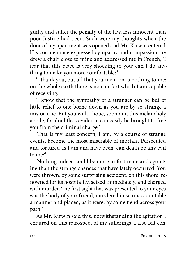guilty and suffer the penalty of the law, less innocent than poor Justine had been. Such were my thoughts when the door of my apartment was opened and Mr. Kirwin entered. His countenance expressed sympathy and compassion; he drew a chair close to mine and addressed me in French, 'I fear that this place is very shocking to you; can I do anything to make you more comfortable?'

'I thank you, but all that you mention is nothing to me; on the whole earth there is no comfort which I am capable of receiving.'

'I know that the sympathy of a stranger can be but of little relief to one borne down as you are by so strange a misfortune. But you will, I hope, soon quit this melancholy abode, for doubtless evidence can easily be brought to free you from the criminal charge.'

'That is my least concern; I am, by a course of strange events, become the most miserable of mortals. Persecuted and tortured as I am and have been, can death be any evil to me?'

'Nothing indeed could be more unfortunate and agonizing than the strange chances that have lately occurred. You were thrown, by some surprising accident, on this shore, renowned for its hospitality, seized immediately, and charged with murder. The first sight that was presented to your eyes was the body of your friend, murdered in so unaccountable a manner and placed, as it were, by some fiend across your path.'

As Mr. Kirwin said this, notwithstanding the agitation I endured on this retrospect of my sufferings, I also felt con-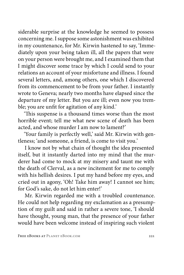siderable surprise at the knowledge he seemed to possess concerning me. I suppose some astonishment was exhibited in my countenance, for Mr. Kirwin hastened to say, 'Immediately upon your being taken ill, all the papers that were on your person were brought me, and I examined them that I might discover some trace by which I could send to your relations an account of your misfortune and illness. I found several letters, and, among others, one which I discovered from its commencement to be from your father. I instantly wrote to Geneva; nearly two months have elapsed since the departure of my letter. But you are ill; even now you tremble; you are unfit for agitation of any kind.'

'This suspense is a thousand times worse than the most horrible event; tell me what new scene of death has been acted, and whose murder I am now to lament?'

'Your family is perfectly well,' said Mr. Kirwin with gentleness; 'and someone, a friend, is come to visit you.'

I know not by what chain of thought the idea presented itself, but it instantly darted into my mind that the murderer had come to mock at my misery and taunt me with the death of Clerval, as a new incitement for me to comply with his hellish desires. I put my hand before my eyes, and cried out in agony, 'Oh! Take him away! I cannot see him; for God's sake, do not let him enter!'

Mr. Kirwin regarded me with a troubled countenance. He could not help regarding my exclamation as a presumption of my guilt and said in rather a severe tone, 'I should have thought, young man, that the presence of your father would have been welcome instead of inspiring such violent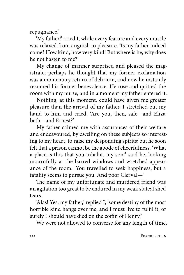repugnance.'

'My father!' cried I, while every feature and every muscle was relaxed from anguish to pleasure. 'Is my father indeed come? How kind, how very kind! But where is he, why does he not hasten to me?'

My change of manner surprised and pleased the magistrate; perhaps he thought that my former exclamation was a momentary return of delirium, and now he instantly resumed his former benevolence. He rose and quitted the room with my nurse, and in a moment my father entered it.

Nothing, at this moment, could have given me greater pleasure than the arrival of my father. I stretched out my hand to him and cried, 'Are you, then, safe—and Elizabeth—and Ernest?'

My father calmed me with assurances of their welfare and endeavoured, by dwelling on these subjects so interesting to my heart, to raise my desponding spirits; but he soon felt that a prison cannot be the abode of cheerfulness. 'What a place is this that you inhabit, my son!' said he, looking mournfully at the barred windows and wretched appearance of the room. 'You travelled to seek happiness, but a fatality seems to pursue you. And poor Clerval—'

The name of my unfortunate and murdered friend was an agitation too great to be endured in my weak state; I shed tears.

'Alas! Yes, my father,' replied I; 'some destiny of the most horrible kind hangs over me, and I must live to fulfil it, or surely I should have died on the coffin of Henry.'

We were not allowed to converse for any length of time,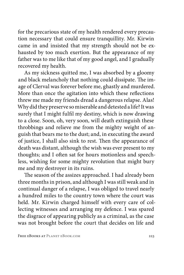for the precarious state of my health rendered every precaution necessary that could ensure tranquillity. Mr. Kirwin came in and insisted that my strength should not be exhausted by too much exertion. But the appearance of my father was to me like that of my good angel, and I gradually recovered my health.

As my sickness quitted me, I was absorbed by a gloomy and black melancholy that nothing could dissipate. The image of Clerval was forever before me, ghastly and murdered. More than once the agitation into which these reflections threw me made my friends dread a dangerous relapse. Alas! Why did they preserve so miserable and detested a life? It was surely that I might fulfil my destiny, which is now drawing to a close. Soon, oh, very soon, will death extinguish these throbbings and relieve me from the mighty weight of anguish that bears me to the dust; and, in executing the award of justice, I shall also sink to rest. Then the appearance of death was distant, although the wish was ever present to my thoughts; and I often sat for hours motionless and speechless, wishing for some mighty revolution that might bury me and my destroyer in its ruins.

The season of the assizes approached. I had already been three months in prison, and although I was still weak and in continual danger of a relapse, I was obliged to travel nearly a hundred miles to the country town where the court was held. Mr. Kirwin charged himself with every care of collecting witnesses and arranging my defence. I was spared the disgrace of appearing publicly as a criminal, as the case was not brought before the court that decides on life and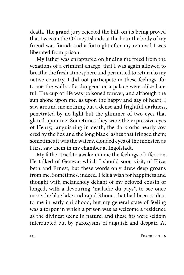death. The grand jury rejected the bill, on its being proved that I was on the Orkney Islands at the hour the body of my friend was found; and a fortnight after my removal I was liberated from prison.

My father was enraptured on finding me freed from the vexations of a criminal charge, that I was again allowed to breathe the fresh atmosphere and permitted to return to my native country. I did not participate in these feelings, for to me the walls of a dungeon or a palace were alike hateful. The cup of life was poisoned forever, and although the sun shone upon me, as upon the happy and gay of heart, I saw around me nothing but a dense and frightful darkness, penetrated by no light but the glimmer of two eyes that glared upon me. Sometimes they were the expressive eyes of Henry, languishing in death, the dark orbs nearly covered by the lids and the long black lashes that fringed them; sometimes it was the watery, clouded eyes of the monster, as I first saw them in my chamber at Ingolstadt.

My father tried to awaken in me the feelings of affection. He talked of Geneva, which I should soon visit, of Elizabeth and Ernest; but these words only drew deep groans from me. Sometimes, indeed, I felt a wish for happiness and thought with melancholy delight of my beloved cousin or longed, with a devouring \*maladie du pays\*, to see once more the blue lake and rapid Rhone, that had been so dear to me in early childhood; but my general state of feeling was a torpor in which a prison was as welcome a residence as the divinest scene in nature; and these fits were seldom interrupted but by paroxysms of anguish and despair. At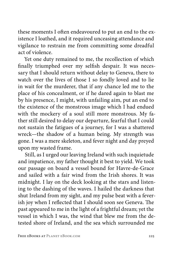these moments I often endeavoured to put an end to the existence I loathed, and it required unceasing attendance and vigilance to restrain me from committing some dreadful act of violence.

Yet one duty remained to me, the recollection of which finally triumphed over my selfish despair. It was necessary that I should return without delay to Geneva, there to watch over the lives of those I so fondly loved and to lie in wait for the murderer, that if any chance led me to the place of his concealment, or if he dared again to blast me by his presence, I might, with unfailing aim, put an end to the existence of the monstrous image which I had endued with the mockery of a soul still more monstrous. My father still desired to delay our departure, fearful that I could not sustain the fatigues of a journey, for I was a shattered wreck—the shadow of a human being. My strength was gone. I was a mere skeleton, and fever night and day preyed upon my wasted frame.

Still, as I urged our leaving Ireland with such inquietude and impatience, my father thought it best to yield. We took our passage on board a vessel bound for Havre-de-Grace and sailed with a fair wind from the Irish shores. It was midnight. I lay on the deck looking at the stars and listening to the dashing of the waves. I hailed the darkness that shut Ireland from my sight, and my pulse beat with a feverish joy when I reflected that I should soon see Geneva. The past appeared to me in the light of a frightful dream; yet the vessel in which I was, the wind that blew me from the detested shore of Ireland, and the sea which surrounded me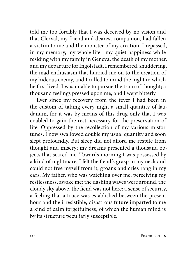told me too forcibly that I was deceived by no vision and that Clerval, my friend and dearest companion, had fallen a victim to me and the monster of my creation. I repassed, in my memory, my whole life—my quiet happiness while residing with my family in Geneva, the death of my mother, and my departure for Ingolstadt. I remembered, shuddering, the mad enthusiasm that hurried me on to the creation of my hideous enemy, and I called to mind the night in which he first lived. I was unable to pursue the train of thought; a thousand feelings pressed upon me, and I wept bitterly.

Ever since my recovery from the fever I had been in the custom of taking every night a small quantity of laudanum, for it was by means of this drug only that I was enabled to gain the rest necessary for the preservation of life. Oppressed by the recollection of my various misfortunes, I now swallowed double my usual quantity and soon slept profoundly. But sleep did not afford me respite from thought and misery; my dreams presented a thousand objects that scared me. Towards morning I was possessed by a kind of nightmare; I felt the fiend's grasp in my neck and could not free myself from it; groans and cries rang in my ears. My father, who was watching over me, perceiving my restlessness, awoke me; the dashing waves were around, the cloudy sky above, the fiend was not here: a sense of security, a feeling that a truce was established between the present hour and the irresistible, disastrous future imparted to me a kind of calm forgetfulness, of which the human mind is by its structure peculiarly susceptible.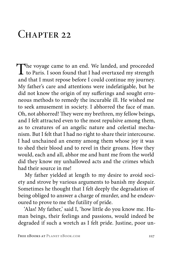## $CHAPTER$  22

The voyage came to an end. We landed, and proceeded to Paris. I soon found that I had overtaxed my strength and that I must repose before I could continue my journey. My father's care and attentions were indefatigable, but he did not know the origin of my sufferings and sought erroneous methods to remedy the incurable ill. He wished me to seek amusement in society. I abhorred the face of man. Oh, not abhorred! They were my brethren, my fellow beings, and I felt attracted even to the most repulsive among them, as to creatures of an angelic nature and celestial mechanism. But I felt that I had no right to share their intercourse. I had unchained an enemy among them whose joy it was to shed their blood and to revel in their groans. How they would, each and all, abhor me and hunt me from the world did they know my unhallowed acts and the crimes which had their source in me!

My father yielded at length to my desire to avoid society and strove by various arguments to banish my despair. Sometimes he thought that I felt deeply the degradation of being obliged to answer a charge of murder, and he endeavoured to prove to me the futility of pride.

'Alas! My father,' said I, 'how little do you know me. Human beings, their feelings and passions, would indeed be degraded if such a wretch as I felt pride. Justine, poor un-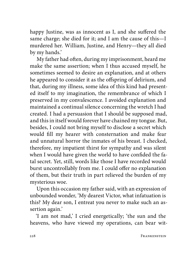happy Justine, was as innocent as I, and she suffered the same charge; she died for it; and I am the cause of this—I murdered her. William, Justine, and Henry—they all died by my hands.'

My father had often, during my imprisonment, heard me make the same assertion; when I thus accused myself, he sometimes seemed to desire an explanation, and at others he appeared to consider it as the offspring of delirium, and that, during my illness, some idea of this kind had presented itself to my imagination, the remembrance of which I preserved in my convalescence. I avoided explanation and maintained a continual silence concerning the wretch I had created. I had a persuasion that I should be supposed mad, and this in itself would forever have chained my tongue. But, besides, I could not bring myself to disclose a secret which would fill my hearer with consternation and make fear and unnatural horror the inmates of his breast. I checked, therefore, my impatient thirst for sympathy and was silent when I would have given the world to have confided the fatal secret. Yet, still, words like those I have recorded would burst uncontrollably from me. I could offer no explanation of them, but their truth in part relieved the burden of my mysterious woe.

Upon this occasion my father said, with an expression of unbounded wonder, 'My dearest Victor, what infatuation is this? My dear son, I entreat you never to make such an assertion again.'

'I am not mad,' I cried energetically; 'the sun and the heavens, who have viewed my operations, can bear wit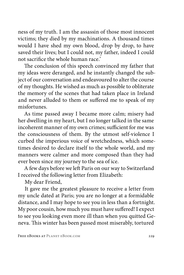ness of my truth. I am the assassin of those most innocent victims; they died by my machinations. A thousand times would I have shed my own blood, drop by drop, to have saved their lives; but I could not, my father, indeed I could not sacrifice the whole human race.'

The conclusion of this speech convinced my father that my ideas were deranged, and he instantly changed the subject of our conversation and endeavoured to alter the course of my thoughts. He wished as much as possible to obliterate the memory of the scenes that had taken place in Ireland and never alluded to them or suffered me to speak of my misfortunes.

As time passed away I became more calm; misery had her dwelling in my heart, but I no longer talked in the same incoherent manner of my own crimes; sufficient for me was the consciousness of them. By the utmost self-violence I curbed the imperious voice of wretchedness, which sometimes desired to declare itself to the whole world, and my manners were calmer and more composed than they had ever been since my journey to the sea of ice.

A few days before we left Paris on our way to Switzerland I received the following letter from Elizabeth:

My dear Friend,

It gave me the greatest pleasure to receive a letter from my uncle dated at Paris; you are no longer at a formidable distance, and I may hope to see you in less than a fortnight. My poor cousin, how much you must have suffered! I expect to see you looking even more ill than when you quitted Geneva. This winter has been passed most miserably, tortured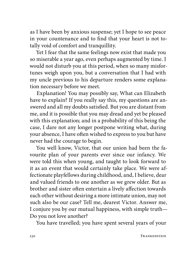as I have been by anxious suspense; yet I hope to see peace in your countenance and to find that your heart is not totally void of comfort and tranquillity.

Yet I fear that the same feelings now exist that made you so miserable a year ago, even perhaps augmented by time. I would not disturb you at this period, when so many misfortunes weigh upon you, but a conversation that I had with my uncle previous to his departure renders some explanation necessary before we meet.

Explanation! You may possibly say, What can Elizabeth have to explain? If you really say this, my questions are answered and all my doubts satisfied. But you are distant from me, and it is possible that you may dread and yet be pleased with this explanation; and in a probability of this being the case, I dare not any longer postpone writing what, during your absence, I have often wished to express to you but have never had the courage to begin.

You well know, Victor, that our union had been the favourite plan of your parents ever since our infancy. We were told this when young, and taught to look forward to it as an event that would certainly take place. We were affectionate playfellows during childhood, and, I believe, dear and valued friends to one another as we grew older. But as brother and sister often entertain a lively affection towards each other without desiring a more intimate union, may not such also be our case? Tell me, dearest Victor. Answer me, I conjure you by our mutual happiness, with simple truth— Do you not love another?

You have travelled; you have spent several years of your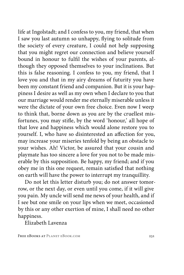life at Ingolstadt; and I confess to you, my friend, that when I saw you last autumn so unhappy, flying to solitude from the society of every creature, I could not help supposing that you might regret our connection and believe yourself bound in honour to fulfil the wishes of your parents, although they opposed themselves to your inclinations. But this is false reasoning. I confess to you, my friend, that I love you and that in my airy dreams of futurity you have been my constant friend and companion. But it is your happiness I desire as well as my own when I declare to you that our marriage would render me eternally miserable unless it were the dictate of your own free choice. Even now I weep to think that, borne down as you are by the cruellest misfortunes, you may stifle, by the word 'honour,' all hope of that love and happiness which would alone restore you to yourself. I, who have so disinterested an affection for you, may increase your miseries tenfold by being an obstacle to your wishes. Ah! Victor, be assured that your cousin and playmate has too sincere a love for you not to be made miserable by this supposition. Be happy, my friend; and if you obey me in this one request, remain satisfied that nothing on earth will have the power to interrupt my tranquillity.

Do not let this letter disturb you; do not answer tomorrow, or the next day, or even until you come, if it will give you pain. My uncle will send me news of your health, and if I see but one smile on your lips when we meet, occasioned by this or any other exertion of mine, I shall need no other happiness.

Elizabeth Lavenza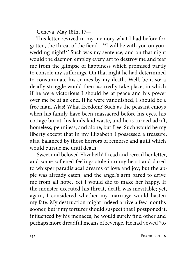Geneva, May 18th, 17—

This letter revived in my memory what I had before forgotten, the threat of the fiend—'\*I will be with you on your wedding-night!\*' Such was my sentence, and on that night would the daemon employ every art to destroy me and tear me from the glimpse of happiness which promised partly to console my sufferings. On that night he had determined to consummate his crimes by my death. Well, be it so; a deadly struggle would then assuredly take place, in which if he were victorious I should be at peace and his power over me be at an end. If he were vanquished, I should be a free man. Alas! What freedom? Such as the peasant enjoys when his family have been massacred before his eyes, his cottage burnt, his lands laid waste, and he is turned adrift, homeless, penniless, and alone, but free. Such would be my liberty except that in my Elizabeth I possessed a treasure, alas, balanced by those horrors of remorse and guilt which would pursue me until death.

Sweet and beloved Elizabeth! I read and reread her letter, and some softened feelings stole into my heart and dared to whisper paradisiacal dreams of love and joy; but the apple was already eaten, and the angel's arm bared to drive me from all hope. Yet I would die to make her happy. If the monster executed his threat, death was inevitable; yet, again, I considered whether my marriage would hasten my fate. My destruction might indeed arrive a few months sooner, but if my torturer should suspect that I postponed it, influenced by his menaces, he would surely find other and perhaps more dreadful means of revenge. He had vowed \*to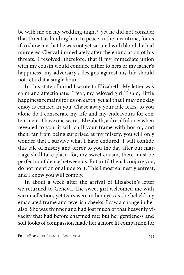be with me on my wedding-night\*, yet he did not consider that threat as binding him to peace in the meantime, for as if to show me that he was not yet satiated with blood, he had murdered Clerval immediately after the enunciation of his threats. I resolved, therefore, that if my immediate union with my cousin would conduce either to hers or my father's happiness, my adversary's designs against my life should not retard it a single hour.

In this state of mind I wrote to Elizabeth. My letter was calm and affectionate. 'I fear, my beloved girl,' I said, 'little happiness remains for us on earth; yet all that I may one day enjoy is centred in you. Chase away your idle fears; to you alone do I consecrate my life and my endeavours for contentment. I have one secret, Elizabeth, a dreadful one; when revealed to you, it will chill your frame with horror, and then, far from being surprised at my misery, you will only wonder that I survive what I have endured. I will confide this tale of misery and terror to you the day after our marriage shall take place, for, my sweet cousin, there must be perfect confidence between us. But until then, I conjure you, do not mention or allude to it. This I most earnestly entreat, and I know you will comply.'

In about a week after the arrival of Elizabeth's letter we returned to Geneva. The sweet girl welcomed me with warm affection, yet tears were in her eyes as she beheld my emaciated frame and feverish cheeks. I saw a change in her also. She was thinner and had lost much of that heavenly vivacity that had before charmed me; but her gentleness and soft looks of compassion made her a more fit companion for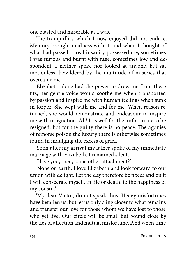one blasted and miserable as I was.

The tranquillity which I now enjoyed did not endure. Memory brought madness with it, and when I thought of what had passed, a real insanity possessed me; sometimes I was furious and burnt with rage, sometimes low and despondent. I neither spoke nor looked at anyone, but sat motionless, bewildered by the multitude of miseries that overcame me.

Elizabeth alone had the power to draw me from these fits; her gentle voice would soothe me when transported by passion and inspire me with human feelings when sunk in torpor. She wept with me and for me. When reason returned, she would remonstrate and endeavour to inspire me with resignation. Ah! It is well for the unfortunate to be resigned, but for the guilty there is no peace. The agonies of remorse poison the luxury there is otherwise sometimes found in indulging the excess of grief.

Soon after my arrival my father spoke of my immediate marriage with Elizabeth. I remained silent.

'Have you, then, some other attachment?'

'None on earth. I love Elizabeth and look forward to our union with delight. Let the day therefore be fixed; and on it I will consecrate myself, in life or death, to the happiness of my cousin.'

'My dear Victor, do not speak thus. Heavy misfortunes have befallen us, but let us only cling closer to what remains and transfer our love for those whom we have lost to those who yet live. Our circle will be small but bound close by the ties of affection and mutual misfortune. And when time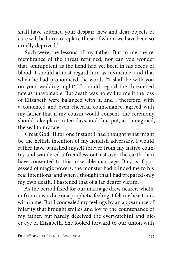shall have softened your despair, new and dear objects of care will be born to replace those of whom we have been so cruelly deprived.'

Such were the lessons of my father. But to me the remembrance of the threat returned; nor can you wonder that, omnipotent as the fiend had yet been in his deeds of blood, I should almost regard him as invincible, and that when he had pronounced the words '\*I shall be with you on your wedding-night\*,' I should regard the threatened fate as unavoidable. But death was no evil to me if the loss of Elizabeth were balanced with it, and I therefore, with a contented and even cheerful countenance, agreed with my father that if my cousin would consent, the ceremony should take place in ten days, and thus put, as I imagined, the seal to my fate.

Great God! If for one instant I had thought what might be the hellish intention of my fiendish adversary, I would rather have banished myself forever from my native country and wandered a friendless outcast over the earth than have consented to this miserable marriage. But, as if possessed of magic powers, the monster had blinded me to his real intentions; and when I thought that I had prepared only my own death, I hastened that of a far dearer victim.

As the period fixed for our marriage drew nearer, whether from cowardice or a prophetic feeling, I felt my heart sink within me. But I concealed my feelings by an appearance of hilarity that brought smiles and joy to the countenance of my father, but hardly deceived the everwatchful and nicer eye of Elizabeth. She looked forward to our union with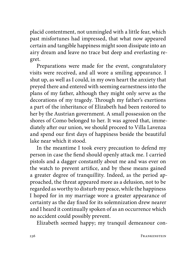placid contentment, not unmingled with a little fear, which past misfortunes had impressed, that what now appeared certain and tangible happiness might soon dissipate into an airy dream and leave no trace but deep and everlasting regret.

Preparations were made for the event, congratulatory visits were received, and all wore a smiling appearance. I shut up, as well as I could, in my own heart the anxiety that preyed there and entered with seeming earnestness into the plans of my father, although they might only serve as the decorations of my tragedy. Through my father's exertions a part of the inheritance of Elizabeth had been restored to her by the Austrian government. A small possession on the shores of Como belonged to her. It was agreed that, immediately after our union, we should proceed to Villa Lavenza and spend our first days of happiness beside the beautiful lake near which it stood.

In the meantime I took every precaution to defend my person in case the fiend should openly attack me. I carried pistols and a dagger constantly about me and was ever on the watch to prevent artifice, and by these means gained a greater degree of tranquillity. Indeed, as the period approached, the threat appeared more as a delusion, not to be regarded as worthy to disturb my peace, while the happiness I hoped for in my marriage wore a greater appearance of certainty as the day fixed for its solemnization drew nearer and I heard it continually spoken of as an occurrence which no accident could possibly prevent.

Elizabeth seemed happy; my tranquil demeanour con-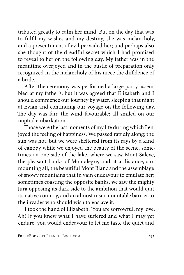tributed greatly to calm her mind. But on the day that was to fulfil my wishes and my destiny, she was melancholy, and a presentiment of evil pervaded her; and perhaps also she thought of the dreadful secret which I had promised to reveal to her on the following day. My father was in the meantime overjoyed and in the bustle of preparation only recognized in the melancholy of his niece the diffidence of a bride.

After the ceremony was performed a large party assembled at my father's, but it was agreed that Elizabeth and I should commence our journey by water, sleeping that night at Evian and continuing our voyage on the following day. The day was fair, the wind favourable; all smiled on our nuptial embarkation.

Those were the last moments of my life during which I enjoyed the feeling of happiness. We passed rapidly along; the sun was hot, but we were sheltered from its rays by a kind of canopy while we enjoyed the beauty of the scene, sometimes on one side of the lake, where we saw Mont Saleve, the pleasant banks of Montalegre, and at a distance, surmounting all, the beautiful Mont Blanc and the assemblage of snowy mountains that in vain endeavour to emulate her; sometimes coasting the opposite banks, we saw the mighty Jura opposing its dark side to the ambition that would quit its native country, and an almost insurmountable barrier to the invader who should wish to enslave it.

I took the hand of Elizabeth. 'You are sorrowful, my love. Ah! If you knew what I have suffered and what I may yet endure, you would endeavour to let me taste the quiet and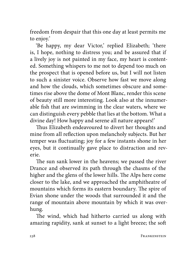freedom from despair that this one day at least permits me to enjoy.'

'Be happy, my dear Victor,' replied Elizabeth; 'there is, I hope, nothing to distress you; and be assured that if a lively joy is not painted in my face, my heart is contented. Something whispers to me not to depend too much on the prospect that is opened before us, but I will not listen to such a sinister voice. Observe how fast we move along and how the clouds, which sometimes obscure and sometimes rise above the dome of Mont Blanc, render this scene of beauty still more interesting. Look also at the innumerable fish that are swimming in the clear waters, where we can distinguish every pebble that lies at the bottom. What a divine day! How happy and serene all nature appears!'

Thus Elizabeth endeavoured to divert her thoughts and mine from all reflection upon melancholy subjects. But her temper was fluctuating; joy for a few instants shone in her eyes, but it continually gave place to distraction and reverie.

The sun sank lower in the heavens; we passed the river Drance and observed its path through the chasms of the higher and the glens of the lower hills. The Alps here come closer to the lake, and we approached the amphitheatre of mountains which forms its eastern boundary. The spire of Evian shone under the woods that surrounded it and the range of mountain above mountain by which it was overhung.

The wind, which had hitherto carried us along with amazing rapidity, sank at sunset to a light breeze; the soft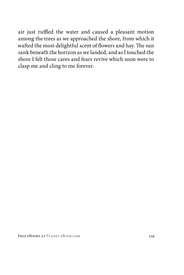air just ruffled the water and caused a pleasant motion among the trees as we approached the shore, from which it wafted the most delightful scent of flowers and hay. The sun sank beneath the horizon as we landed, and as I touched the shore I felt those cares and fears revive which soon were to clasp me and cling to me forever.

FREE EBOOKS AT PLANET EBOOK.COM 239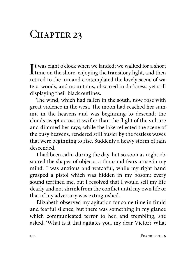## CHAPTER 23

 $\bf{I}$ t was eight o'clock when we landed; we walked for a short<br>time on the shore, enjoying the transitory light, and then<br>neithed to the line and contemplated the levels agence of the time on the shore, enjoying the transitory light, and then retired to the inn and contemplated the lovely scene of waters, woods, and mountains, obscured in darkness, yet still displaying their black outlines.

The wind, which had fallen in the south, now rose with great violence in the west. The moon had reached her summit in the heavens and was beginning to descend; the clouds swept across it swifter than the flight of the vulture and dimmed her rays, while the lake reflected the scene of the busy heavens, rendered still busier by the restless waves that were beginning to rise. Suddenly a heavy storm of rain descended.

I had been calm during the day, but so soon as night obscured the shapes of objects, a thousand fears arose in my mind. I was anxious and watchful, while my right hand grasped a pistol which was hidden in my bosom; every sound terrified me, but I resolved that I would sell my life dearly and not shrink from the conflict until my own life or that of my adversary was extinguished.

Elizabeth observed my agitation for some time in timid and fearful silence, but there was something in my glance which communicated terror to her, and trembling, she asked, 'What is it that agitates you, my dear Victor? What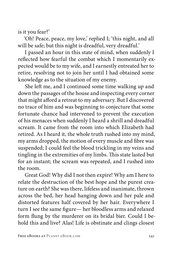is it you fear?'

'Oh! Peace, peace, my love,' replied I; 'this night, and all will be safe; but this night is dreadful, very dreadful.'

I passed an hour in this state of mind, when suddenly I reflected how fearful the combat which I momentarily expected would be to my wife, and I earnestly entreated her to retire, resolving not to join her until I had obtained some knowledge as to the situation of my enemy.

She left me, and I continued some time walking up and down the passages of the house and inspecting every corner that might afford a retreat to my adversary. But I discovered no trace of him and was beginning to conjecture that some fortunate chance had intervened to prevent the execution of his menaces when suddenly I heard a shrill and dreadful scream. It came from the room into which Elizabeth had retired. As I heard it, the whole truth rushed into my mind, my arms dropped, the motion of every muscle and fibre was suspended; I could feel the blood trickling in my veins and tingling in the extremities of my limbs. This state lasted but for an instant; the scream was repeated, and I rushed into the room.

Great God! Why did I not then expire! Why am I here to relate the destruction of the best hope and the purest creature on earth? She was there, lifeless and inanimate, thrown across the bed, her head hanging down and her pale and distorted features half covered by her hair. Everywhere I turn I see the same figure— her bloodless arms and relaxed form flung by the murderer on its bridal bier. Could I behold this and live? Alas! Life is obstinate and clings closest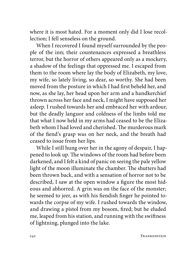where it is most hated. For a moment only did I lose recollection; I fell senseless on the ground.

When I recovered I found myself surrounded by the people of the inn; their countenances expressed a breathless terror, but the horror of others appeared only as a mockery, a shadow of the feelings that oppressed me. I escaped from them to the room where lay the body of Elizabeth, my love, my wife, so lately living, so dear, so worthy. She had been moved from the posture in which I had first beheld her, and now, as she lay, her head upon her arm and a handkerchief thrown across her face and neck, I might have supposed her asleep. I rushed towards her and embraced her with ardour, but the deadly languor and coldness of the limbs told me that what I now held in my arms had ceased to be the Elizabeth whom I had loved and cherished. The murderous mark of the fiend's grasp was on her neck, and the breath had ceased to issue from her lips.

While I still hung over her in the agony of despair, I happened to look up. The windows of the room had before been darkened, and I felt a kind of panic on seeing the pale yellow light of the moon illuminate the chamber. The shutters had been thrown back, and with a sensation of horror not to be described, I saw at the open window a figure the most hideous and abhorred. A grin was on the face of the monster; he seemed to jeer, as with his fiendish finger he pointed towards the corpse of my wife. I rushed towards the window, and drawing a pistol from my bosom, fired; but he eluded me, leaped from his station, and running with the swiftness of lightning, plunged into the lake.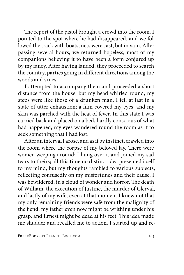The report of the pistol brought a crowd into the room. I pointed to the spot where he had disappeared, and we followed the track with boats; nets were cast, but in vain. After passing several hours, we returned hopeless, most of my companions believing it to have been a form conjured up by my fancy. After having landed, they proceeded to search the country, parties going in different directions among the woods and vines.

I attempted to accompany them and proceeded a short distance from the house, but my head whirled round, my steps were like those of a drunken man, I fell at last in a state of utter exhaustion; a film covered my eyes, and my skin was parched with the heat of fever. In this state I was carried back and placed on a bed, hardly conscious of what had happened; my eyes wandered round the room as if to seek something that I had lost.

After an interval I arose, and as if by instinct, crawled into the room where the corpse of my beloved lay. There were women weeping around; I hung over it and joined my sad tears to theirs; all this time no distinct idea presented itself to my mind, but my thoughts rambled to various subjects, reflecting confusedly on my misfortunes and their cause. I was bewildered, in a cloud of wonder and horror. The death of William, the execution of Justine, the murder of Clerval, and lastly of my wife; even at that moment I knew not that my only remaining friends were safe from the malignity of the fiend; my father even now might be writhing under his grasp, and Ernest might be dead at his feet. This idea made me shudder and recalled me to action. I started up and re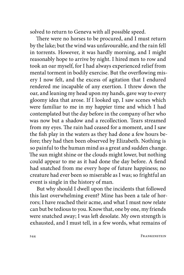solved to return to Geneva with all possible speed.

There were no horses to be procured, and I must return by the lake; but the wind was unfavourable, and the rain fell in torrents. However, it was hardly morning, and I might reasonably hope to arrive by night. I hired men to row and took an oar myself, for I had always experienced relief from mental torment in bodily exercise. But the overflowing misery I now felt, and the excess of agitation that I endured rendered me incapable of any exertion. I threw down the oar, and leaning my head upon my hands, gave way to every gloomy idea that arose. If I looked up, I saw scenes which were familiar to me in my happier time and which I had contemplated but the day before in the company of her who was now but a shadow and a recollection. Tears streamed from my eyes. The rain had ceased for a moment, and I saw the fish play in the waters as they had done a few hours before; they had then been observed by Elizabeth. Nothing is so painful to the human mind as a great and sudden change. The sun might shine or the clouds might lower, but nothing could appear to me as it had done the day before. A fiend had snatched from me every hope of future happiness; no creature had ever been so miserable as I was; so frightful an event is single in the history of man.

But why should I dwell upon the incidents that followed this last overwhelming event? Mine has been a tale of horrors; I have reached their acme, and what I must now relate can but be tedious to you. Know that, one by one, my friends were snatched away; I was left desolate. My own strength is exhausted, and I must tell, in a few words, what remains of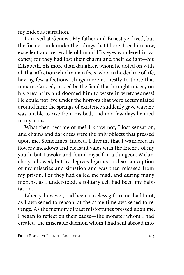my hideous narration.

I arrived at Geneva. My father and Ernest yet lived, but the former sunk under the tidings that I bore. I see him now, excellent and venerable old man! His eyes wandered in vacancy, for they had lost their charm and their delight—his Elizabeth, his more than daughter, whom he doted on with all that affection which a man feels, who in the decline of life, having few affections, clings more earnestly to those that remain. Cursed, cursed be the fiend that brought misery on his grey hairs and doomed him to waste in wretchedness! He could not live under the horrors that were accumulated around him; the springs of existence suddenly gave way; he was unable to rise from his bed, and in a few days he died in my arms.

What then became of me? I know not; I lost sensation, and chains and darkness were the only objects that pressed upon me. Sometimes, indeed, I dreamt that I wandered in flowery meadows and pleasant vales with the friends of my youth, but I awoke and found myself in a dungeon. Melancholy followed, but by degrees I gained a clear conception of my miseries and situation and was then released from my prison. For they had called me mad, and during many months, as I understood, a solitary cell had been my habitation.

Liberty, however, had been a useless gift to me, had I not, as I awakened to reason, at the same time awakened to revenge. As the memory of past misfortunes pressed upon me, I began to reflect on their cause—the monster whom I had created, the miserable daemon whom I had sent abroad into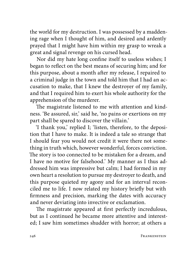the world for my destruction. I was possessed by a maddening rage when I thought of him, and desired and ardently prayed that I might have him within my grasp to wreak a great and signal revenge on his cursed head.

Nor did my hate long confine itself to useless wishes; I began to reflect on the best means of securing him; and for this purpose, about a month after my release, I repaired to a criminal judge in the town and told him that I had an accusation to make, that I knew the destroyer of my family, and that I required him to exert his whole authority for the apprehension of the murderer.

The magistrate listened to me with attention and kindness. 'Be assured, sir,' said he, 'no pains or exertions on my part shall be spared to discover the villain.'

'I thank you,' replied I; 'listen, therefore, to the deposition that I have to make. It is indeed a tale so strange that I should fear you would not credit it were there not something in truth which, however wonderful, forces conviction. The story is too connected to be mistaken for a dream, and I have no motive for falsehood.' My manner as I thus addressed him was impressive but calm; I had formed in my own heart a resolution to pursue my destroyer to death, and this purpose quieted my agony and for an interval reconciled me to life. I now related my history briefly but with firmness and precision, marking the dates with accuracy and never deviating into invective or exclamation.

The magistrate appeared at first perfectly incredulous, but as I continued he became more attentive and interested; I saw him sometimes shudder with horror; at others a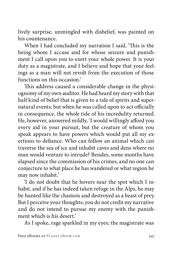lively surprise, unmingled with disbelief, was painted on his countenance.

When I had concluded my narration I said, 'This is the being whom I accuse and for whose seizure and punishment I call upon you to exert your whole power. It is your duty as a magistrate, and I believe and hope that your feelings as a man will not revolt from the execution of those functions on this occasion.'

This address caused a considerable change in the physiognomy of my own auditor. He had heard my story with that half kind of belief that is given to a tale of spirits and supernatural events; but when he was called upon to act officially in consequence, the whole tide of his incredulity returned. He, however, answered mildly, 'I would willingly afford you every aid in your pursuit, but the creature of whom you speak appears to have powers which would put all my exertions to defiance. Who can follow an animal which can traverse the sea of ice and inhabit caves and dens where no man would venture to intrude? Besides, some months have elapsed since the commission of his crimes, and no one can conjecture to what place he has wandered or what region he may now inhabit.'

'I do not doubt that he hovers near the spot which I inhabit, and if he has indeed taken refuge in the Alps, he may be hunted like the chamois and destroyed as a beast of prey. But I perceive your thoughts; you do not credit my narrative and do not intend to pursue my enemy with the punishment which is his desert.'

As I spoke, rage sparkled in my eyes; the magistrate was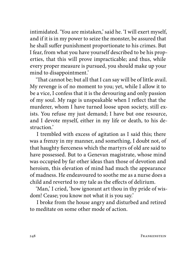intimidated. 'You are mistaken,' said he. 'I will exert myself, and if it is in my power to seize the monster, be assured that he shall suffer punishment proportionate to his crimes. But I fear, from what you have yourself described to be his properties, that this will prove impracticable; and thus, while every proper measure is pursued, you should make up your mind to disappointment.'

'That cannot be; but all that I can say will be of little avail. My revenge is of no moment to you; yet, while I allow it to be a vice, I confess that it is the devouring and only passion of my soul. My rage is unspeakable when I reflect that the murderer, whom I have turned loose upon society, still exists. You refuse my just demand; I have but one resource, and I devote myself, either in my life or death, to his destruction.'

I trembled with excess of agitation as I said this; there was a frenzy in my manner, and something, I doubt not, of that haughty fierceness which the martyrs of old are said to have possessed. But to a Genevan magistrate, whose mind was occupied by far other ideas than those of devotion and heroism, this elevation of mind had much the appearance of madness. He endeavoured to soothe me as a nurse does a child and reverted to my tale as the effects of delirium.

'Man,' I cried, 'how ignorant art thou in thy pride of wisdom! Cease; you know not what it is you say.'

I broke from the house angry and disturbed and retired to meditate on some other mode of action.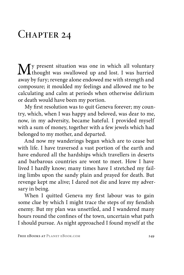## CHAPTER 24

**M**y present situation was one in which all voluntary thought was swallowed up and lost. I was hurried away by fury; revenge alone endowed me with strength and composure; it moulded my feelings and allowed me to be calculating and calm at periods when otherwise delirium or death would have been my portion.

My first resolution was to quit Geneva forever; my country, which, when I was happy and beloved, was dear to me, now, in my adversity, became hateful. I provided myself with a sum of money, together with a few jewels which had belonged to my mother, and departed.

And now my wanderings began which are to cease but with life. I have traversed a vast portion of the earth and have endured all the hardships which travellers in deserts and barbarous countries are wont to meet. How I have lived I hardly know; many times have I stretched my failing limbs upon the sandy plain and prayed for death. But revenge kept me alive; I dared not die and leave my adversary in being.

When I quitted Geneva my first labour was to gain some clue by which I might trace the steps of my fiendish enemy. But my plan was unsettled, and I wandered many hours round the confines of the town, uncertain what path I should pursue. As night approached I found myself at the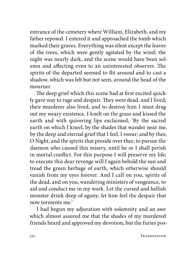entrance of the cemetery where William, Elizabeth, and my father reposed. I entered it and approached the tomb which marked their graves. Everything was silent except the leaves of the trees, which were gently agitated by the wind; the night was nearly dark, and the scene would have been solemn and affecting even to an uninterested observer. The spirits of the departed seemed to flit around and to cast a shadow, which was felt but not seen, around the head of the mourner.

The deep grief which this scene had at first excited quickly gave way to rage and despair. They were dead, and I lived; their murderer also lived, and to destroy him I must drag out my weary existence. I knelt on the grass and kissed the earth and with quivering lips exclaimed, 'By the sacred earth on which I kneel, by the shades that wander near me, by the deep and eternal grief that I feel, I swear; and by thee, O Night, and the spirits that preside over thee, to pursue the daemon who caused this misery, until he or I shall perish in mortal conflict. For this purpose I will preserve my life; to execute this dear revenge will I again behold the sun and tread the green herbage of earth, which otherwise should vanish from my eyes forever. And I call on you, spirits of the dead, and on you, wandering ministers of vengeance, to aid and conduct me in my work. Let the cursed and hellish monster drink deep of agony; let him feel the despair that now torments me.'

I had begun my adjuration with solemnity and an awe which almost assured me that the shades of my murdered friends heard and approved my devotion, but the furies pos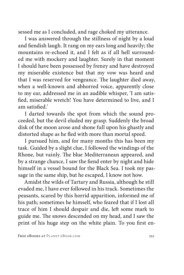sessed me as I concluded, and rage choked my utterance.

I was answered through the stillness of night by a loud and fiendish laugh. It rang on my ears long and heavily; the mountains re-echoed it, and I felt as if all hell surrounded me with mockery and laughter. Surely in that moment I should have been possessed by frenzy and have destroyed my miserable existence but that my vow was heard and that I was reserved for vengeance. The laughter died away, when a well-known and abhorred voice, apparently close to my ear, addressed me in an audible whisper, 'I am satisfied, miserable wretch! You have determined to live, and I am satisfied.'

I darted towards the spot from which the sound proceeded, but the devil eluded my grasp. Suddenly the broad disk of the moon arose and shone full upon his ghastly and distorted shape as he fled with more than mortal speed.

I pursued him, and for many months this has been my task. Guided by a slight clue, I followed the windings of the Rhone, but vainly. The blue Mediterranean appeared, and by a strange chance, I saw the fiend enter by night and hide himself in a vessel bound for the Black Sea. I took my passage in the same ship, but he escaped, I know not how.

Amidst the wilds of Tartary and Russia, although he still evaded me, I have ever followed in his track. Sometimes the peasants, scared by this horrid apparition, informed me of his path; sometimes he himself, who feared that if I lost all trace of him I should despair and die, left some mark to guide me. The snows descended on my head, and I saw the print of his huge step on the white plain. To you first en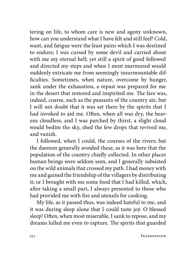tering on life, to whom care is new and agony unknown, how can you understand what I have felt and still feel? Cold, want, and fatigue were the least pains which I was destined to endure; I was cursed by some devil and carried about with me my eternal hell; yet still a spirit of good followed and directed my steps and when I most murmured would suddenly extricate me from seemingly insurmountable difficulties. Sometimes, when nature, overcome by hunger, sank under the exhaustion, a repast was prepared for me in the desert that restored and inspirited me. The fare was, indeed, coarse, such as the peasants of the country ate, but I will not doubt that it was set there by the spirits that I had invoked to aid me. Often, when all was dry, the heavens cloudless, and I was parched by thirst, a slight cloud would bedim the sky, shed the few drops that revived me, and vanish.

I followed, when I could, the courses of the rivers; but the daemon generally avoided these, as it was here that the population of the country chiefly collected. In other places human beings were seldom seen, and I generally subsisted on the wild animals that crossed my path. I had money with me and gained the friendship of the villagers by distributing it; or I brought with me some food that I had killed, which, after taking a small part, I always presented to those who had provided me with fire and utensils for cooking.

My life, as it passed thus, was indeed hateful to me, and it was during sleep alone that I could taste joy. O blessed sleep! Often, when most miserable, I sank to repose, and my dreams lulled me even to rapture. The spirits that guarded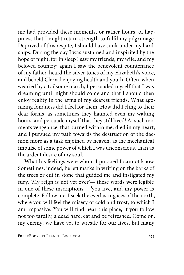me had provided these moments, or rather hours, of happiness that I might retain strength to fulfil my pilgrimage. Deprived of this respite, I should have sunk under my hardships. During the day I was sustained and inspirited by the hope of night, for in sleep I saw my friends, my wife, and my beloved country; again I saw the benevolent countenance of my father, heard the silver tones of my Elizabeth's voice, and beheld Clerval enjoying health and youth. Often, when wearied by a toilsome march, I persuaded myself that I was dreaming until night should come and that I should then enjoy reality in the arms of my dearest friends. What agonizing fondness did I feel for them! How did I cling to their dear forms, as sometimes they haunted even my waking hours, and persuade myself that they still lived! At such moments vengeance, that burned within me, died in my heart, and I pursued my path towards the destruction of the daemon more as a task enjoined by heaven, as the mechanical impulse of some power of which I was unconscious, than as the ardent desire of my soul.

What his feelings were whom I pursued I cannot know. Sometimes, indeed, he left marks in writing on the barks of the trees or cut in stone that guided me and instigated my fury. 'My reign is not yet over'— these words were legible in one of these inscriptions— 'you live, and my power is complete. Follow me; I seek the everlasting ices of the north, where you will feel the misery of cold and frost, to which I am impassive. You will find near this place, if you follow not too tardily, a dead hare; eat and be refreshed. Come on, my enemy; we have yet to wrestle for our lives, but many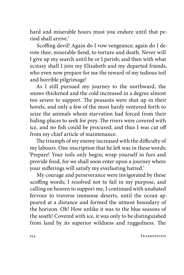hard and miserable hours must you endure until that period shall arrive.'

Scoffing devil! Again do I vow vengeance; again do I devote thee, miserable fiend, to torture and death. Never will I give up my search until he or I perish; and then with what ecstasy shall I join my Elizabeth and my departed friends, who even now prepare for me the reward of my tedious toil and horrible pilgrimage!

As I still pursued my journey to the northward, the snows thickened and the cold increased in a degree almost too severe to support. The peasants were shut up in their hovels, and only a few of the most hardy ventured forth to seize the animals whom starvation had forced from their hiding-places to seek for prey. The rivers were covered with ice, and no fish could be procured; and thus I was cut off from my chief article of maintenance.

The triumph of my enemy increased with the difficulty of my labours. One inscription that he left was in these words: 'Prepare! Your toils only begin; wrap yourself in furs and provide food, for we shall soon enter upon a journey where your sufferings will satisfy my everlasting hatred.'

My courage and perseverance were invigorated by these scoffing words; I resolved not to fail in my purpose, and calling on heaven to support me, I continued with unabated fervour to traverse immense deserts, until the ocean appeared at a distance and formed the utmost boundary of the horizon. Oh! How unlike it was to the blue seasons of the south! Covered with ice, it was only to be distinguished from land by its superior wildness and ruggedness. The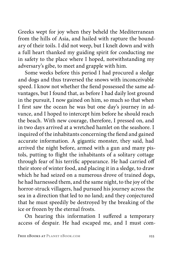Greeks wept for joy when they beheld the Mediterranean from the hills of Asia, and hailed with rapture the boundary of their toils. I did not weep, but I knelt down and with a full heart thanked my guiding spirit for conducting me in safety to the place where I hoped, notwithstanding my adversary's gibe, to meet and grapple with him.

Some weeks before this period I had procured a sledge and dogs and thus traversed the snows with inconceivable speed. I know not whether the fiend possessed the same advantages, but I found that, as before I had daily lost ground in the pursuit, I now gained on him, so much so that when I first saw the ocean he was but one day's journey in advance, and I hoped to intercept him before he should reach the beach. With new courage, therefore, I pressed on, and in two days arrived at a wretched hamlet on the seashore. I inquired of the inhabitants concerning the fiend and gained accurate information. A gigantic monster, they said, had arrived the night before, armed with a gun and many pistols, putting to flight the inhabitants of a solitary cottage through fear of his terrific appearance. He had carried off their store of winter food, and placing it in a sledge, to draw which he had seized on a numerous drove of trained dogs, he had harnessed them, and the same night, to the joy of the horror-struck villagers, had pursued his journey across the sea in a direction that led to no land; and they conjectured that he must speedily be destroyed by the breaking of the ice or frozen by the eternal frosts.

On hearing this information I suffered a temporary access of despair. He had escaped me, and I must com-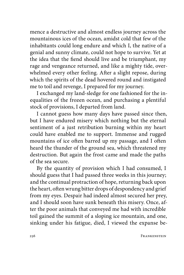mence a destructive and almost endless journey across the mountainous ices of the ocean, amidst cold that few of the inhabitants could long endure and which I, the native of a genial and sunny climate, could not hope to survive. Yet at the idea that the fiend should live and be triumphant, my rage and vengeance returned, and like a mighty tide, overwhelmed every other feeling. After a slight repose, during which the spirits of the dead hovered round and instigated me to toil and revenge, I prepared for my journey.

I exchanged my land-sledge for one fashioned for the inequalities of the frozen ocean, and purchasing a plentiful stock of provisions, I departed from land.

I cannot guess how many days have passed since then, but I have endured misery which nothing but the eternal sentiment of a just retribution burning within my heart could have enabled me to support. Immense and rugged mountains of ice often barred up my passage, and I often heard the thunder of the ground sea, which threatened my destruction. But again the frost came and made the paths of the sea secure.

By the quantity of provision which I had consumed, I should guess that I had passed three weeks in this journey; and the continual protraction of hope, returning back upon the heart, often wrung bitter drops of despondency and grief from my eyes. Despair had indeed almost secured her prey, and I should soon have sunk beneath this misery. Once, after the poor animals that conveyed me had with incredible toil gained the summit of a sloping ice mountain, and one, sinking under his fatigue, died, I viewed the expanse be-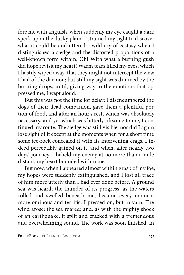fore me with anguish, when suddenly my eye caught a dark speck upon the dusky plain. I strained my sight to discover what it could be and uttered a wild cry of ecstasy when I distinguished a sledge and the distorted proportions of a well-known form within. Oh! With what a burning gush did hope revisit my heart! Warm tears filled my eyes, which I hastily wiped away, that they might not intercept the view I had of the daemon; but still my sight was dimmed by the burning drops, until, giving way to the emotions that oppressed me, I wept aloud.

But this was not the time for delay; I disencumbered the dogs of their dead companion, gave them a plentiful portion of food, and after an hour's rest, which was absolutely necessary, and yet which was bitterly irksome to me, I continued my route. The sledge was still visible, nor did I again lose sight of it except at the moments when for a short time some ice-rock concealed it with its intervening crags. I indeed perceptibly gained on it, and when, after nearly two days' journey, I beheld my enemy at no more than a mile distant, my heart bounded within me.

But now, when I appeared almost within grasp of my foe, my hopes were suddenly extinguished, and I lost all trace of him more utterly than I had ever done before. A ground sea was heard; the thunder of its progress, as the waters rolled and swelled beneath me, became every moment more ominous and terrific. I pressed on, but in vain. The wind arose; the sea roared; and, as with the mighty shock of an earthquake, it split and cracked with a tremendous and overwhelming sound. The work was soon finished; in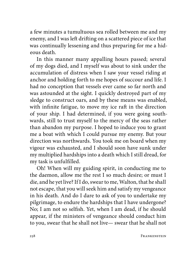a few minutes a tumultuous sea rolled between me and my enemy, and I was left drifting on a scattered piece of ice that was continually lessening and thus preparing for me a hideous death.

In this manner many appalling hours passed; several of my dogs died, and I myself was about to sink under the accumulation of distress when I saw your vessel riding at anchor and holding forth to me hopes of succour and life. I had no conception that vessels ever came so far north and was astounded at the sight. I quickly destroyed part of my sledge to construct oars, and by these means was enabled, with infinite fatigue, to move my ice raft in the direction of your ship. I had determined, if you were going southwards, still to trust myself to the mercy of the seas rather than abandon my purpose. I hoped to induce you to grant me a boat with which I could pursue my enemy. But your direction was northwards. You took me on board when my vigour was exhausted, and I should soon have sunk under my multiplied hardships into a death which I still dread, for my task is unfulfilled.

Oh! When will my guiding spirit, in conducting me to the daemon, allow me the rest I so much desire; or must I die, and he yet live? If I do, swear to me, Walton, that he shall not escape, that you will seek him and satisfy my vengeance in his death. And do I dare to ask of you to undertake my pilgrimage, to endure the hardships that I have undergone? No; I am not so selfish. Yet, when I am dead, if he should appear, if the ministers of vengeance should conduct him to you, swear that he shall not live— swear that he shall not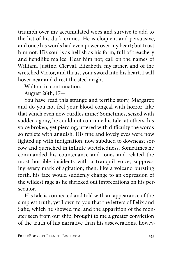triumph over my accumulated woes and survive to add to the list of his dark crimes. He is eloquent and persuasive, and once his words had even power over my heart; but trust him not. His soul is as hellish as his form, full of treachery and fiendlike malice. Hear him not; call on the names of William, Justine, Clerval, Elizabeth, my father, and of the wretched Victor, and thrust your sword into his heart. I will hover near and direct the steel aright.

Walton, in continuation.

August 26th, 17—

You have read this strange and terrific story, Margaret; and do you not feel your blood congeal with horror, like that which even now curdles mine? Sometimes, seized with sudden agony, he could not continue his tale; at others, his voice broken, yet piercing, uttered with difficulty the words so replete with anguish. His fine and lovely eyes were now lighted up with indignation, now subdued to downcast sorrow and quenched in infinite wretchedness. Sometimes he commanded his countenance and tones and related the most horrible incidents with a tranquil voice, suppressing every mark of agitation; then, like a volcano bursting forth, his face would suddenly change to an expression of the wildest rage as he shrieked out imprecations on his persecutor.

His tale is connected and told with an appearance of the simplest truth, yet I own to you that the letters of Felix and Safie, which he showed me, and the apparition of the monster seen from our ship, brought to me a greater conviction of the truth of his narrative than his asseverations, howev-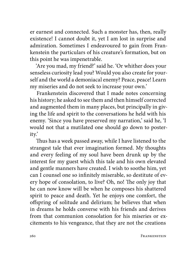er earnest and connected. Such a monster has, then, really existence! I cannot doubt it, yet I am lost in surprise and admiration. Sometimes I endeavoured to gain from Frankenstein the particulars of his creature's formation, but on this point he was impenetrable.

'Are you mad, my friend?' said he. 'Or whither does your senseless curiosity lead you? Would you also create for yourself and the world a demoniacal enemy? Peace, peace! Learn my miseries and do not seek to increase your own.'

Frankenstein discovered that I made notes concerning his history; he asked to see them and then himself corrected and augmented them in many places, but principally in giving the life and spirit to the conversations he held with his enemy. 'Since you have preserved my narration,' said he, 'I would not that a mutilated one should go down to posterity.'

Thus has a week passed away, while I have listened to the strangest tale that ever imagination formed. My thoughts and every feeling of my soul have been drunk up by the interest for my guest which this tale and his own elevated and gentle manners have created. I wish to soothe him, yet can I counsel one so infinitely miserable, so destitute of every hope of consolation, to live? Oh, no! The only joy that he can now know will be when he composes his shattered spirit to peace and death. Yet he enjoys one comfort, the offspring of solitude and delirium; he believes that when in dreams he holds converse with his friends and derives from that communion consolation for his miseries or excitements to his vengeance, that they are not the creations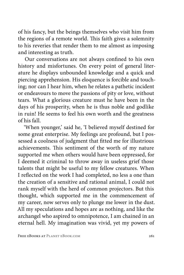of his fancy, but the beings themselves who visit him from the regions of a remote world. This faith gives a solemnity to his reveries that render them to me almost as imposing and interesting as truth.

Our conversations are not always confined to his own history and misfortunes. On every point of general literature he displays unbounded knowledge and a quick and piercing apprehension. His eloquence is forcible and touching; nor can I hear him, when he relates a pathetic incident or endeavours to move the passions of pity or love, without tears. What a glorious creature must he have been in the days of his prosperity, when he is thus noble and godlike in ruin! He seems to feel his own worth and the greatness of his fall.

'When younger,' said he, 'I believed myself destined for some great enterprise. My feelings are profound, but I possessed a coolness of judgment that fitted me for illustrious achievements. This sentiment of the worth of my nature supported me when others would have been oppressed, for I deemed it criminal to throw away in useless grief those talents that might be useful to my fellow creatures. When I reflected on the work I had completed, no less a one than the creation of a sensitive and rational animal, I could not rank myself with the herd of common projectors. But this thought, which supported me in the commencement of my career, now serves only to plunge me lower in the dust. All my speculations and hopes are as nothing, and like the archangel who aspired to omnipotence, I am chained in an eternal hell. My imagination was vivid, yet my powers of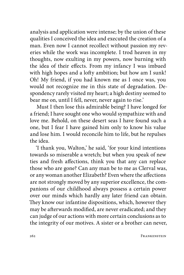analysis and application were intense; by the union of these qualities I conceived the idea and executed the creation of a man. Even now I cannot recollect without passion my reveries while the work was incomplete. I trod heaven in my thoughts, now exulting in my powers, now burning with the idea of their effects. From my infancy I was imbued with high hopes and a lofty ambition; but how am I sunk! Oh! My friend, if you had known me as I once was, you would not recognize me in this state of degradation. Despondency rarely visited my heart; a high destiny seemed to bear me on, until I fell, never, never again to rise.'

Must I then lose this admirable being? I have longed for a friend; I have sought one who would sympathize with and love me. Behold, on these desert seas I have found such a one, but I fear I have gained him only to know his value and lose him. I would reconcile him to life, but he repulses the idea.

'I thank you, Walton,' he said, 'for your kind intentions towards so miserable a wretch; but when you speak of new ties and fresh affections, think you that any can replace those who are gone? Can any man be to me as Clerval was, or any woman another Elizabeth? Even where the affections are not strongly moved by any superior excellence, the companions of our childhood always possess a certain power over our minds which hardly any later friend can obtain. They know our infantine dispositions, which, however they may be afterwards modified, are never eradicated; and they can judge of our actions with more certain conclusions as to the integrity of our motives. A sister or a brother can never,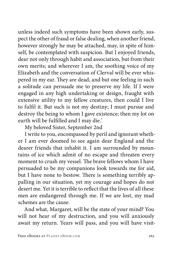unless indeed such symptoms have been shown early, suspect the other of fraud or false dealing, when another friend, however strongly he may be attached, may, in spite of himself, be contemplated with suspicion. But I enjoyed friends, dear not only through habit and association, but from their own merits; and wherever I am, the soothing voice of my Elizabeth and the conversation of Clerval will be ever whispered in my ear. They are dead, and but one feeling in such a solitude can persuade me to preserve my life. If I were engaged in any high undertaking or design, fraught with extensive utility to my fellow creatures, then could I live to fulfil it. But such is not my destiny; I must pursue and destroy the being to whom I gave existence; then my lot on earth will be fulfilled and I may die.'

My beloved Sister, September 2nd

I write to you, encompassed by peril and ignorant whether I am ever doomed to see again dear England and the dearer friends that inhabit it. I am surrounded by mountains of ice which admit of no escape and threaten every moment to crush my vessel. The brave fellows whom I have persuaded to be my companions look towards me for aid, but I have none to bestow. There is something terribly appalling in our situation, yet my courage and hopes do not desert me. Yet it is terrible to reflect that the lives of all these men are endangered through me. If we are lost, my mad schemes are the cause.

And what, Margaret, will be the state of your mind? You will not hear of my destruction, and you will anxiously await my return. Years will pass, and you will have visit-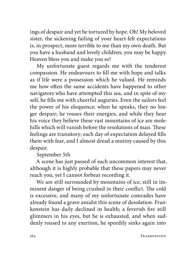ings of despair and yet be tortured by hope. Oh! My beloved sister, the sickening failing of your heart-felt expectations is, in prospect, more terrible to me than my own death. But you have a husband and lovely children; you may be happy. Heaven bless you and make you so!

My unfortunate guest regards me with the tenderest compassion. He endeavours to fill me with hope and talks as if life were a possession which he valued. He reminds me how often the same accidents have happened to other navigators who have attempted this sea, and in spite of myself, he fills me with cheerful auguries. Even the sailors feel the power of his eloquence; when he speaks, they no longer despair; he rouses their energies, and while they hear his voice they believe these vast mountains of ice are molehills which will vanish before the resolutions of man. These feelings are transitory; each day of expectation delayed fills them with fear, and I almost dread a mutiny caused by this despair.

September 5th

A scene has just passed of such uncommon interest that, although it is highly probable that these papers may never reach you, yet I cannot forbear recording it.

We are still surrounded by mountains of ice, still in imminent danger of being crushed in their conflict. The cold is excessive, and many of my unfortunate comrades have already found a grave amidst this scene of desolation. Frankenstein has daily declined in health; a feverish fire still glimmers in his eyes, but he is exhausted, and when suddenly roused to any exertion, he speedily sinks again into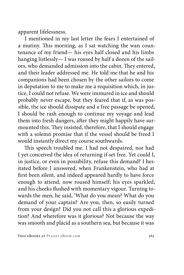apparent lifelessness.

I mentioned in my last letter the fears I entertained of a mutiny. This morning, as I sat watching the wan countenance of my friend— his eyes half closed and his limbs hanging listlessly— I was roused by half a dozen of the sailors, who demanded admission into the cabin. They entered, and their leader addressed me. He told me that he and his companions had been chosen by the other sailors to come in deputation to me to make me a requisition which, in justice, I could not refuse. We were immured in ice and should probably never escape, but they feared that if, as was possible, the ice should dissipate and a free passage be opened, I should be rash enough to continue my voyage and lead them into fresh dangers, after they might happily have surmounted this. They insisted, therefore, that I should engage with a solemn promise that if the vessel should be freed I would instantly direct my course southwards.

This speech troubled me. I had not despaired, nor had I yet conceived the idea of returning if set free. Yet could I, in justice, or even in possibility, refuse this demand? I hesitated before I answered, when Frankenstein, who had at first been silent, and indeed appeared hardly to have force enough to attend, now roused himself; his eyes sparkled, and his cheeks flushed with momentary vigour. Turning towards the men, he said, 'What do you mean? What do you demand of your captain? Are you, then, so easily turned from your design? Did you not call this a glorious expedition? And wherefore was it glorious? Not because the way was smooth and placid as a southern sea, but because it was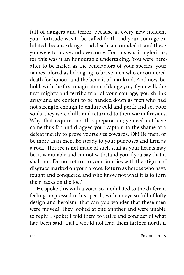full of dangers and terror, because at every new incident your fortitude was to be called forth and your courage exhibited, because danger and death surrounded it, and these you were to brave and overcome. For this was it a glorious, for this was it an honourable undertaking. You were hereafter to be hailed as the benefactors of your species, your names adored as belonging to brave men who encountered death for honour and the benefit of mankind. And now, behold, with the first imagination of danger, or, if you will, the first mighty and terrific trial of your courage, you shrink away and are content to be handed down as men who had not strength enough to endure cold and peril; and so, poor souls, they were chilly and returned to their warm firesides. Why, that requires not this preparation; ye need not have come thus far and dragged your captain to the shame of a defeat merely to prove yourselves cowards. Oh! Be men, or be more than men. Be steady to your purposes and firm as a rock. This ice is not made of such stuff as your hearts may be; it is mutable and cannot withstand you if you say that it shall not. Do not return to your families with the stigma of disgrace marked on your brows. Return as heroes who have fought and conquered and who know not what it is to turn their backs on the foe.'

He spoke this with a voice so modulated to the different feelings expressed in his speech, with an eye so full of lofty design and heroism, that can you wonder that these men were moved? They looked at one another and were unable to reply. I spoke; I told them to retire and consider of what had been said, that I would not lead them farther north if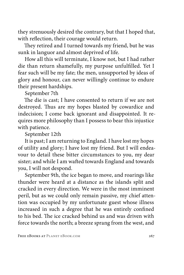they strenuously desired the contrary, but that I hoped that, with reflection, their courage would return.

They retired and I turned towards my friend, but he was sunk in languor and almost deprived of life.

How all this will terminate, I know not, but I had rather die than return shamefully, my purpose unfulfilled. Yet I fear such will be my fate; the men, unsupported by ideas of glory and honour, can never willingly continue to endure their present hardships.

September 7th

The die is cast; I have consented to return if we are not destroyed. Thus are my hopes blasted by cowardice and indecision; I come back ignorant and disappointed. It requires more philosophy than I possess to bear this injustice with patience.

September 12th

It is past; I am returning to England. I have lost my hopes of utility and glory; I have lost my friend. But I will endeavour to detail these bitter circumstances to you, my dear sister; and while I am wafted towards England and towards you, I will not despond.

September 9th, the ice began to move, and roarings like thunder were heard at a distance as the islands split and cracked in every direction. We were in the most imminent peril, but as we could only remain passive, my chief attention was occupied by my unfortunate guest whose illness increased in such a degree that he was entirely confined to his bed. The ice cracked behind us and was driven with force towards the north; a breeze sprang from the west, and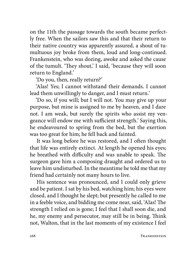on the 11th the passage towards the south became perfectly free. When the sailors saw this and that their return to their native country was apparently assured, a shout of tumultuous joy broke from them, loud and long-continued. Frankenstein, who was dozing, awoke and asked the cause of the tumult. 'They shout,' I said, 'because they will soon return to England.'

'Do you, then, really return?'

'Alas! Yes; I cannot withstand their demands. I cannot lead them unwillingly to danger, and I must return.'

'Do so, if you will; but I will not. You may give up your purpose, but mine is assigned to me by heaven, and I dare not. I am weak, but surely the spirits who assist my vengeance will endow me with sufficient strength.' Saying this, he endeavoured to spring from the bed, but the exertion was too great for him; he fell back and fainted.

It was long before he was restored, and I often thought that life was entirely extinct. At length he opened his eyes; he breathed with difficulty and was unable to speak. The surgeon gave him a composing draught and ordered us to leave him undisturbed. In the meantime he told me that my friend had certainly not many hours to live.

His sentence was pronounced, and I could only grieve and be patient. I sat by his bed, watching him; his eyes were closed, and I thought he slept; but presently he called to me in a feeble voice, and bidding me come near, said, 'Alas! The strength I relied on is gone; I feel that I shall soon die, and he, my enemy and persecutor, may still be in being. Think not, Walton, that in the last moments of my existence I feel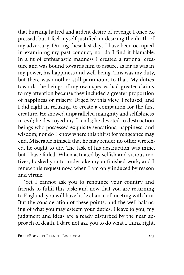that burning hatred and ardent desire of revenge I once expressed; but I feel myself justified in desiring the death of my adversary. During these last days I have been occupied in examining my past conduct; nor do I find it blamable. In a fit of enthusiastic madness I created a rational creature and was bound towards him to assure, as far as was in my power, his happiness and well-being. This was my duty, but there was another still paramount to that. My duties towards the beings of my own species had greater claims to my attention because they included a greater proportion of happiness or misery. Urged by this view, I refused, and I did right in refusing, to create a companion for the first creature. He showed unparalleled malignity and selfishness in evil; he destroyed my friends; he devoted to destruction beings who possessed exquisite sensations, happiness, and wisdom; nor do I know where this thirst for vengeance may end. Miserable himself that he may render no other wretched, he ought to die. The task of his destruction was mine, but I have failed. When actuated by selfish and vicious motives, I asked you to undertake my unfinished work, and I renew this request now, when I am only induced by reason and virtue.

'Yet I cannot ask you to renounce your country and friends to fulfil this task; and now that you are returning to England, you will have little chance of meeting with him. But the consideration of these points, and the well balancing of what you may esteem your duties, I leave to you; my judgment and ideas are already disturbed by the near approach of death. I dare not ask you to do what I think right,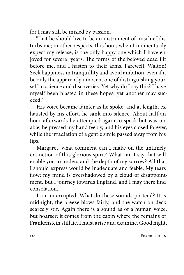for I may still be misled by passion.

'That he should live to be an instrument of mischief disturbs me; in other respects, this hour, when I momentarily expect my release, is the only happy one which I have enjoyed for several years. The forms of the beloved dead flit before me, and I hasten to their arms. Farewell, Walton! Seek happiness in tranquillity and avoid ambition, even if it be only the apparently innocent one of distinguishing yourself in science and discoveries. Yet why do I say this? I have myself been blasted in these hopes, yet another may succeed.'

His voice became fainter as he spoke, and at length, exhausted by his effort, he sank into silence. About half an hour afterwards he attempted again to speak but was unable; he pressed my hand feebly, and his eyes closed forever, while the irradiation of a gentle smile passed away from his lips.

Margaret, what comment can I make on the untimely extinction of this glorious spirit? What can I say that will enable you to understand the depth of my sorrow? All that I should express would be inadequate and feeble. My tears flow; my mind is overshadowed by a cloud of disappointment. But I journey towards England, and I may there find consolation.

I am interrupted. What do these sounds portend? It is midnight; the breeze blows fairly, and the watch on deck scarcely stir. Again there is a sound as of a human voice, but hoarser; it comes from the cabin where the remains of Frankenstein still lie. I must arise and examine. Good night,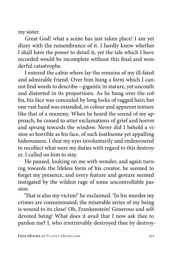my sister.

Great God! what a scene has just taken place! I am yet dizzy with the remembrance of it. I hardly know whether I shall have the power to detail it; yet the tale which I have recorded would be incomplete without this final and wonderful catastrophe.

I entered the cabin where lay the remains of my ill-fated and admirable friend. Over him hung a form which I cannot find words to describe—gigantic in stature, yet uncouth and distorted in its proportions. As he hung over the coffin, his face was concealed by long locks of ragged hair; but one vast hand was extended, in colour and apparent texture like that of a mummy. When he heard the sound of my approach, he ceased to utter exclamations of grief and horror and sprung towards the window. Never did I behold a vision so horrible as his face, of such loathsome yet appalling hideousness. I shut my eyes involuntarily and endeavoured to recollect what were my duties with regard to this destroyer. I called on him to stay.

He paused, looking on me with wonder, and again turning towards the lifeless form of his creator, he seemed to forget my presence, and every feature and gesture seemed instigated by the wildest rage of some uncontrollable passion.

'That is also my victim!' he exclaimed. 'In his murder my crimes are consummated; the miserable series of my being is wound to its close! Oh, Frankenstein! Generous and selfdevoted being! What does it avail that I now ask thee to pardon me? I, who irretrievably destroyed thee by destroy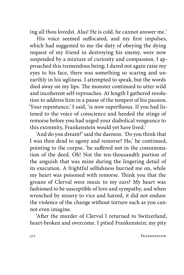ing all thou lovedst. Alas! He is cold, he cannot answer me.'

His voice seemed suffocated, and my first impulses, which had suggested to me the duty of obeying the dying request of my friend in destroying his enemy, were now suspended by a mixture of curiosity and compassion. I approached this tremendous being; I dared not again raise my eyes to his face, there was something so scaring and unearthly in his ugliness. I attempted to speak, but the words died away on my lips. The monster continued to utter wild and incoherent self-reproaches. At length I gathered resolution to address him in a pause of the tempest of his passion. 'Your repentance,' I said, 'is now superfluous. If you had listened to the voice of conscience and heeded the stings of remorse before you had urged your diabolical vengeance to this extremity, Frankenstein would yet have lived.'

'And do you dream?' said the daemon. 'Do you think that I was then dead to agony and remorse? He,' he continued, pointing to the corpse, 'he suffered not in the consummation of the deed. Oh! Not the ten-thousandth portion of the anguish that was mine during the lingering detail of its execution. A frightful selfishness hurried me on, while my heart was poisoned with remorse. Think you that the groans of Clerval were music to my ears? My heart was fashioned to be susceptible of love and sympathy, and when wrenched by misery to vice and hatred, it did not endure the violence of the change without torture such as you cannot even imagine.

'After the murder of Clerval I returned to Switzerland, heart-broken and overcome. I pitied Frankenstein; my pity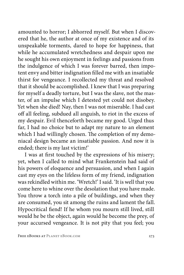amounted to horror; I abhorred myself. But when I discovered that he, the author at once of my existence and of its unspeakable torments, dared to hope for happiness, that while he accumulated wretchedness and despair upon me he sought his own enjoyment in feelings and passions from the indulgence of which I was forever barred, then impotent envy and bitter indignation filled me with an insatiable thirst for vengeance. I recollected my threat and resolved that it should be accomplished. I knew that I was preparing for myself a deadly torture, but I was the slave, not the master, of an impulse which I detested yet could not disobey. Yet when she died! Nay, then I was not miserable. I had cast off all feeling, subdued all anguish, to riot in the excess of my despair. Evil thenceforth became my good. Urged thus far, I had no choice but to adapt my nature to an element which I had willingly chosen. The completion of my demoniacal design became an insatiable passion. And now it is ended; there is my last victim!'

I was at first touched by the expressions of his misery; yet, when I called to mind what Frankenstein had said of his powers of eloquence and persuasion, and when I again cast my eyes on the lifeless form of my friend, indignation was rekindled within me. 'Wretch!' I said. 'It is well that you come here to whine over the desolation that you have made. You throw a torch into a pile of buildings, and when they are consumed, you sit among the ruins and lament the fall. Hypocritical fiend! If he whom you mourn still lived, still would he be the object, again would he become the prey, of your accursed vengeance. It is not pity that you feel; you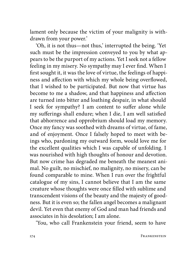lament only because the victim of your malignity is withdrawn from your power.'

'Oh, it is not thus—not thus,' interrupted the being. 'Yet such must be the impression conveyed to you by what appears to be the purport of my actions. Yet I seek not a fellow feeling in my misery. No sympathy may I ever find. When I first sought it, it was the love of virtue, the feelings of happiness and affection with which my whole being overflowed, that I wished to be participated. But now that virtue has become to me a shadow, and that happiness and affection are turned into bitter and loathing despair, in what should I seek for sympathy? I am content to suffer alone while my sufferings shall endure; when I die, I am well satisfied that abhorrence and opprobrium should load my memory. Once my fancy was soothed with dreams of virtue, of fame, and of enjoyment. Once I falsely hoped to meet with beings who, pardoning my outward form, would love me for the excellent qualities which I was capable of unfolding. I was nourished with high thoughts of honour and devotion. But now crime has degraded me beneath the meanest animal. No guilt, no mischief, no malignity, no misery, can be found comparable to mine. When I run over the frightful catalogue of my sins, I cannot believe that I am the same creature whose thoughts were once filled with sublime and transcendent visions of the beauty and the majesty of goodness. But it is even so; the fallen angel becomes a malignant devil. Yet even that enemy of God and man had friends and associates in his desolation; I am alone.

'You, who call Frankenstein your friend, seem to have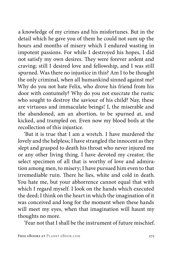a knowledge of my crimes and his misfortunes. But in the detail which he gave you of them he could not sum up the hours and months of misery which I endured wasting in impotent passions. For while I destroyed his hopes, I did not satisfy my own desires. They were forever ardent and craving; still I desired love and fellowship, and I was still spurned. Was there no injustice in this? Am I to be thought the only criminal, when all humankind sinned against me? Why do you not hate Felix, who drove his friend from his door with contumely? Why do you not execrate the rustic who sought to destroy the saviour of his child? Nay, these are virtuous and immaculate beings! I, the miserable and the abandoned, am an abortion, to be spurned at, and kicked, and trampled on. Even now my blood boils at the recollection of this injustice.

'But it is true that I am a wretch. I have murdered the lovely and the helpless; I have strangled the innocent as they slept and grasped to death his throat who never injured me or any other living thing. I have devoted my creator, the select specimen of all that is worthy of love and admiration among men, to misery; I have pursued him even to that irremediable ruin. There he lies, white and cold in death. You hate me, but your abhorrence cannot equal that with which I regard myself. I look on the hands which executed the deed; I think on the heart in which the imagination of it was conceived and long for the moment when these hands will meet my eyes, when that imagination will haunt my thoughts no more.

'Fear not that I shall be the instrument of future mischief.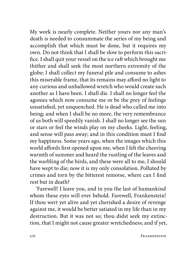My work is nearly complete. Neither yours nor any man's death is needed to consummate the series of my being and accomplish that which must be done, but it requires my own. Do not think that I shall be slow to perform this sacrifice. I shall quit your vessel on the ice raft which brought me thither and shall seek the most northern extremity of the globe; I shall collect my funeral pile and consume to ashes this miserable frame, that its remains may afford no light to any curious and unhallowed wretch who would create such another as I have been. I shall die. I shall no longer feel the agonies which now consume me or be the prey of feelings unsatisfied, yet unquenched. He is dead who called me into being; and when I shall be no more, the very remembrance of us both will speedily vanish. I shall no longer see the sun or stars or feel the winds play on my cheeks. Light, feeling, and sense will pass away; and in this condition must I find my happiness. Some years ago, when the images which this world affords first opened upon me, when I felt the cheering warmth of summer and heard the rustling of the leaves and the warbling of the birds, and these were all to me, I should have wept to die; now it is my only consolation. Polluted by crimes and torn by the bitterest remorse, where can I find rest but in death?

'Farewell! I leave you, and in you the last of humankind whom these eyes will ever behold. Farewell, Frankenstein! If thou wert yet alive and yet cherished a desire of revenge against me, it would be better satiated in my life than in my destruction. But it was not so; thou didst seek my extinction, that I might not cause greater wretchedness; and if yet,